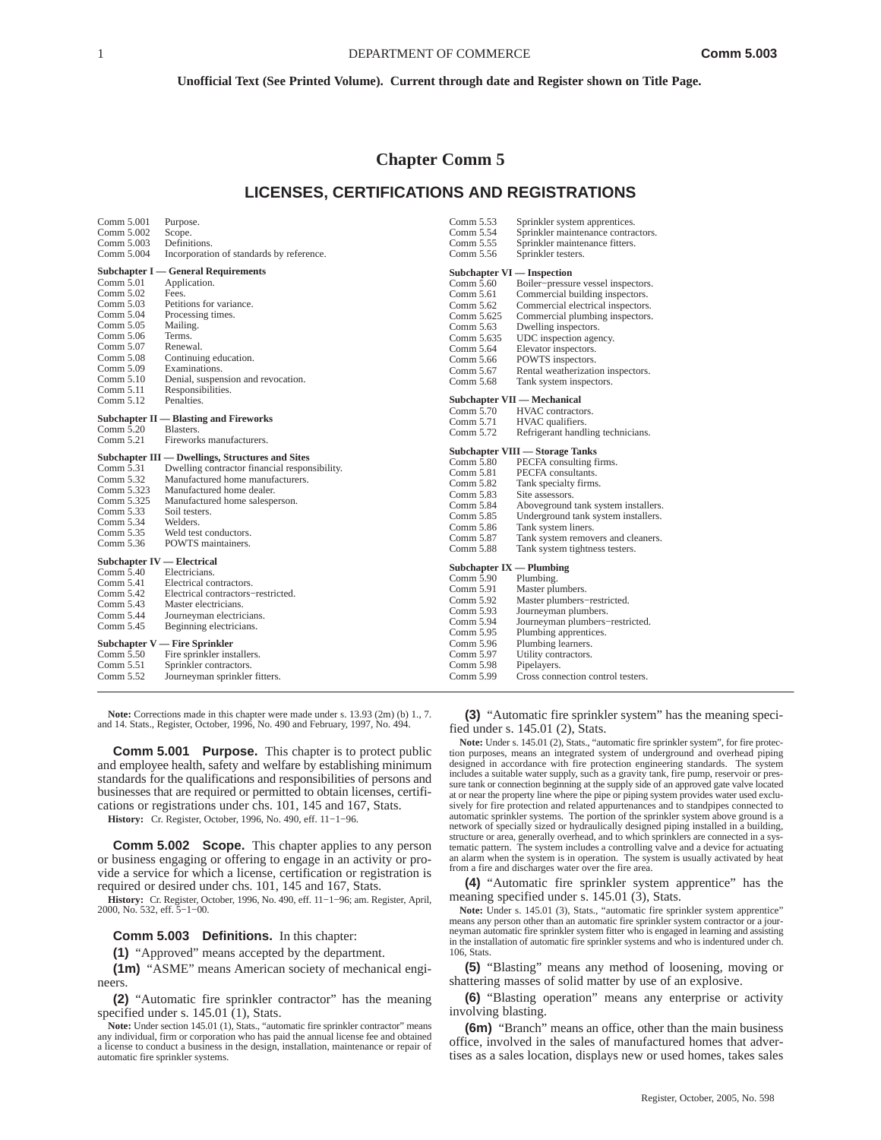## **Chapter Comm 5**

# **LICENSES, CERTIFICATIONS AND REGISTRATIONS**

| Comm 5.001                        | Purpose.                                         | Comm 5.53                  | Sprinkler system apprentices.      |
|-----------------------------------|--------------------------------------------------|----------------------------|------------------------------------|
| Comm 5.002                        | Scope.                                           | Comm 5.54                  | Sprinkler maintenance contractors. |
| Comm 5.003                        | Definitions.                                     | Comm 5.55                  | Sprinkler maintenance fitters.     |
| Comm 5.004                        | Incorporation of standards by reference.         | Comm 5.56                  | Sprinkler testers.                 |
|                                   | <b>Subchapter I</b> — General Requirements       |                            | Subchapter VI — Inspection         |
| Comm 5.01                         | Application.                                     | Comm $5.60$                | Boiler-pressure vessel inspectors. |
| Comm 5.02                         | Fees.                                            | Comm $5.61$                | Commercial building inspectors.    |
| Comm 5.03                         | Petitions for variance.                          | Comm 5.62                  | Commercial electrical inspectors.  |
| Comm 5.04                         | Processing times.                                | Comm 5.625                 | Commercial plumbing inspectors.    |
| Comm 5.05                         | Mailing.                                         | Comm 5.63                  | Dwelling inspectors.               |
| Comm 5.06                         | Terms.                                           | Comm 5.635                 | UDC inspection agency.             |
| Comm 5.07                         | Renewal.                                         | Comm 5.64                  | Elevator inspectors.               |
| Comm 5.08                         | Continuing education.                            | Comm 5.66                  | POWTS inspectors.                  |
| Comm 5.09                         | Examinations.                                    | Comm 5.67                  | Rental weatherization inspectors.  |
| Comm 5.10                         | Denial, suspension and revocation.               | Comm 5.68                  | Tank system inspectors.            |
| Comm 5.11                         | Responsibilities.                                |                            |                                    |
| Comm $5.12$                       | Penalties.                                       |                            | Subchapter VII - Mechanical        |
|                                   | Subchapter II — Blasting and Fireworks           | Comm 5.70                  | HVAC contractors.                  |
| Comm 5.20                         | Blasters.                                        | Common 5.71                | HVAC qualifiers.                   |
| Comm $5.21$                       | Fireworks manufacturers.                         | Comm $5.72$                | Refrigerant handling technicians.  |
|                                   |                                                  |                            | Subchapter VIII — Storage Tanks    |
|                                   | Subchapter III — Dwellings, Structures and Sites | Comm 5.80                  | PECFA consulting firms.            |
| Comm 5.31                         | Dwelling contractor financial responsibility.    | Comm 5.81                  | PECFA consultants.                 |
| Comm 5.32                         | Manufactured home manufacturers.                 | Comm 5.82                  | Tank specialty firms.              |
| Comm 5.323                        | Manufactured home dealer.                        | Comm 5.83                  | Site assessors.                    |
| Comm 5.325                        | Manufactured home salesperson.                   | Comm 5.84                  | Aboveground tank system installer  |
| Comm 5.33                         | Soil testers.                                    | Comm 5.85                  | Underground tank system installer  |
| Comm 5.34                         | Welders.                                         | Comm 5.86                  | Tank system liners.                |
| Comm 5.35                         | Weld test conductors.                            | Comm 5.87                  | Tank system removers and cleaner.  |
| Comm 5.36                         | POWTS maintainers.                               | Comm 5.88                  | Tank system tightness testers.     |
| <b>Subchapter IV</b> - Electrical |                                                  | Subchapter $IX$ — Plumbing |                                    |
| Comm 5.40                         | Electricians.                                    | Common 5.90                | Plumbing.                          |
| Comm 5.41                         | Electrical contractors.                          | Comm 5.91                  | Master plumbers.                   |
| Comm 5.42                         | Electrical contractors-restricted.               | Comm 5.92                  | Master plumbers-restricted.        |
| Comm 5.43                         | Master electricians.                             | Comm $5.93$                | Journeyman plumbers.               |
| Comm $5.44$                       | Journeyman electricians.                         | Comm 5.94                  | Journeyman plumbers-restricted.    |
| Comm 5.45                         | Beginning electricians.                          | Comm 5.95                  | Plumbing apprentices.              |
|                                   | Subchapter V — Fire Sprinkler                    | Comm 5.96                  | Plumbing learners.                 |
| Comm $5.50$                       | Fire sprinkler installers.                       | Comm 5.97                  | Utility contractors.               |
| Comm 5.51                         | Sprinkler contractors.                           | Comm 5.98                  | Pipelayers.                        |
| Comm 5.52                         | Journeyman sprinkler fitters.                    | Comm 5.99                  | Cross connection control testers.  |
|                                   |                                                  |                            |                                    |

**Note:** Corrections made in this chapter were made under s. 13.93 (2m) (b) 1., 7. and 14. Stats., Register, October, 1996, No. 490 and February, 1997, No. 494.

**Comm 5.001 Purpose.** This chapter is to protect public and employee health, safety and welfare by establishing minimum standards for the qualifications and responsibilities of persons and businesses that are required or permitted to obtain licenses, certifications or registrations under chs. 101, 145 and 167, Stats.

**History:** Cr. Register, October, 1996, No. 490, eff. 11−1−96.

**Comm 5.002 Scope.** This chapter applies to any person or business engaging or offering to engage in an activity or provide a service for which a license, certification or registration is required or desired under chs. 101, 145 and 167, Stats.

**History:** Cr. Register, October, 1996, No. 490, eff. 11−1−96; am. Register, April, 2000, No. 532, eff. 5−1−00.

**Comm 5.003 Definitions.** In this chapter:

**(1)** "Approved" means accepted by the department.

**(1m)** "ASME" means American society of mechanical engineers.

**(2)** "Automatic fire sprinkler contractor" has the meaning specified under s. 145.01 (1), Stats.

| Comm $5.61$                | Commercial building inspectors.     |
|----------------------------|-------------------------------------|
| Comm 5.62                  | Commercial electrical inspectors.   |
| Comm 5.625                 | Commercial plumbing inspectors.     |
| Comm 5.63                  | Dwelling inspectors.                |
| Comm 5.635                 | UDC inspection agency.              |
| Comm 5.64                  | Elevator inspectors.                |
| Comm 5.66                  | POWTS inspectors.                   |
| Comm 5.67                  | Rental weatherization inspectors.   |
| Comm 5.68                  | Tank system inspectors.             |
|                            | <b>Subchapter VII - Mechanical</b>  |
| Comm 5.70                  | HVAC contractors.                   |
| Comm 5.71                  | HVAC qualifiers.                    |
| Comm 5.72                  | Refrigerant handling technicians.   |
|                            | Subchapter VIII - Storage Tanks     |
| Comm 5.80                  | PECFA consulting firms.             |
| Comm 5.81                  | PECFA consultants.                  |
| Comm 5.82                  | Tank specialty firms.               |
| Comm $5.83$                | Site assessors.                     |
| Comm 5.84                  | Aboveground tank system installers. |
| Comm 5.85                  | Underground tank system installers. |
| Comm 5.86                  | Tank system liners.                 |
| Comm 5.87                  | Tank system removers and cleaners.  |
| Comm 5.88                  | Tank system tightness testers.      |
| Subchapter $IX$ — Plumbing |                                     |
| Comm $5.90$                | Plumbing.                           |
| Comm 5.91                  | Master plumbers.                    |
| Comm 5.92                  | Master plumbers-restricted.         |
| Comm 5.93                  | Journeyman plumbers.                |
| Comm 5.94                  | Journeyman plumbers-restricted.     |
|                            | $m_1 = 1.1$ and $n_2 = 1.1$         |

**(3)** "Automatic fire sprinkler system" has the meaning specified under s. 145.01 (2), Stats.

**Note:** Under s. 145.01 (2), Stats., "automatic fire sprinkler system", for fire protection purposes, means an integrated system of underground and overhead piping designed in accordance with fire protection engineering standards. The system includes a suitable water supply, such as a gravity tank, fire pump, reservoir or pressure tank or connection beginning at the supply side of an approved gate valve located at or near the property line where the pipe or piping system provides water used exclu-sively for fire protection and related appurtenances and to standpipes connected to automatic sprinkler systems. The portion of the sprinkler system above ground is a network of specially sized or hydraulically designed piping installed in a building, structure or area, generally overhead, and to which sprinklers are connected in a systematic pattern. The system includes a controlling valve and a device for actuating an alarm when the system is in operation. The system is usually activated by heat from a fire and discharges water over the fire area.

**(4)** "Automatic fire sprinkler system apprentice" has the meaning specified under s. 145.01 (3), Stats.

Note: Under s. 145.01 (3), Stats., "automatic fire sprinkler system apprentice" means any person other than an automatic fire sprinkler system contractor or a journeyman automatic fire sprinkler system fitter who is engaged in learning and assisting in the installation of automatic fire sprinkler systems and who is indentured under ch. 106, Stats.

**(5)** "Blasting" means any method of loosening, moving or shattering masses of solid matter by use of an explosive.

**(6)** "Blasting operation" means any enterprise or activity involving blasting.

**(6m)** "Branch" means an office, other than the main business office, involved in the sales of manufactured homes that advertises as a sales location, displays new or used homes, takes sales

Note: Under section 145.01 (1), Stats., "automatic fire sprinkler contractor" means any individual, firm or corporation who has paid the annual license fee and obtained a license to conduct a business in the design, installation, maintenance or repair of automatic fire sprinkler systems.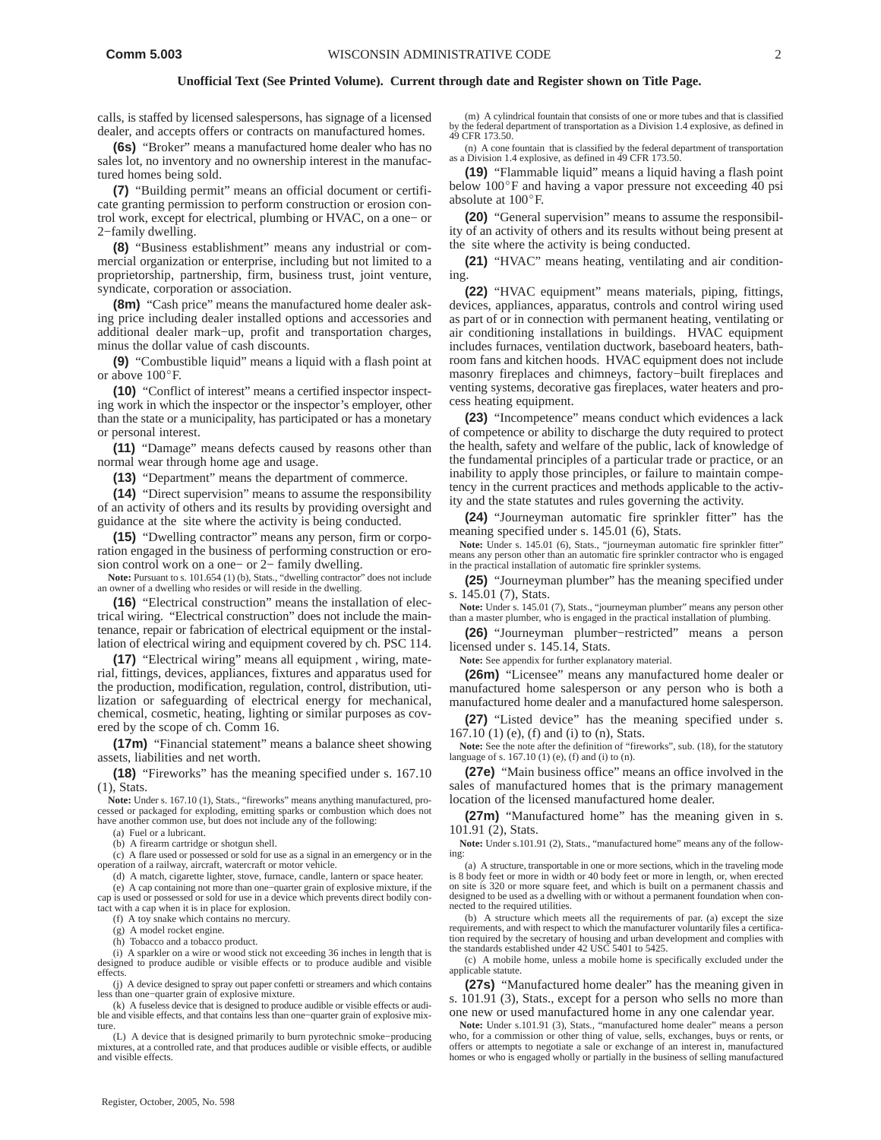calls, is staffed by licensed salespersons, has signage of a licensed dealer, and accepts offers or contracts on manufactured homes.

**(6s)** "Broker" means a manufactured home dealer who has no sales lot, no inventory and no ownership interest in the manufactured homes being sold.

**(7)** "Building permit" means an official document or certificate granting permission to perform construction or erosion control work, except for electrical, plumbing or HVAC, on a one− or 2−family dwelling.

**(8)** "Business establishment" means any industrial or commercial organization or enterprise, including but not limited to a proprietorship, partnership, firm, business trust, joint venture, syndicate, corporation or association.

**(8m)** "Cash price" means the manufactured home dealer asking price including dealer installed options and accessories and additional dealer mark−up, profit and transportation charges, minus the dollar value of cash discounts.

**(9)** "Combustible liquid" means a liquid with a flash point at or above 100°F.

**(10)** "Conflict of interest" means a certified inspector inspecting work in which the inspector or the inspector's employer, other than the state or a municipality, has participated or has a monetary or personal interest.

**(11)** "Damage" means defects caused by reasons other than normal wear through home age and usage.

**(13)** "Department" means the department of commerce.

**(14)** "Direct supervision" means to assume the responsibility of an activity of others and its results by providing oversight and guidance at the site where the activity is being conducted.

**(15)** "Dwelling contractor" means any person, firm or corporation engaged in the business of performing construction or erosion control work on a one− or 2− family dwelling.

**Note:** Pursuant to s. 101.654 (1) (b), Stats., "dwelling contractor" does not include an owner of a dwelling who resides or will reside in the dwelling.

**(16)** "Electrical construction" means the installation of electrical wiring. "Electrical construction" does not include the maintenance, repair or fabrication of electrical equipment or the installation of electrical wiring and equipment covered by ch. PSC 114.

**(17)** "Electrical wiring" means all equipment , wiring, material, fittings, devices, appliances, fixtures and apparatus used for the production, modification, regulation, control, distribution, utilization or safeguarding of electrical energy for mechanical, chemical, cosmetic, heating, lighting or similar purposes as covered by the scope of ch. Comm 16.

**(17m)** "Financial statement" means a balance sheet showing assets, liabilities and net worth.

**(18)** "Fireworks" has the meaning specified under s. 167.10 (1), Stats.

**Note:** Under s. 167.10 (1), Stats., "fireworks" means anything manufactured, processed or packaged for exploding, emitting sparks or combustion which does not have another common use, but does not include any of the following:

(a) Fuel or a lubricant.

(b) A firearm cartridge or shotgun shell.

(c) A flare used or possessed or sold for use as a signal in an emergency or in the operation of a railway, aircraft, watercraft or motor vehicle.

(d) A match, cigarette lighter, stove, furnace, candle, lantern or space heater. (e) A cap containing not more than one−quarter grain of explosive mixture, if the cap is used or possessed or sold for use in a device which prevents direct bodily con-tact with a cap when it is in place for explosion.

(f) A toy snake which contains no mercury.

(g) A model rocket engine.

(h) Tobacco and a tobacco product.

(i) A sparkler on a wire or wood stick not exceeding 36 inches in length that is designed to produce audible or visible effects or to produce audible and visible effects.

(j) A device designed to spray out paper confetti or streamers and which contains less than one−quarter grain of explosive mixture.

(k) A fuseless device that is designed to produce audible or visible effects or audible and visible effects, and that contains less than one−quarter grain of explosive mixture.

(L) A device that is designed primarily to burn pyrotechnic smoke−producing mixtures, at a controlled rate, and that produces audible or visible effects, or audible and visible effects.

(m) A cylindrical fountain that consists of one or more tubes and that is classified by the federal department of transportation as a Division 1.4 explosive, as defined in 49 CFR 173.50.

(n) A cone fountain that is classified by the federal department of transportation as a Division 1.4 explosive, as defined in 49 CFR 173.50.

**(19)** "Flammable liquid" means a liquid having a flash point **(19)** "Flammable liquid" means a liquid having a flash point below  $100^{\circ}$ F and having a vapor pressure not exceeding 40 psi below  $100^{\circ}$ F and absolute at  $100^{\circ}$ F.

**(20)** "General supervision" means to assume the responsibility of an activity of others and its results without being present at the site where the activity is being conducted.

**(21)** "HVAC" means heating, ventilating and air conditioning.

**(22)** "HVAC equipment" means materials, piping, fittings, devices, appliances, apparatus, controls and control wiring used as part of or in connection with permanent heating, ventilating or air conditioning installations in buildings. HVAC equipment includes furnaces, ventilation ductwork, baseboard heaters, bathroom fans and kitchen hoods. HVAC equipment does not include masonry fireplaces and chimneys, factory−built fireplaces and venting systems, decorative gas fireplaces, water heaters and process heating equipment.

**(23)** "Incompetence" means conduct which evidences a lack of competence or ability to discharge the duty required to protect the health, safety and welfare of the public, lack of knowledge of the fundamental principles of a particular trade or practice, or an inability to apply those principles, or failure to maintain competency in the current practices and methods applicable to the activity and the state statutes and rules governing the activity.

**(24)** "Journeyman automatic fire sprinkler fitter" has the meaning specified under s. 145.01 (6), Stats.

Note: Under s. 145.01 (6), Stats., "journeyman automatic fire sprinkler fitter" means any person other than an automatic fire sprinkler contractor who is engaged in the practical installation of automatic fire sprinkler systems.

**(25)** "Journeyman plumber" has the meaning specified under s. 145.01 (7), Stats.

**Note:** Under s. 145.01 (7), Stats., "journeyman plumber" means any person other than a master plumber, who is engaged in the practical installation of plumbing.

**(26)** "Journeyman plumber−restricted" means a person licensed under s. 145.14, Stats.

**Note:** See appendix for further explanatory material.

**(26m)** "Licensee" means any manufactured home dealer or manufactured home salesperson or any person who is both a manufactured home dealer and a manufactured home salesperson.

**(27)** "Listed device" has the meaning specified under s. 167.10 (1) (e), (f) and (i) to (n), Stats.

**Note:** See the note after the definition of "fireworks", sub. (18), for the statutory language of s. 167.10 (1) (e), (f) and (i) to (n).

**(27e)** "Main business office" means an office involved in the sales of manufactured homes that is the primary management location of the licensed manufactured home dealer.

**(27m)** "Manufactured home" has the meaning given in s. 101.91 (2), Stats.

Note: Under s.101.91 (2), Stats., "manufactured home" means any of the following:

(a) A structure, transportable in one or more sections, which in the traveling mode is 8 body feet or more in width or 40 body feet or more in length, or, when erected on site is 320 or more square feet, and which is built on a permanent chassis and designed to be used as a dwelling with or without a permanent foundation when connected to the required utilities.

(b) A structure which meets all the requirements of par. (a) except the size requirements, and with respect to which the manufacturer voluntarily files a certification required by the secretary of housing and urban development and complies with the standards established under 42 USC 5401 to 5425.

(c) A mobile home, unless a mobile home is specifically excluded under the applicable statute.

**(27s)** "Manufactured home dealer" has the meaning given in s. 101.91 (3), Stats., except for a person who sells no more than one new or used manufactured home in any one calendar year.

**Note:** Under s.101.91 (3), Stats., "manufactured home dealer" means a person who, for a commission or other thing of value, sells, exchanges, buys or rents, or offers or attempts to negotiate a sale or exchange of an interest in, manufactured homes or who is engaged wholly or partially in the business of selling manufactured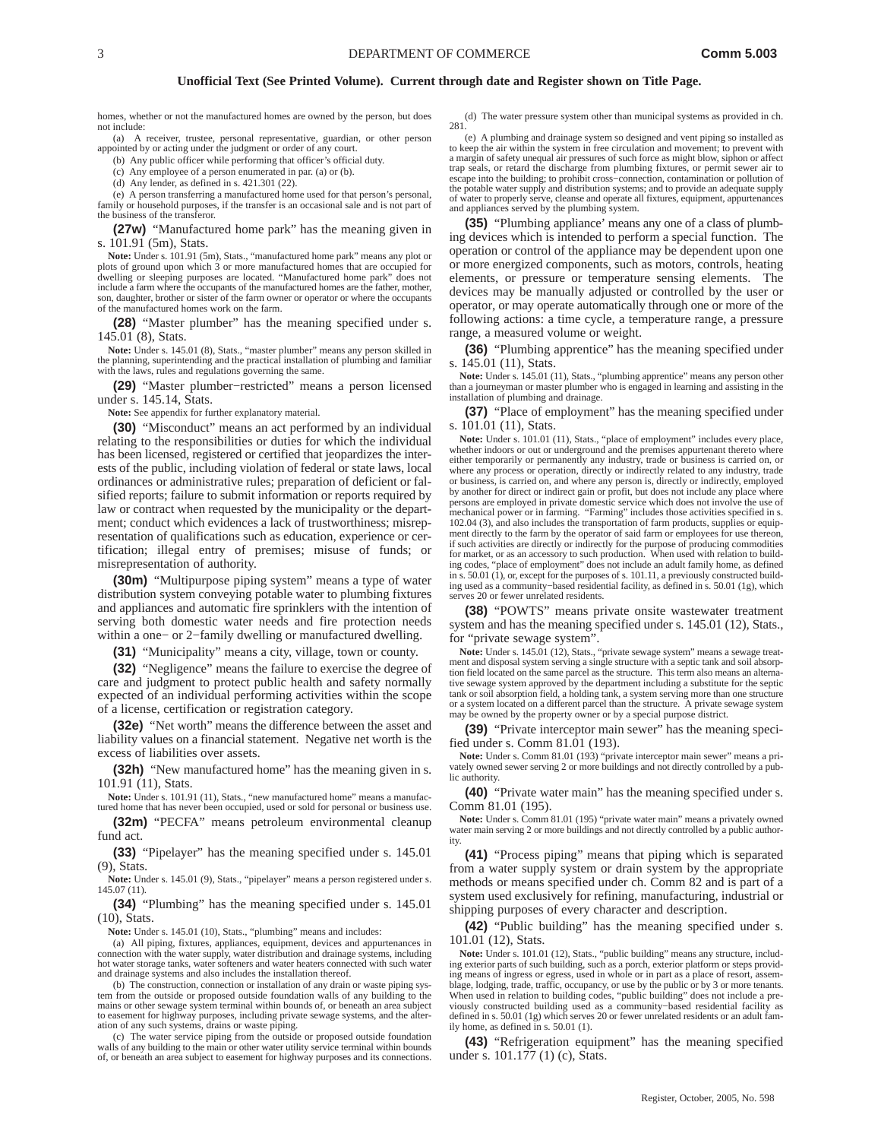homes, whether or not the manufactured homes are owned by the person, but does not include:

(a) A receiver, trustee, personal representative, guardian, or other person appointed by or acting under the judgment or order of any court.

(b) Any public officer while performing that officer's official duty.

(c) Any employee of a person enumerated in par. (a) or (b).

(d) Any lender, as defined in s. 421.301 (22).

(e) A person transferring a manufactured home used for that person's personal, family or household purposes, if the transfer is an occasional sale and is not part of the business of the transferor.

**(27w)** "Manufactured home park" has the meaning given in s. 101.91 (5m), Stats.

Note: Under s. 101.91 (5m), Stats., "manufactured home park" means any plot or plots of ground upon which 3 or more manufactured homes that are occupied for dwelling or sleeping purposes are located. "Manufactured home park" does not include a farm where the occupants of the manufactured homes are the father, mother, son, daughter, brother or sister of the farm owner or operator or where the occupants of the manufactured homes work on the farm.

**(28)** "Master plumber" has the meaning specified under s. 145.01 (8), Stats.

**Note:** Under s. 145.01 (8), Stats., "master plumber" means any person skilled in the planning, superintending and the practical installation of plumbing and familiar with the laws, rules and regulations governing the same

**(29)** "Master plumber−restricted" means a person licensed under s. 145.14, Stats.

**Note:** See appendix for further explanatory material.

**(30)** "Misconduct" means an act performed by an individual relating to the responsibilities or duties for which the individual has been licensed, registered or certified that jeopardizes the interests of the public, including violation of federal or state laws, local ordinances or administrative rules; preparation of deficient or falsified reports; failure to submit information or reports required by law or contract when requested by the municipality or the department; conduct which evidences a lack of trustworthiness; misrepresentation of qualifications such as education, experience or certification; illegal entry of premises; misuse of funds; or misrepresentation of authority.

**(30m)** "Multipurpose piping system" means a type of water distribution system conveying potable water to plumbing fixtures and appliances and automatic fire sprinklers with the intention of serving both domestic water needs and fire protection needs within a one− or 2−family dwelling or manufactured dwelling.

**(31)** "Municipality" means a city, village, town or county.

**(32)** "Negligence" means the failure to exercise the degree of care and judgment to protect public health and safety normally expected of an individual performing activities within the scope of a license, certification or registration category.

**(32e)** "Net worth" means the difference between the asset and liability values on a financial statement. Negative net worth is the excess of liabilities over assets.

**(32h)** "New manufactured home" has the meaning given in s. 101.91 (11), Stats.

Note: Under s. 101.91 (11), Stats., "new manufactured home" means a manufactured home that has never been occupied, used or sold for personal or business use.

**(32m)** "PECFA" means petroleum environmental cleanup fund act.

**(33)** "Pipelayer" has the meaning specified under s. 145.01 (9), Stats.

**Note:** Under s. 145.01 (9), Stats., "pipelayer" means a person registered under s. 145.07 (11).

**(34)** "Plumbing" has the meaning specified under s. 145.01 (10), Stats.

**Note:** Under s. 145.01 (10), Stats., "plumbing" means and includes:

(a) All piping, fixtures, appliances, equipment, devices and appurtenances in connection with the water supply, water distribution and drainage systems, including hot water storage tanks, water softeners and water heaters connected with such water and drainage systems and also includes the installation thereof.

(b) The construction, connection or installation of any drain or waste piping sys-tem from the outside or proposed outside foundation walls of any building to the mains or other sewage system terminal within bounds of, or beneath an area subject to easement for highway purposes, including private sewage systems, and the alter-ation of any such systems, drains or waste piping.

(c) The water service piping from the outside or proposed outside foundation walls of any building to the main or other water utility service terminal within bounds of, or beneath an area subject to easement for highway purposes and its connections.

(d) The water pressure system other than municipal systems as provided in ch. 281.

(e) A plumbing and drainage system so designed and vent piping so installed as to keep the air within the system in free circulation and movement; to prevent with a margin of safety unequal air pressures of such force as might blow, siphon or affect trap seals, or retard the discharge from plumbing fixtures, or permit sewer air to escape into the building; to prohibit cross−connection, contamination or pollution of the potable water supply and distribution systems; and to provide an adequate supply of water to properly serve, cleanse and operate all fixtures, equipment, appurtenances and appliances served by the plumbing system.

**(35)** "Plumbing appliance' means any one of a class of plumbing devices which is intended to perform a special function. The operation or control of the appliance may be dependent upon one or more energized components, such as motors, controls, heating elements, or pressure or temperature sensing elements. The devices may be manually adjusted or controlled by the user or operator, or may operate automatically through one or more of the following actions: a time cycle, a temperature range, a pressure range, a measured volume or weight.

**(36)** "Plumbing apprentice" has the meaning specified under s. 145.01 (11), Stats.

**Note:** Under s. 145.01 (11), Stats., "plumbing apprentice" means any person other than a journeyman or master plumber who is engaged in learning and assisting in the installation of plumbing and drainage.

**(37)** "Place of employment" has the meaning specified under s. 101.01 (11), Stats.

**Note:** Under s. 101.01 (11), Stats., "place of employment" includes every place, whether indoors or out or underground and the premises appurtenant thereto where either temporarily or permanently any industry, trade or business is carried on, or where any process or operation, directly or indirectly related to any industry, trade or business, is carried on, and where any person is, directly or indirectly, employed by another for direct or indirect gain or profit, but does not include any place where persons are employed in private domestic service which does not involve the use of mechanical power or in farming. "Farming" includes those activities specified in s. 102.04 (3), and also includes the transportation of farm products, supplies or equipment directly to the farm by the operator of said farm or employees for use thereon,<br>if such activities are directly or indirectly for the purpose of producing commodities<br>for market, or as an accessory to such production. ing codes, "place of employment" does not include an adult family home, as defined in s. 50.01 (1), or, except for the purposes of s. 101.11, a previously constructed building used as a community−based residential facility, as defined in s. 50.01 (1g), which serves 20 or fewer unrelated residents.

**(38)** "POWTS" means private onsite wastewater treatment system and has the meaning specified under s. 145.01 (12), Stats., for "private sewage system".

**Note:** Under s. 145.01 (12), Stats., "private sewage system" means a sewage treatment and disposal system serving a single structure with a septic tank and soil absorp-tion field located on the same parcel as the structure. This term also means an alternative sewage system approved by the department including a substitute for the septic tank or soil absorption field, a holding tank, a system serving more than one structure or a system located on a different parcel than the structure. A private sewage system may be owned by the property owner or by a special purpose district.

**(39)** "Private interceptor main sewer" has the meaning specified under s. Comm 81.01 (193).

**Note:** Under s. Comm 81.01 (193) "private interceptor main sewer" means a privately owned sewer serving 2 or more buildings and not directly controlled by a public authority.

**(40)** "Private water main" has the meaning specified under s. Comm 81.01 (195).

**Note:** Under s. Comm 81.01 (195) "private water main" means a privately owned water main serving 2 or more buildings and not directly controlled by a public authority.

**(41)** "Process piping" means that piping which is separated from a water supply system or drain system by the appropriate methods or means specified under ch. Comm 82 and is part of a system used exclusively for refining, manufacturing, industrial or shipping purposes of every character and description.

**(42)** "Public building" has the meaning specified under s. 101.01 (12), Stats.

**Note:** Under s. 101.01 (12), Stats., "public building" means any structure, including exterior parts of such building, such as a porch, exterior platform or steps providing means of ingress or egress, used in whole or in part as a place of resort, assemblage, lodging, trade, traffic, occupancy, or use by the public or by 3 or more tenants. When used in relation to building codes, "public building" does not include a previously constructed building used as a community−based residential facility as defined in s. 50.01 (1g) which serves 20 or fewer unrelated residents or an adult fam-ily home, as defined in s. 50.01 (1).

**(43)** "Refrigeration equipment" has the meaning specified under s. 101.177 (1) (c), Stats.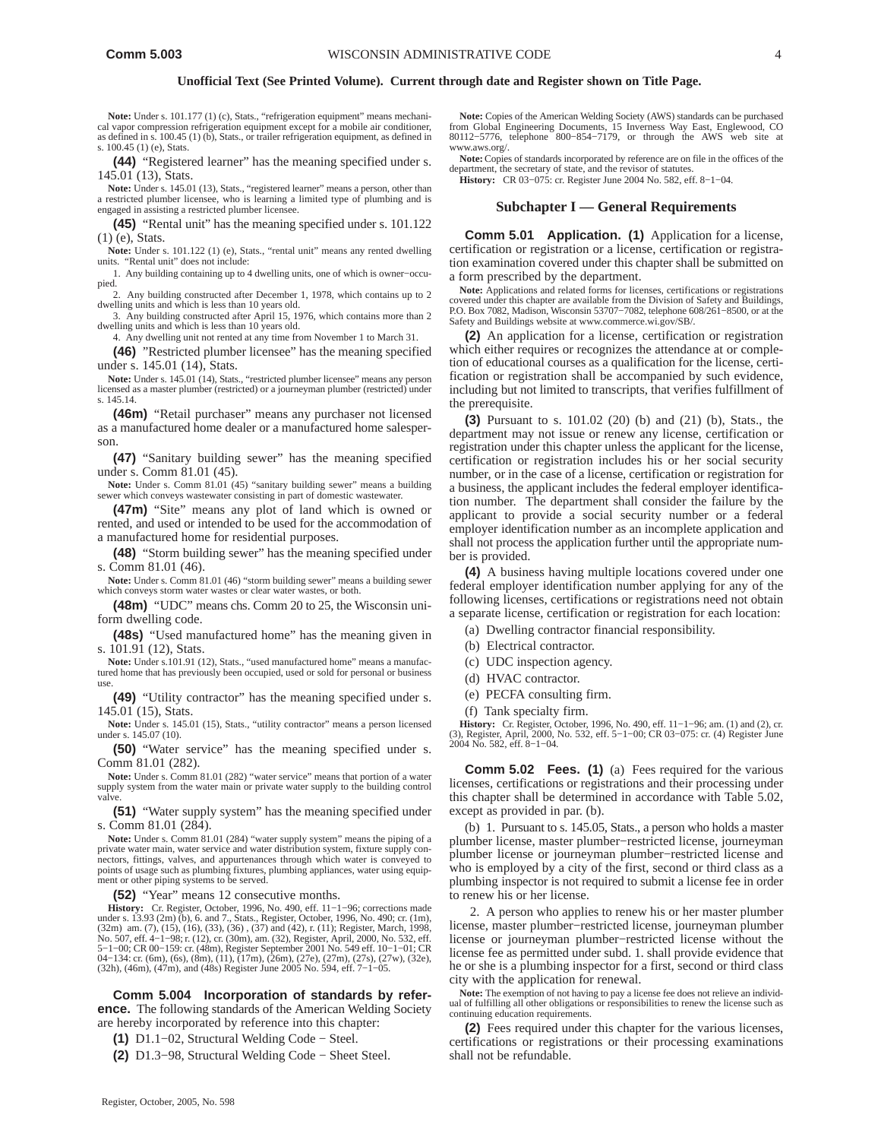**Note:** Under s. 101.177 (1) (c), Stats., "refrigeration equipment" means mechanical vapor compression refrigeration equipment except for a mobile air conditioner, as defined in s. 100.45 (1) (b), Stats., or trailer refrigeration equipment, as defined in s. 100.45 (1) (e), Stats.

**(44)** "Registered learner" has the meaning specified under s. 145.01 (13), Stats.

**Note:** Under s. 145.01 (13), Stats., "registered learner" means a person, other than a restricted plumber licensee, who is learning a limited type of plumbing and is engaged in assisting a restricted plumber licensee.

**(45)** "Rental unit" has the meaning specified under s. 101.122 (1) (e), Stats.

**Note:** Under s. 101.122 (1) (e), Stats., "rental unit" means any rented dwelling units. "Rental unit" does not include:

1. Any building containing up to 4 dwelling units, one of which is owner−occupied.

2. Any building constructed after December 1, 1978, which contains up to 2 dwelling units and which is less than 10 years old.

3. Any building constructed after April 15, 1976, which contains more than 2 dwelling units and which is less than 10 years old.

4. Any dwelling unit not rented at any time from November 1 to March 31.

**(46)** "Restricted plumber licensee" has the meaning specified under s. 145.01 (14), Stats.

**Note:** Under s. 145.01 (14), Stats., "restricted plumber licensee" means any person licensed as a master plumber (restricted) or a journeyman plumber (restricted) under s. 145.14.

**(46m)** "Retail purchaser" means any purchaser not licensed as a manufactured home dealer or a manufactured home salesperson.

**(47)** "Sanitary building sewer" has the meaning specified under s. Comm 81.01 (45).

**Note:** Under s. Comm 81.01 (45) "sanitary building sewer" means a building sewer which conveys wastewater consisting in part of domestic wastewater.

**(47m)** "Site" means any plot of land which is owned or rented, and used or intended to be used for the accommodation of a manufactured home for residential purposes.

**(48)** "Storm building sewer" has the meaning specified under s. Comm 81.01 (46).

**Note:** Under s. Comm 81.01 (46) "storm building sewer" means a building sewer which conveys storm water wastes or clear water wastes, or both.

**(48m)** "UDC" means chs. Comm 20 to 25, the Wisconsin uniform dwelling code.

**(48s)** "Used manufactured home" has the meaning given in s. 101.91 (12), Stats.

**Note:** Under s.101.91 (12), Stats., "used manufactured home" means a manufactured home that has previously been occupied, used or sold for personal or business use.

**(49)** "Utility contractor" has the meaning specified under s. 145.01 (15), Stats.

**Note:** Under s. 145.01 (15), Stats., "utility contractor" means a person licensed under s. 145.07 (10).

**(50)** "Water service" has the meaning specified under s. Comm 81.01 (282).

**Note:** Under s. Comm 81.01 (282) "water service" means that portion of a water supply system from the water main or private water supply to the building control valve.

**(51)** "Water supply system" has the meaning specified under s. Comm 81.01 (284).

**Note:** Under s. Comm 81.01 (284) "water supply system" means the piping of a private water main, water service and water distribution system, fixture supply connectors, fittings, valves, and appurtenances through which water is conveyed to points of usage such as plumbing fixtures, plumbing appliances, water using equipment or other piping systems to be served.

**(52)** "Year" means 12 consecutive months.

**History:** Cr. Register, October, 1996, No. 490, eff. 11−1−96; corrections made under s. 13.93 (2m) (b), 6. and 7., Stats., Register, October, 1996, No. 490; cr. (1m),<br>(32m) ann. (7), (15), (16), (33), (36) , (37) and (42), r. (11); Register, March, 1998,<br>No. 507, eff. 4–1–98; r. (12), cr. (30m), am. 5–1–00; CR 00–159: cr. (48m), Register September 2001 No. 549 eff. 10–1–01; CR<br>04–134: cr. (6m), (6s), (8m), (11), (17m), (26m), (27e), (27m), (27s), (27w), (32e),<br>(32h), (46m), (47m), and (48s) Register June 2005 No. 594,

**Comm 5.004 Incorporation of standards by reference.** The following standards of the American Welding Society are hereby incorporated by reference into this chapter:

**(1)** D1.1−02, Structural Welding Code − Steel.

**(2)** D1.3−98, Structural Welding Code − Sheet Steel.

**Note:** Copies of the American Welding Society (AWS) standards can be purchased from Global Engineering Documents, 15 Inverness Way East, Englewood, CO 80112−5776, telephone 800−854−7179, or through the AWS web site at www.aws.org/.

**Note:** Copies of standards incorporated by reference are on file in the offices of the department, the secretary of state, and the revisor of statutes.

**History:** CR 03−075: cr. Register June 2004 No. 582, eff. 8−1−04.

## **Subchapter I — General Requirements**

**Comm 5.01 Application. (1)** Application for a license, certification or registration or a license, certification or registration examination covered under this chapter shall be submitted on a form prescribed by the department.

**Note:** Applications and related forms for licenses, certifications or registrations covered under this chapter are available from the Division of Safety and Buildings, P.O. Box 7082, Madison, Wisconsin 53707−7082, telephone 608/261−8500, or at the Safety and Buildings website at www.commerce.wi.gov/SB/.

**(2)** An application for a license, certification or registration which either requires or recognizes the attendance at or completion of educational courses as a qualification for the license, certification or registration shall be accompanied by such evidence, including but not limited to transcripts, that verifies fulfillment of the prerequisite.

**(3)** Pursuant to s. 101.02 (20) (b) and (21) (b), Stats., the department may not issue or renew any license, certification or registration under this chapter unless the applicant for the license, certification or registration includes his or her social security number, or in the case of a license, certification or registration for a business, the applicant includes the federal employer identification number. The department shall consider the failure by the applicant to provide a social security number or a federal employer identification number as an incomplete application and shall not process the application further until the appropriate number is provided.

**(4)** A business having multiple locations covered under one federal employer identification number applying for any of the following licenses, certifications or registrations need not obtain a separate license, certification or registration for each location:

(a) Dwelling contractor financial responsibility.

- (b) Electrical contractor.
- (c) UDC inspection agency.
- (d) HVAC contractor.
- (e) PECFA consulting firm.
- (f) Tank specialty firm.

**History:** Cr. Register, October, 1996, No. 490, eff. 11–1−96; am. (1) and (2), cr. (3), Register, April, 2000, No. 532, eff. 5–1–00; CR 03–075: cr. (4) Register June 2004 No. 582, eff. 8−1−04.

**Comm 5.02 Fees. (1)** (a) Fees required for the various licenses, certifications or registrations and their processing under this chapter shall be determined in accordance with Table 5.02, except as provided in par. (b).

(b) 1. Pursuant to s. 145.05, Stats., a person who holds a master plumber license, master plumber−restricted license, journeyman plumber license or journeyman plumber−restricted license and who is employed by a city of the first, second or third class as a plumbing inspector is not required to submit a license fee in order to renew his or her license.

2. A person who applies to renew his or her master plumber license, master plumber−restricted license, journeyman plumber license or journeyman plumber−restricted license without the license fee as permitted under subd. 1. shall provide evidence that he or she is a plumbing inspector for a first, second or third class city with the application for renewal.

**Note:** The exemption of not having to pay a license fee does not relieve an individual of fulfilling all other obligations or responsibilities to renew the license such as continuing education requirements.

**(2)** Fees required under this chapter for the various licenses, certifications or registrations or their processing examinations shall not be refundable.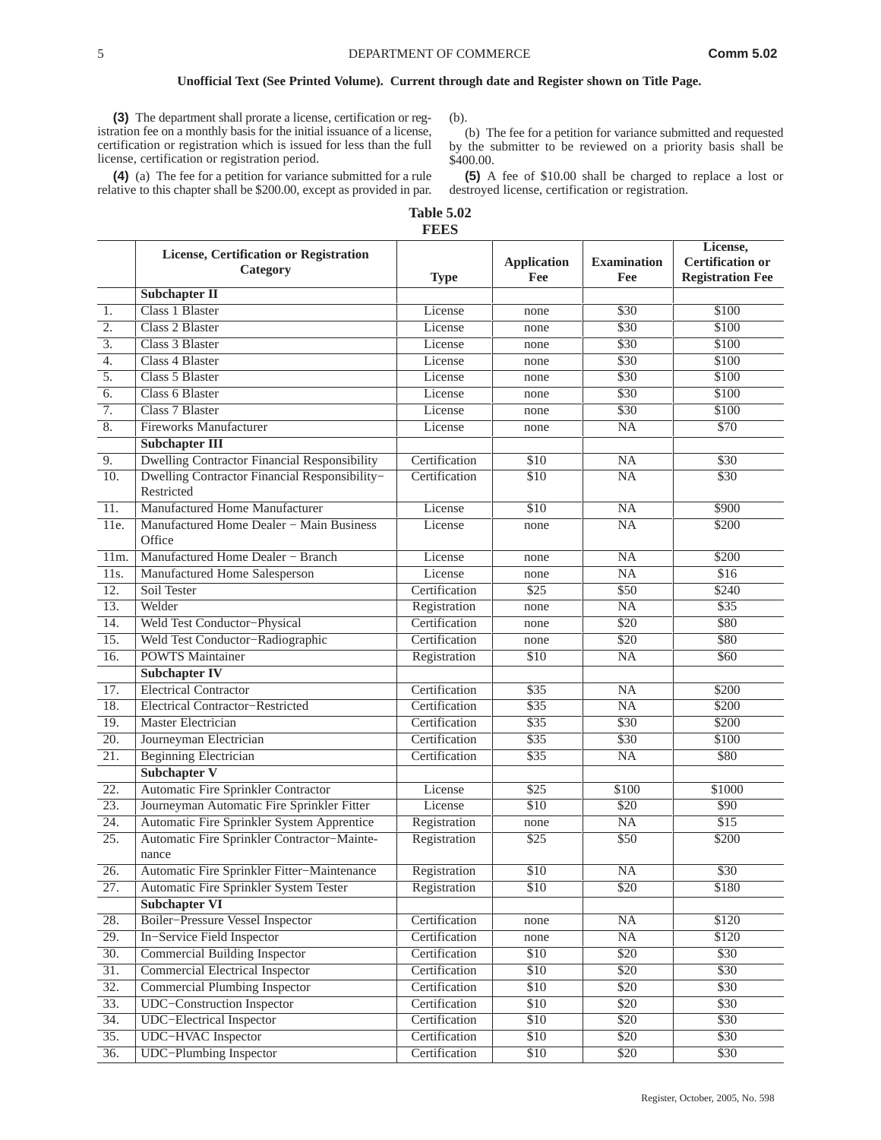**(3)** The department shall prorate a license, certification or registration fee on a monthly basis for the initial issuance of a license, certification or registration which is issued for less than the full license, certification or registration period.

(b).

(b) The fee for a petition for variance submitted and requested by the submitter to be reviewed on a priority basis shall be \$400.00.

**(4)** (a) The fee for a petition for variance submitted for a rule relative to this chapter shall be \$200.00, except as provided in par.

**(5)** A fee of \$10.00 shall be charged to replace a lost or destroyed license, certification or registration.

| Table 5.02 |  |
|------------|--|
| FEES       |  |

|                  | <b>FEES</b>                                                 |               |                           |                           |                                                                |  |  |
|------------------|-------------------------------------------------------------|---------------|---------------------------|---------------------------|----------------------------------------------------------------|--|--|
|                  | License, Certification or Registration<br>Category          | <b>Type</b>   | <b>Application</b><br>Fee | <b>Examination</b><br>Fee | License,<br><b>Certification or</b><br><b>Registration Fee</b> |  |  |
|                  | <b>Subchapter II</b>                                        |               |                           |                           |                                                                |  |  |
| -1.              | Class 1 Blaster                                             | License       | none                      | \$30                      | \$100                                                          |  |  |
| $\overline{2}$ . | Class 2 Blaster                                             | License       | none                      | \$30                      | \$100                                                          |  |  |
| $\overline{3}$ . | Class 3 Blaster                                             | License       | none                      | \$30                      | \$100                                                          |  |  |
| 4.               | Class 4 Blaster                                             | License       | none                      | \$30                      | \$100                                                          |  |  |
| $\overline{5}$ . | Class 5 Blaster                                             | License       | none                      | \$30                      | \$100                                                          |  |  |
| 6.               | Class 6 Blaster                                             | License       | none                      | \$30                      | \$100                                                          |  |  |
| 7.               | Class 7 Blaster                                             | License       | none                      | \$30                      | \$100                                                          |  |  |
| 8.               | Fireworks Manufacturer                                      | License       | none                      | <b>NA</b>                 | \$70                                                           |  |  |
|                  | <b>Subchapter III</b>                                       |               |                           |                           |                                                                |  |  |
| 9.               | <b>Dwelling Contractor Financial Responsibility</b>         | Certification | \$10                      | <b>NA</b>                 | \$30                                                           |  |  |
| 10.              | Dwelling Contractor Financial Responsibility-<br>Restricted | Certification | \$10                      | <b>NA</b>                 | \$30                                                           |  |  |
| 11.              | Manufactured Home Manufacturer                              | License       | \$10                      | <b>NA</b>                 | \$900                                                          |  |  |
| 11e.             | Manufactured Home Dealer - Main Business<br>Office          | License       | none                      | <b>NA</b>                 | \$200                                                          |  |  |
| 11m.             | Manufactured Home Dealer - Branch                           | License       | none                      | <b>NA</b>                 | \$200                                                          |  |  |
| 11s.             | Manufactured Home Salesperson                               | License       | none                      | <b>NA</b>                 | \$16                                                           |  |  |
| 12.              | Soil Tester                                                 | Certification | \$25                      | \$50                      | \$240                                                          |  |  |
| 13.              | Welder                                                      | Registration  | none                      | <b>NA</b>                 | \$35                                                           |  |  |
| 14.              | Weld Test Conductor-Physical                                | Certification | none                      | \$20                      | \$80                                                           |  |  |
| 15.              | Weld Test Conductor-Radiographic                            | Certification | none                      | \$20                      | \$80                                                           |  |  |
| 16.              | <b>POWTS</b> Maintainer                                     | Registration  | \$10                      | <b>NA</b>                 | \$60                                                           |  |  |
|                  | <b>Subchapter IV</b>                                        |               |                           |                           |                                                                |  |  |
| 17.              | <b>Electrical Contractor</b>                                | Certification | \$35                      | <b>NA</b>                 | \$200                                                          |  |  |
| 18.              | <b>Electrical Contractor-Restricted</b>                     | Certification | \$35                      | <b>NA</b>                 | \$200                                                          |  |  |
| 19.              | Master Electrician                                          | Certification | \$35                      | \$30                      | \$200                                                          |  |  |
| 20.              | Journeyman Electrician                                      | Certification | \$35                      | \$30                      | \$100                                                          |  |  |
| 21.              | <b>Beginning Electrician</b>                                | Certification | \$35                      | <b>NA</b>                 | \$80                                                           |  |  |
|                  | <b>Subchapter V</b>                                         |               |                           |                           |                                                                |  |  |
| 22.              | Automatic Fire Sprinkler Contractor                         | License       | \$25                      | \$100                     | \$1000                                                         |  |  |
| 23.              | Journeyman Automatic Fire Sprinkler Fitter                  | License       | \$10                      | \$20                      | \$90                                                           |  |  |
| 24.              | Automatic Fire Sprinkler System Apprentice                  | Registration  | none                      | <b>NA</b>                 | \$15                                                           |  |  |
| 25.              | Automatic Fire Sprinkler Contractor-Mainte-<br>nance        | Registration  | \$25                      | \$50                      | \$200                                                          |  |  |
| 26.              | Automatic Fire Sprinkler Fitter-Maintenance                 | Registration  | \$10                      | NA                        | \$30                                                           |  |  |
| 27.              | Automatic Fire Sprinkler System Tester                      | Registration  | \$10                      | \$20                      | \$180                                                          |  |  |
|                  | <b>Subchapter VI</b>                                        |               |                           |                           |                                                                |  |  |
| 28.              | Boiler-Pressure Vessel Inspector                            | Certification | none                      | <b>NA</b>                 | \$120                                                          |  |  |
| 29.              | In-Service Field Inspector                                  | Certification | none                      | <b>NA</b>                 | \$120                                                          |  |  |
| 30.              | <b>Commercial Building Inspector</b>                        | Certification | \$10                      | \$20                      | \$30                                                           |  |  |
| 31.              | <b>Commercial Electrical Inspector</b>                      | Certification | \$10                      | \$20                      | \$30                                                           |  |  |
| 32.              | <b>Commercial Plumbing Inspector</b>                        | Certification | \$10                      | \$20                      | \$30                                                           |  |  |
| 33.              | <b>UDC-Construction Inspector</b>                           | Certification | \$10                      | \$20                      | \$30                                                           |  |  |
| 34.              | <b>UDC-Electrical Inspector</b>                             | Certification | \$10                      | \$20                      | \$30                                                           |  |  |
| 35.              | <b>UDC-HVAC</b> Inspector                                   | Certification | \$10                      | \$20                      | \$30                                                           |  |  |
| 36.              | <b>UDC-Plumbing Inspector</b>                               | Certification | \$10                      | \$20                      | \$30                                                           |  |  |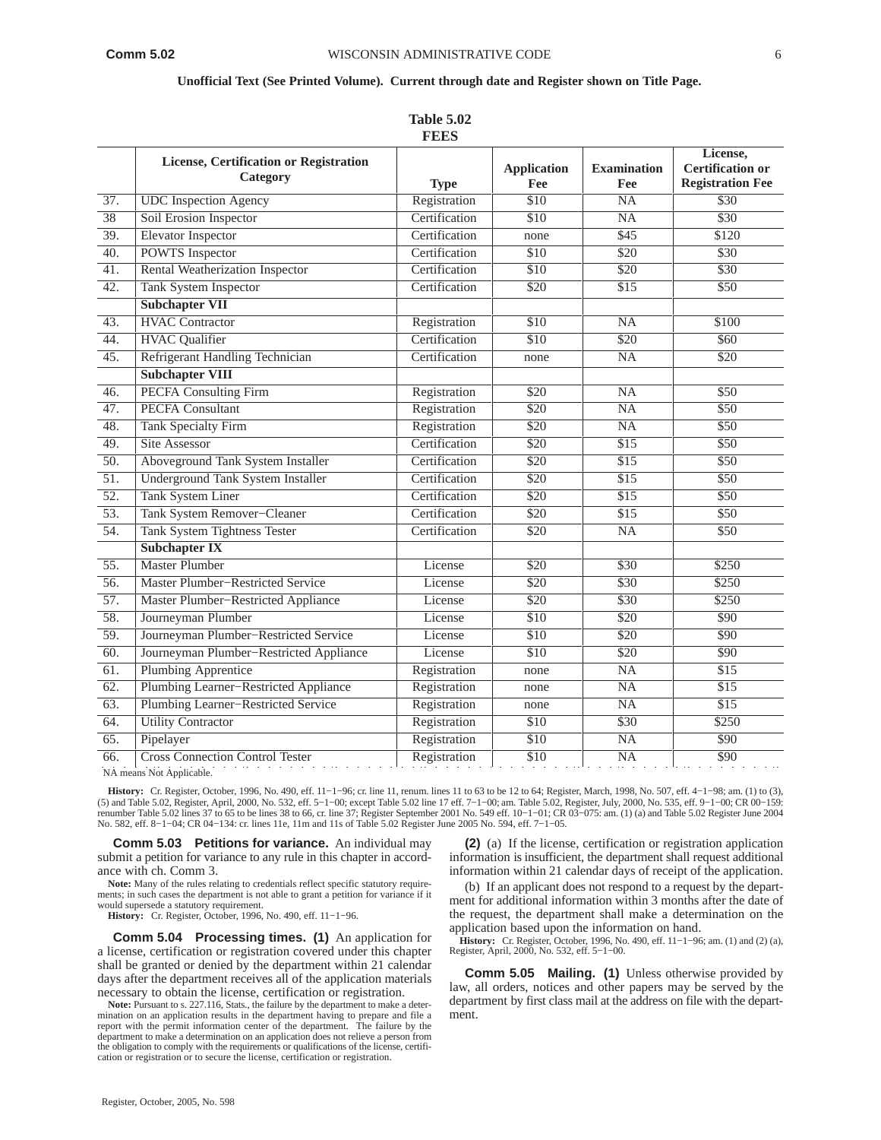**Table 5.02**

|     |                                                    | <b>FEES</b>   |                           |                           |                                                                |
|-----|----------------------------------------------------|---------------|---------------------------|---------------------------|----------------------------------------------------------------|
|     | License, Certification or Registration<br>Category | <b>Type</b>   | <b>Application</b><br>Fee | <b>Examination</b><br>Fee | License,<br><b>Certification or</b><br><b>Registration Fee</b> |
| 37. | <b>UDC</b> Inspection Agency                       | Registration  | \$10                      | <b>NA</b>                 | \$30                                                           |
| 38  | Soil Erosion Inspector                             | Certification | \$10                      | NA                        | \$30                                                           |
| 39. | Elevator Inspector                                 | Certification | none                      | \$45                      | \$120                                                          |
| 40. | <b>POWTS</b> Inspector                             | Certification | \$10                      | \$20                      | \$30                                                           |
| 41. | Rental Weatherization Inspector                    | Certification | \$10                      | \$20                      | \$30                                                           |
| 42. | <b>Tank System Inspector</b>                       | Certification | \$20                      | \$15                      | \$50                                                           |
|     | <b>Subchapter VII</b>                              |               |                           |                           |                                                                |
| 43. | <b>HVAC Contractor</b>                             | Registration  | \$10                      | <b>NA</b>                 | \$100                                                          |
| 44. | <b>HVAC</b> Qualifier                              | Certification | \$10                      | \$20                      | \$60                                                           |
| 45. | Refrigerant Handling Technician                    | Certification | none                      | NA                        | \$20                                                           |
|     | <b>Subchapter VIII</b>                             |               |                           |                           |                                                                |
| 46. | <b>PECFA Consulting Firm</b>                       | Registration  | \$20                      | NA                        | \$50                                                           |
| 47. | <b>PECFA Consultant</b>                            | Registration  | \$20                      | NA                        | \$50                                                           |
| 48. | <b>Tank Specialty Firm</b>                         | Registration  | \$20                      | NA                        | \$50                                                           |
| 49. | Site Assessor                                      | Certification | \$20                      | \$15                      | \$50                                                           |
| 50. | Aboveground Tank System Installer                  | Certification | \$20                      | \$15                      | \$50                                                           |
| 51. | <b>Underground Tank System Installer</b>           | Certification | \$20                      | \$15                      | \$50                                                           |
| 52. | <b>Tank System Liner</b>                           | Certification | \$20                      | \$15                      | \$50                                                           |
| 53. | Tank System Remover-Cleaner                        | Certification | \$20                      | \$15                      | \$50                                                           |
| 54. | Tank System Tightness Tester                       | Certification | \$20                      | NA                        | \$50                                                           |
|     | <b>Subchapter IX</b>                               |               |                           |                           |                                                                |
| 55. | <b>Master Plumber</b>                              | License       | \$20                      | \$30                      | \$250                                                          |
| 56. | Master Plumber-Restricted Service                  | License       | \$20                      | \$30                      | \$250                                                          |
| 57. | Master Plumber-Restricted Appliance                | License       | \$20                      | \$30                      | \$250                                                          |
| 58. | Journeyman Plumber                                 | License       | \$10                      | \$20                      | \$90                                                           |
| 59. | Journeyman Plumber-Restricted Service              | License       | \$10                      | \$20                      | \$90                                                           |
| 60. | Journeyman Plumber-Restricted Appliance            | License       | \$10                      | \$20                      | \$90                                                           |
| 61. | <b>Plumbing Apprentice</b>                         | Registration  | none                      | <b>NA</b>                 | $\overline{$15}$                                               |
| 62. | Plumbing Learner-Restricted Appliance              | Registration  | none                      | <b>NA</b>                 | \$15                                                           |
| 63. | Plumbing Learner-Restricted Service                | Registration  | none                      | NA                        | \$15                                                           |
| 64. | <b>Utility Contractor</b>                          | Registration  | \$10                      | \$30                      | \$250                                                          |
| 65. | Pipelayer                                          | Registration  | \$10                      | NA                        | \$90                                                           |
| 66. | <b>Cross Connection Control Tester</b>             | Registration  | \$10                      | NA                        | \$90                                                           |

NA means Not Applicable.<br>**History:** Cr. Register, October, 1996, No. 490, eff. 11–1–96; cr. line 11, renum. lines 11 to 63 to be 12 to 64; Register, March, 1998, No. 507, eff. 4–1–98; am. (1) to (3), (5) and Table 5.02, Register, April, 2000, No. 532, eff. 5-1-00; except Table 5.02 line 17 eff. 7-1-00; am. Table 5.02, Register, July, 2000, No. 535, eff. 9-1-00; CR 00-159: renumber Table 5.02 lines 37 to 65 to be lines 38 to 66, cr. line 37; Register September 2001 No. 549 eff. 10−1−01; CR 03−075: am. (1) (a) and Table 5.02 Register June 2004 No. 582, eff. 8−1−04; CR 04−134: cr. lines 11e, 11m and 11s of Table 5.02 Register June 2005 No. 594, eff. 7−1−05.

**Comm 5.03 Petitions for variance.** An individual may submit a petition for variance to any rule in this chapter in accordance with ch. Comm 3.

**Note:** Many of the rules relating to credentials reflect specific statutory requirements; in such cases the department is not able to grant a petition for variance if it would supersede a statutory requirement.

**History:** Cr. Register, October, 1996, No. 490, eff. 11−1−96.

**Comm 5.04 Processing times. (1)** An application for a license, certification or registration covered under this chapter shall be granted or denied by the department within 21 calendar days after the department receives all of the application materials necessary to obtain the license, certification or registration.

**Note:** Pursuant to s. 227.116, Stats., the failure by the department to make a determination on an application results in the department having to prepare and file a report with the permit information center of the department. The failure by the department to make a determination on an application does not relieve a person from the obligation to comply with the requirements or qualifications of the license, certifi-cation or registration or to secure the license, certification or registration.

**(2)** (a) If the license, certification or registration application information is insufficient, the department shall request additional information within 21 calendar days of receipt of the application.

(b) If an applicant does not respond to a request by the department for additional information within 3 months after the date of the request, the department shall make a determination on the application based upon the information on hand.

**History:** Cr. Register, October, 1996, No. 490, eff. 11–1–96; am. (1) and (2) (a), Register, April, 2000, No. 532, eff. 5–1–00.

**Comm 5.05 Mailing. (1)** Unless otherwise provided by law, all orders, notices and other papers may be served by the department by first class mail at the address on file with the department.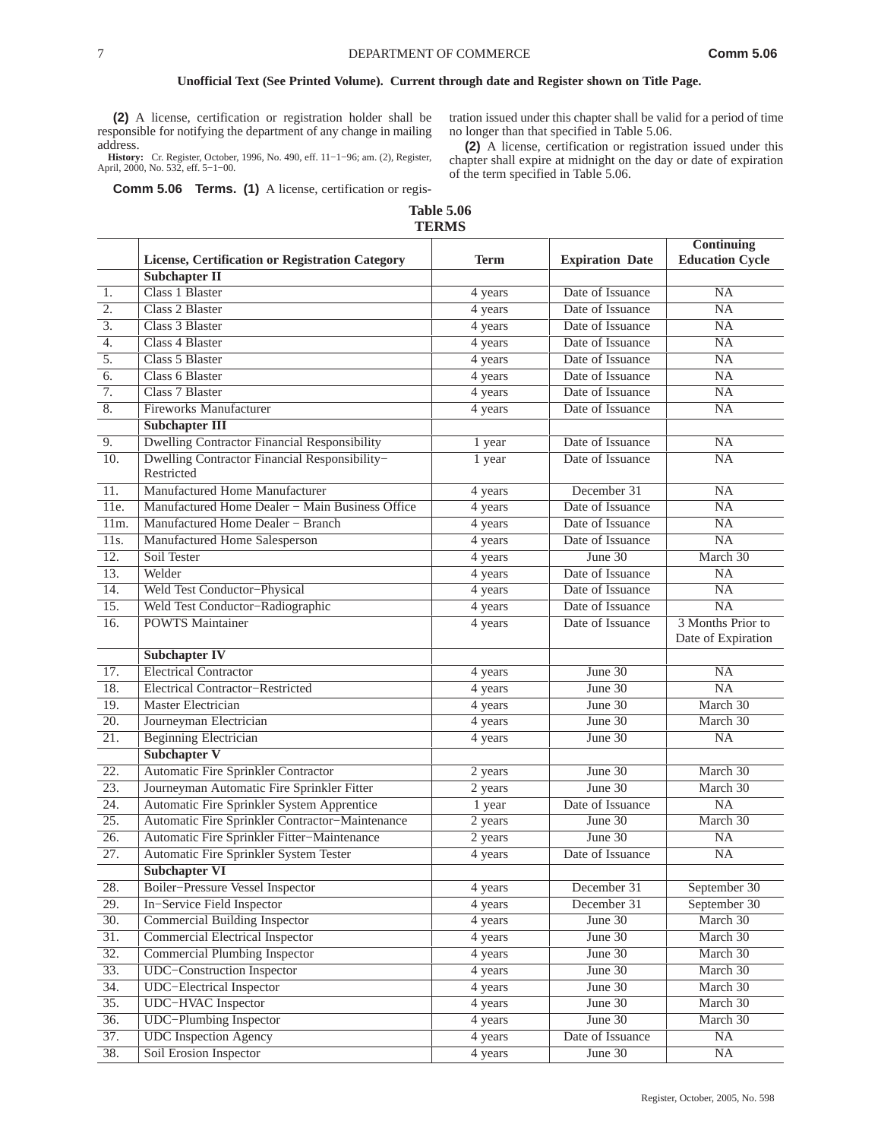**Table 5.06 TERMS**

**(2)** A license, certification or registration holder shall be responsible for notifying the department of any change in mailing address.

**History:** Cr. Register, October, 1996, No. 490, eff. 11−1−96; am. (2), Register, April, 2000, No. 532, eff. 5−1−00.

**Comm 5.06 Terms. (1)** A license, certification or regis-

tration issued under this chapter shall be valid for a period of time no longer than that specified in Table 5.06.

**(2)** A license, certification or registration issued under this chapter shall expire at midnight on the day or date of expiration of the term specified in Table 5.06.

,我们就会在这里,我们就会在这里,我们就会在这里,我们就会在这里,我们就会在这里,我们就会在这里,我们就会在这里,我们就会在这里,我们就会在这里,我们就会在这里

|                  | ********                                                    |                      |                        | <b>Continuing</b>                       |
|------------------|-------------------------------------------------------------|----------------------|------------------------|-----------------------------------------|
|                  | License, Certification or Registration Category             | <b>Term</b>          | <b>Expiration Date</b> | <b>Education Cycle</b>                  |
|                  | Subchapter II                                               |                      |                        |                                         |
| 1.               | Class 1 Blaster                                             | 4 years              | Date of Issuance       | <b>NA</b>                               |
| $\overline{2}$ . | Class 2 Blaster                                             | 4 years              | Date of Issuance       | NA                                      |
| $\overline{3}$ . | Class 3 Blaster                                             | 4 years              | Date of Issuance       | NA                                      |
| $\overline{4}$ . | Class 4 Blaster                                             | 4 years              | Date of Issuance       | NA                                      |
| 5.               | Class 5 Blaster                                             | 4 years              | Date of Issuance       | NA                                      |
| 6.               | Class 6 Blaster                                             | 4 years              | Date of Issuance       | NA                                      |
| 7.               | Class 7 Blaster                                             | 4 years              | Date of Issuance       | NA                                      |
| 8.               | <b>Fireworks Manufacturer</b>                               | 4 years              | Date of Issuance       | <b>NA</b>                               |
|                  | <b>Subchapter III</b>                                       |                      |                        |                                         |
| 9.               | <b>Dwelling Contractor Financial Responsibility</b>         | 1 year               | Date of Issuance       | NA                                      |
| 10.              | Dwelling Contractor Financial Responsibility-<br>Restricted | 1 year               | Date of Issuance       | NA                                      |
| 11.              | Manufactured Home Manufacturer                              | 4 years              | December 31            | NA                                      |
| 11e.             | Manufactured Home Dealer - Main Business Office             | 4 years              | Date of Issuance       | NA                                      |
| $11m$ .          | Manufactured Home Dealer - Branch                           | 4 years              | Date of Issuance       | <b>NA</b>                               |
| 11s.             | Manufactured Home Salesperson                               | 4 years              | Date of Issuance       | NA                                      |
| 12.              | Soil Tester                                                 | 4 years              | June 30                | March 30                                |
| 13.              | Welder                                                      | 4 years              | Date of Issuance       | <b>NA</b>                               |
| 14.              | Weld Test Conductor-Physical                                | 4 years              | Date of Issuance       | NA                                      |
| 15.              | Weld Test Conductor-Radiographic                            | 4 years              | Date of Issuance       | NA                                      |
| 16.              | <b>POWTS</b> Maintainer                                     | $\overline{4}$ years | Date of Issuance       | 3 Months Prior to<br>Date of Expiration |
|                  | <b>Subchapter IV</b>                                        |                      |                        |                                         |
| 17.              | <b>Electrical Contractor</b>                                | 4 years              | June 30                | <b>NA</b>                               |
| 18.              | Electrical Contractor-Restricted                            | 4 years              | June 30                | NA                                      |
| 19.              | <b>Master Electrician</b>                                   | 4 years              | June 30                | March 30                                |
| 20.              | Journeyman Electrician                                      | 4 years              | June 30                | March 30                                |
| 21.              | <b>Beginning Electrician</b>                                | 4 years              | June 30                | NA                                      |
|                  | <b>Subchapter V</b>                                         |                      |                        |                                         |
| 22.              | Automatic Fire Sprinkler Contractor                         | 2 years              | June 30                | March 30                                |
| 23.              | Journeyman Automatic Fire Sprinkler Fitter                  | 2 years              | June 30                | March 30                                |
| 24.              | Automatic Fire Sprinkler System Apprentice                  | 1 year               | Date of Issuance       | NA                                      |
| 25.              | Automatic Fire Sprinkler Contractor-Maintenance             | 2 years              | June 30                | March 30                                |
| 26.              | Automatic Fire Sprinkler Fitter-Maintenance                 | 2 years              | June 30                | <b>NA</b>                               |
| 27.              | Automatic Fire Sprinkler System Tester                      | 4 years              | Date of Issuance       | NA                                      |
|                  | <b>Subchapter VI</b>                                        |                      |                        |                                         |
| 28.              | <b>Boiler-Pressure Vessel Inspector</b>                     | 4 years              | December 31            | September 30                            |
| 29.              | In-Service Field Inspector                                  | 4 years              | December 31            | September 30                            |
| 30.              | <b>Commercial Building Inspector</b>                        |                      | June $30$              | March 30                                |
| 31.              | <b>Commercial Electrical Inspector</b>                      | 4 years              |                        |                                         |
| 32.              |                                                             | 4 years              | June 30                | March 30                                |
|                  | <b>Commercial Plumbing Inspector</b>                        | 4 years              | June 30                | March 30                                |
| 33.              | <b>UDC-Construction Inspector</b>                           | 4 years              | June 30                | March 30                                |
| 34.              | <b>UDC-Electrical Inspector</b>                             | 4 years              | June 30                | March 30                                |
| 35.              | UDC-HVAC Inspector                                          | 4 years              | June 30                | March 30                                |
| 36.              | <b>UDC-Plumbing Inspector</b>                               | 4 years              | June 30                | March 30                                |
| 37.              | <b>UDC</b> Inspection Agency                                | 4 years              | Date of Issuance       | <b>NA</b>                               |
| 38.              | Soil Erosion Inspector                                      | 4 years              | June 30                | NA                                      |

,我们就是一个人的事情,我们就是一个人的事情。""我们,我们就是我们的事情。""我们,我们就是我们的事情。""我们,我们就是我们的事情。""我们,我们就是我们的

the contract of the contract of the contract of the contract of the contract of the contract of the contract of

,我们就是一个人的事情,我们就是一个人的事情。""我们,我们就是我们的事情。""我们,我们就是我们的事情。""我们,我们就是我们的事情。""我们,我们就是我们的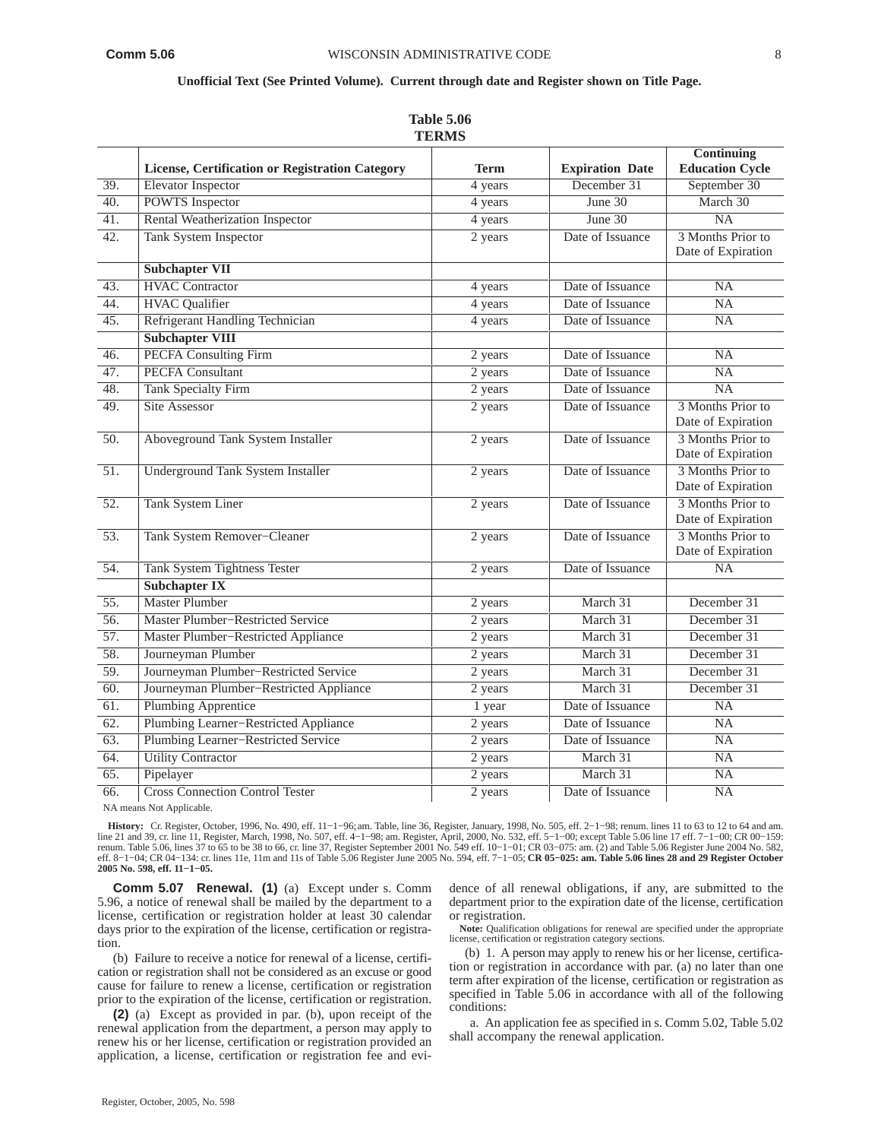|                                  |                                                 | <b>TERMS</b> |                        |                                             |
|----------------------------------|-------------------------------------------------|--------------|------------------------|---------------------------------------------|
|                                  | License, Certification or Registration Category | <b>Term</b>  | <b>Expiration Date</b> | <b>Continuing</b><br><b>Education Cycle</b> |
| Elevator Inspector<br>39.        |                                                 | 4 years      | December 31            | September 30                                |
| 40.<br><b>POWTS</b> Inspector    |                                                 | 4 years      | June 30                | March 30                                    |
| 41.                              | Rental Weatherization Inspector                 | 4 years      | June 30                | NA                                          |
| 42.                              | Tank System Inspector                           | 2 years      | Date of Issuance       | 3 Months Prior to<br>Date of Expiration     |
| <b>Subchapter VII</b>            |                                                 |              |                        |                                             |
| <b>HVAC</b> Contractor<br>43.    |                                                 | 4 years      | Date of Issuance       | NA                                          |
| <b>HVAC</b> Qualifier<br>44.     |                                                 | 4 years      | Date of Issuance       | NA                                          |
| 45.                              | Refrigerant Handling Technician                 | 4 years      | Date of Issuance       | NA                                          |
| <b>Subchapter VIII</b>           |                                                 |              |                        |                                             |
| 46.                              | <b>PECFA Consulting Firm</b>                    | 2 years      | Date of Issuance       | NA                                          |
| <b>PECFA Consultant</b><br>47.   |                                                 | 2 years      | Date of Issuance       | NA                                          |
| 48.                              | <b>Tank Specialty Firm</b>                      | 2 years      | Date of Issuance       | NA                                          |
| 49.<br>Site Assessor             |                                                 | 2 years      | Date of Issuance       | 3 Months Prior to                           |
|                                  |                                                 |              |                        | Date of Expiration                          |
| 50.                              | Aboveground Tank System Installer               | 2 years      | Date of Issuance       | 3 Months Prior to                           |
|                                  |                                                 |              |                        | Date of Expiration                          |
| 51.                              | <b>Underground Tank System Installer</b>        | 2 years      | Date of Issuance       | 3 Months Prior to                           |
|                                  |                                                 |              |                        | Date of Expiration                          |
| 52.                              | <b>Tank System Liner</b>                        | 2 years      | Date of Issuance       | 3 Months Prior to                           |
|                                  |                                                 |              |                        | Date of Expiration                          |
| 53.                              | Tank System Remover-Cleaner                     | 2 years      | Date of Issuance       | 3 Months Prior to                           |
|                                  |                                                 |              |                        | Date of Expiration                          |
| 54.                              | Tank System Tightness Tester                    | 2 years      | Date of Issuance       | NA                                          |
| <b>Subchapter IX</b>             |                                                 |              |                        |                                             |
| <b>Master Plumber</b><br>55.     |                                                 | 2 years      | March 31               | December 31                                 |
| 56.                              | Master Plumber-Restricted Service               | 2 years      | March 31               | December 31                                 |
| 57.                              | Master Plumber-Restricted Appliance             | 2 years      | March 31               | December 31                                 |
| 58.                              | Journeyman Plumber                              | 2 years      | March 31               | December 31                                 |
| 59.                              | Journeyman Plumber-Restricted Service           | 2 years      | March 31               | December 31                                 |
| 60.                              | Journeyman Plumber-Restricted Appliance         | 2 years      | March 31               | December 31                                 |
| 61.                              | <b>Plumbing Apprentice</b>                      | 1 year       | Date of Issuance       | NA                                          |
| 62.                              | Plumbing Learner-Restricted Appliance           | 2 years      | Date of Issuance       | NA                                          |
| 63.                              | Plumbing Learner-Restricted Service             | 2 years      | Date of Issuance       | NA                                          |
| <b>Utility Contractor</b><br>64. |                                                 | 2 years      | March 31               | <b>NA</b>                                   |
| 65.<br>Pipelayer                 |                                                 | 2 years      | March 31               | NA                                          |
| 66.                              | <b>Cross Connection Control Tester</b>          | 2 years      | Date of Issuance       | NA                                          |
| NA means Not Applicable          |                                                 |              |                        |                                             |

**Table 5.06**

NA means Not Applicable.

 renum. Table 5.06, lines 37 to 65 to be 38 to 66, cr. line 37, Register September 2001 No. 549 eff. 10−1−01; CR 03−075: am. (2) and Table 5.06 Register June 2004 No. 582, **History:** Cr. Register, October, 1996, No. 490, eff. 11–1–96; am. Table, line 36, Register, January, 1998, No. 505, eff. 2–1–98; renum. lines 11 to 63 to 12 to 64 and am.<br>line 21 and 39, cr. line 11, Register, March, 1998 eff. 8−1−04; CR 04−134: cr. lines 11e, 11m and 11s of Table 5.06 Register June 2005 No. 594, eff. 7−1−05; **CR 05−025: am. Table 5.06 lines 28 and 29 Register October 2005 No. 598, eff. 11−1−05.**

**Comm 5.07 Renewal. (1)** (a) Except under s. Comm 5.96, a notice of renewal shall be mailed by the department to a license, certification or registration holder at least 30 calendar days prior to the expiration of the license, certification or registration.

(b) Failure to receive a notice for renewal of a license, certification or registration shall not be considered as an excuse or good cause for failure to renew a license, certification or registration prior to the expiration of the license, certification or registration.

**(2)** (a) Except as provided in par. (b), upon receipt of the renewal application from the department, a person may apply to renew his or her license, certification or registration provided an application, a license, certification or registration fee and evidence of all renewal obligations, if any, are submitted to the department prior to the expiration date of the license, certification or registration.

**Note:** Qualification obligations for renewal are specified under the appropriate license, certification or registration category sections.

(b) 1. A person may apply to renew his or her license, certification or registration in accordance with par. (a) no later than one term after expiration of the license, certification or registration as specified in Table 5.06 in accordance with all of the following conditions:

a. An application fee as specified in s. Comm 5.02, Table 5.02 shall accompany the renewal application.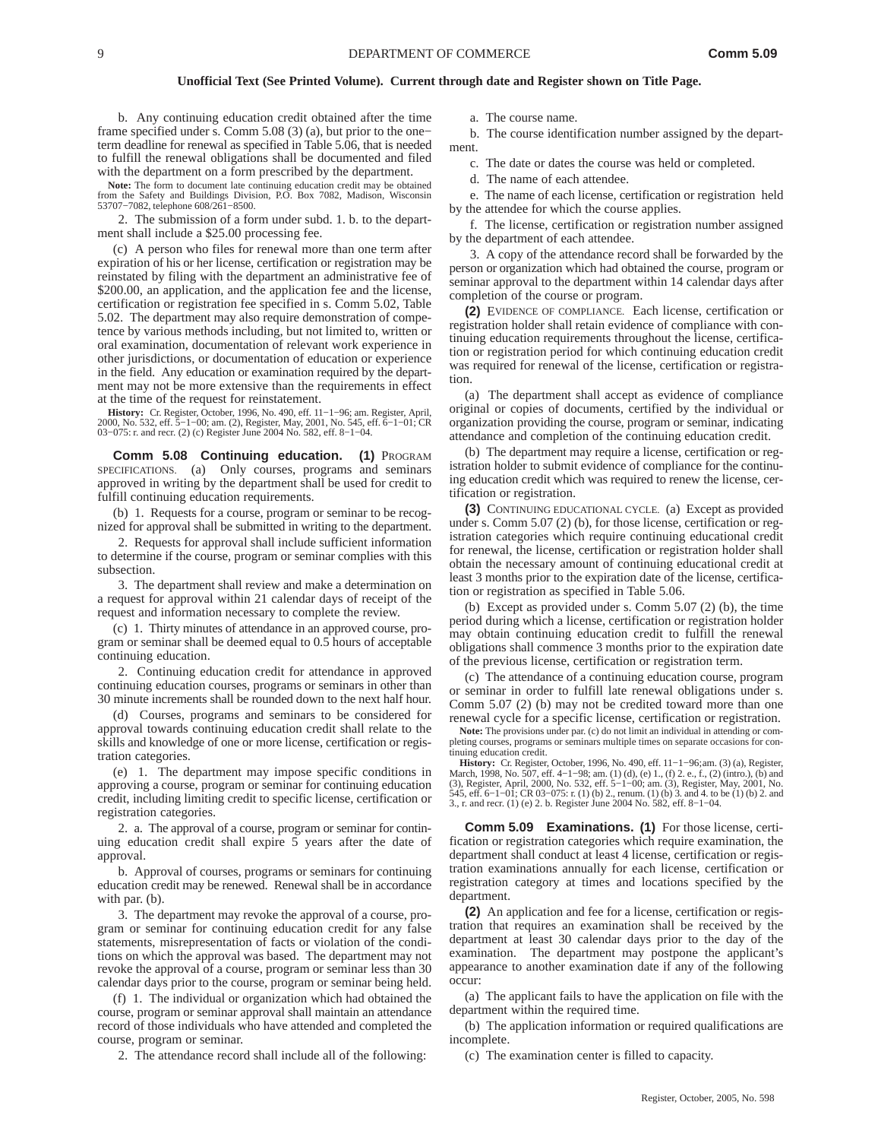b. Any continuing education credit obtained after the time frame specified under s. Comm 5.08 (3) (a), but prior to the one− term deadline for renewal as specified in Table 5.06, that is needed to fulfill the renewal obligations shall be documented and filed with the department on a form prescribed by the department.

Note: The form to document late continuing education credit may be obtained from the Safety and Buildings Division, P.O. Box 7082, Madison, Wisconsin 53707−7082, telephone 608/261−8500.

2. The submission of a form under subd. 1. b. to the department shall include a \$25.00 processing fee.

(c) A person who files for renewal more than one term after expiration of his or her license, certification or registration may be reinstated by filing with the department an administrative fee of \$200.00, an application, and the application fee and the license, certification or registration fee specified in s. Comm 5.02, Table 5.02. The department may also require demonstration of competence by various methods including, but not limited to, written or oral examination, documentation of relevant work experience in other jurisdictions, or documentation of education or experience in the field. Any education or examination required by the department may not be more extensive than the requirements in effect at the time of the request for reinstatement.

**History:** Cr. Register, October, 1996, No. 490, eff. 11−1−96; am. Register, April, 2000, No. 532, eff. 5−1−00; am. (2), Register, May, 2001, No. 545, eff. 6−1−01; CR 03−075: r. and recr. (2) (c) Register June 2004 No. 582, eff. 8−1−04.

**Comm 5.08 Continuing education. (1)** PROGRAM SPECIFICATIONS. (a) Only courses, programs and seminars approved in writing by the department shall be used for credit to fulfill continuing education requirements.

(b) 1. Requests for a course, program or seminar to be recognized for approval shall be submitted in writing to the department.

2. Requests for approval shall include sufficient information to determine if the course, program or seminar complies with this subsection.

3. The department shall review and make a determination on a request for approval within 21 calendar days of receipt of the request and information necessary to complete the review.

(c) 1. Thirty minutes of attendance in an approved course, program or seminar shall be deemed equal to 0.5 hours of acceptable continuing education.

2. Continuing education credit for attendance in approved continuing education courses, programs or seminars in other than 30 minute increments shall be rounded down to the next half hour.

(d) Courses, programs and seminars to be considered for approval towards continuing education credit shall relate to the skills and knowledge of one or more license, certification or registration categories.

(e) 1. The department may impose specific conditions in approving a course, program or seminar for continuing education credit, including limiting credit to specific license, certification or registration categories.

2. a. The approval of a course, program or seminar for continuing education credit shall expire 5 years after the date of approval.

b. Approval of courses, programs or seminars for continuing education credit may be renewed. Renewal shall be in accordance with par. (b).

3. The department may revoke the approval of a course, program or seminar for continuing education credit for any false statements, misrepresentation of facts or violation of the conditions on which the approval was based. The department may not revoke the approval of a course, program or seminar less than 30 calendar days prior to the course, program or seminar being held.

(f) 1. The individual or organization which had obtained the course, program or seminar approval shall maintain an attendance record of those individuals who have attended and completed the course, program or seminar.

2. The attendance record shall include all of the following:

a. The course name.

b. The course identification number assigned by the department.

c. The date or dates the course was held or completed.

d. The name of each attendee.

e. The name of each license, certification or registration held by the attendee for which the course applies.

f. The license, certification or registration number assigned by the department of each attendee.

3. A copy of the attendance record shall be forwarded by the person or organization which had obtained the course, program or seminar approval to the department within 14 calendar days after completion of the course or program.

**(2)** EVIDENCE OF COMPLIANCE. Each license, certification or registration holder shall retain evidence of compliance with continuing education requirements throughout the license, certification or registration period for which continuing education credit was required for renewal of the license, certification or registration.

(a) The department shall accept as evidence of compliance original or copies of documents, certified by the individual or organization providing the course, program or seminar, indicating attendance and completion of the continuing education credit.

(b) The department may require a license, certification or registration holder to submit evidence of compliance for the continuing education credit which was required to renew the license, certification or registration.

**(3)** CONTINUING EDUCATIONAL CYCLE. (a) Except as provided under s. Comm 5.07 (2) (b), for those license, certification or registration categories which require continuing educational credit for renewal, the license, certification or registration holder shall obtain the necessary amount of continuing educational credit at least 3 months prior to the expiration date of the license, certification or registration as specified in Table 5.06.

(b) Except as provided under s. Comm 5.07 (2) (b), the time period during which a license, certification or registration holder may obtain continuing education credit to fulfill the renewal obligations shall commence 3 months prior to the expiration date of the previous license, certification or registration term.

(c) The attendance of a continuing education course, program or seminar in order to fulfill late renewal obligations under s. Comm 5.07 (2) (b) may not be credited toward more than one renewal cycle for a specific license, certification or registration.

Note: The provisions under par. (c) do not limit an individual in attending or com-<br>pleting courses, programs or seminars multiple times on separate occasions for continuing education credit.

**History:** Cr. Register, October, 1996, No. 490, eff. 11−1−96;am. (3) (a), Register, March, 1998, No. 507, eff. 4–1–98; am. (1) (d), (e) 1., (f) 2. e., f., (2) (intro.), (b) and<br>(3), Register, April, 2000, No. 532, eff. 5–1–00; am. (3), Register, May, 2001, No.<br>545, eff. 6–1–01; CR 03–075: r. (1) (b) 2., r 3., r. and recr. (1) (e) 2. b. Register June 2004 No. 582, eff. 8−1−04.

**Comm 5.09 Examinations. (1)** For those license, certification or registration categories which require examination, the department shall conduct at least 4 license, certification or registration examinations annually for each license, certification or registration category at times and locations specified by the department.

**(2)** An application and fee for a license, certification or registration that requires an examination shall be received by the department at least 30 calendar days prior to the day of the examination. The department may postpone the applicant's appearance to another examination date if any of the following occur:

(a) The applicant fails to have the application on file with the department within the required time.

(b) The application information or required qualifications are incomplete.

(c) The examination center is filled to capacity.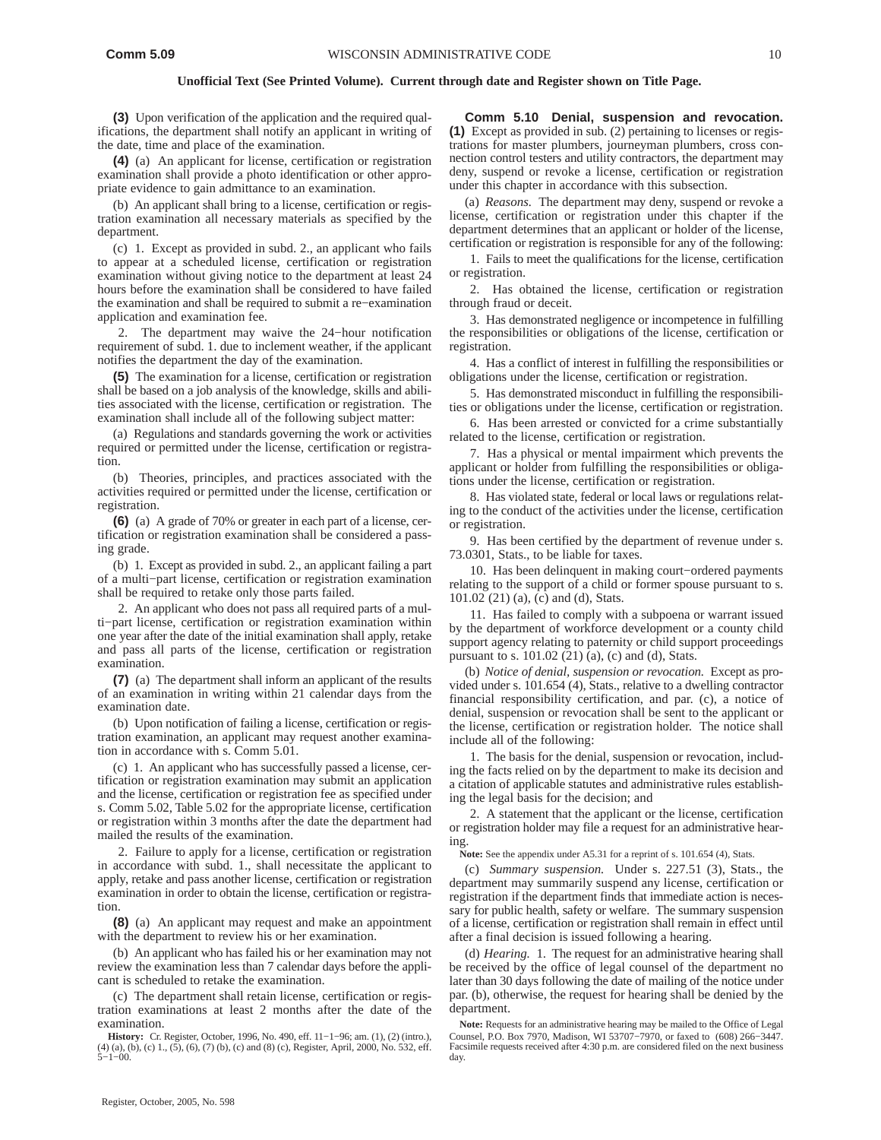**(3)** Upon verification of the application and the required qualifications, the department shall notify an applicant in writing of the date, time and place of the examination.

**(4)** (a) An applicant for license, certification or registration examination shall provide a photo identification or other appropriate evidence to gain admittance to an examination.

(b) An applicant shall bring to a license, certification or registration examination all necessary materials as specified by the department.

(c) 1. Except as provided in subd. 2., an applicant who fails to appear at a scheduled license, certification or registration examination without giving notice to the department at least 24 hours before the examination shall be considered to have failed the examination and shall be required to submit a re−examination application and examination fee.

2. The department may waive the 24−hour notification requirement of subd. 1. due to inclement weather, if the applicant notifies the department the day of the examination.

**(5)** The examination for a license, certification or registration shall be based on a job analysis of the knowledge, skills and abilities associated with the license, certification or registration. The examination shall include all of the following subject matter:

(a) Regulations and standards governing the work or activities required or permitted under the license, certification or registration.

(b) Theories, principles, and practices associated with the activities required or permitted under the license, certification or registration.

**(6)** (a) A grade of 70% or greater in each part of a license, certification or registration examination shall be considered a passing grade.

(b) 1. Except as provided in subd. 2., an applicant failing a part of a multi−part license, certification or registration examination shall be required to retake only those parts failed.

2. An applicant who does not pass all required parts of a multi−part license, certification or registration examination within one year after the date of the initial examination shall apply, retake and pass all parts of the license, certification or registration examination.

**(7)** (a) The department shall inform an applicant of the results of an examination in writing within 21 calendar days from the examination date.

(b) Upon notification of failing a license, certification or registration examination, an applicant may request another examination in accordance with s. Comm 5.01.

(c) 1. An applicant who has successfully passed a license, certification or registration examination may submit an application and the license, certification or registration fee as specified under s. Comm 5.02, Table 5.02 for the appropriate license, certification or registration within 3 months after the date the department had mailed the results of the examination.

2. Failure to apply for a license, certification or registration in accordance with subd. 1., shall necessitate the applicant to apply, retake and pass another license, certification or registration examination in order to obtain the license, certification or registration.

**(8)** (a) An applicant may request and make an appointment with the department to review his or her examination.

(b) An applicant who has failed his or her examination may not review the examination less than 7 calendar days before the applicant is scheduled to retake the examination.

(c) The department shall retain license, certification or registration examinations at least 2 months after the date of the examination.

**History:** Cr. Register, October, 1996, No. 490, eff. 11−1−96; am. (1), (2) (intro.), (4) (a), (b), (c) 1., (5), (6), (7) (b), (c) and (8) (c), Register, April, 2000, No. 532, eff. 5−1−00.

**Comm 5.10 Denial, suspension and revocation. (1)** Except as provided in sub. (2) pertaining to licenses or registrations for master plumbers, journeyman plumbers, cross connection control testers and utility contractors, the department may deny, suspend or revoke a license, certification or registration under this chapter in accordance with this subsection.

(a) *Reasons.* The department may deny, suspend or revoke a license, certification or registration under this chapter if the department determines that an applicant or holder of the license, certification or registration is responsible for any of the following:

1. Fails to meet the qualifications for the license, certification or registration.

2. Has obtained the license, certification or registration through fraud or deceit.

3. Has demonstrated negligence or incompetence in fulfilling the responsibilities or obligations of the license, certification or registration.

4. Has a conflict of interest in fulfilling the responsibilities or obligations under the license, certification or registration.

5. Has demonstrated misconduct in fulfilling the responsibilities or obligations under the license, certification or registration.

6. Has been arrested or convicted for a crime substantially related to the license, certification or registration.

7. Has a physical or mental impairment which prevents the applicant or holder from fulfilling the responsibilities or obligations under the license, certification or registration.

8. Has violated state, federal or local laws or regulations relating to the conduct of the activities under the license, certification or registration.

9. Has been certified by the department of revenue under s. 73.0301, Stats., to be liable for taxes.

10. Has been delinquent in making court−ordered payments relating to the support of a child or former spouse pursuant to s. 101.02 (21) (a), (c) and (d), Stats.

11. Has failed to comply with a subpoena or warrant issued by the department of workforce development or a county child support agency relating to paternity or child support proceedings pursuant to s. 101.02 (21) (a), (c) and (d), Stats.

(b) *Notice of denial, suspension or revocation.* Except as provided under s. 101.654 (4), Stats., relative to a dwelling contractor financial responsibility certification, and par. (c), a notice of denial, suspension or revocation shall be sent to the applicant or the license, certification or registration holder. The notice shall include all of the following:

1. The basis for the denial, suspension or revocation, including the facts relied on by the department to make its decision and a citation of applicable statutes and administrative rules establishing the legal basis for the decision; and

2. A statement that the applicant or the license, certification or registration holder may file a request for an administrative hearing.

**Note:** See the appendix under A5.31 for a reprint of s. 101.654 (4), Stats.

(c) *Summary suspension.* Under s. 227.51 (3), Stats., the department may summarily suspend any license, certification or registration if the department finds that immediate action is necessary for public health, safety or welfare. The summary suspension of a license, certification or registration shall remain in effect until after a final decision is issued following a hearing.

(d) *Hearing.* 1. The request for an administrative hearing shall be received by the office of legal counsel of the department no later than 30 days following the date of mailing of the notice under par. (b), otherwise, the request for hearing shall be denied by the department.

**Note:** Requests for an administrative hearing may be mailed to the Office of Legal Counsel, P.O. Box 7970, Madison, WI 53707−7970, or faxed to (608) 266−3447. Facsimile requests received after 4:30 p.m. are considered filed on the next business day.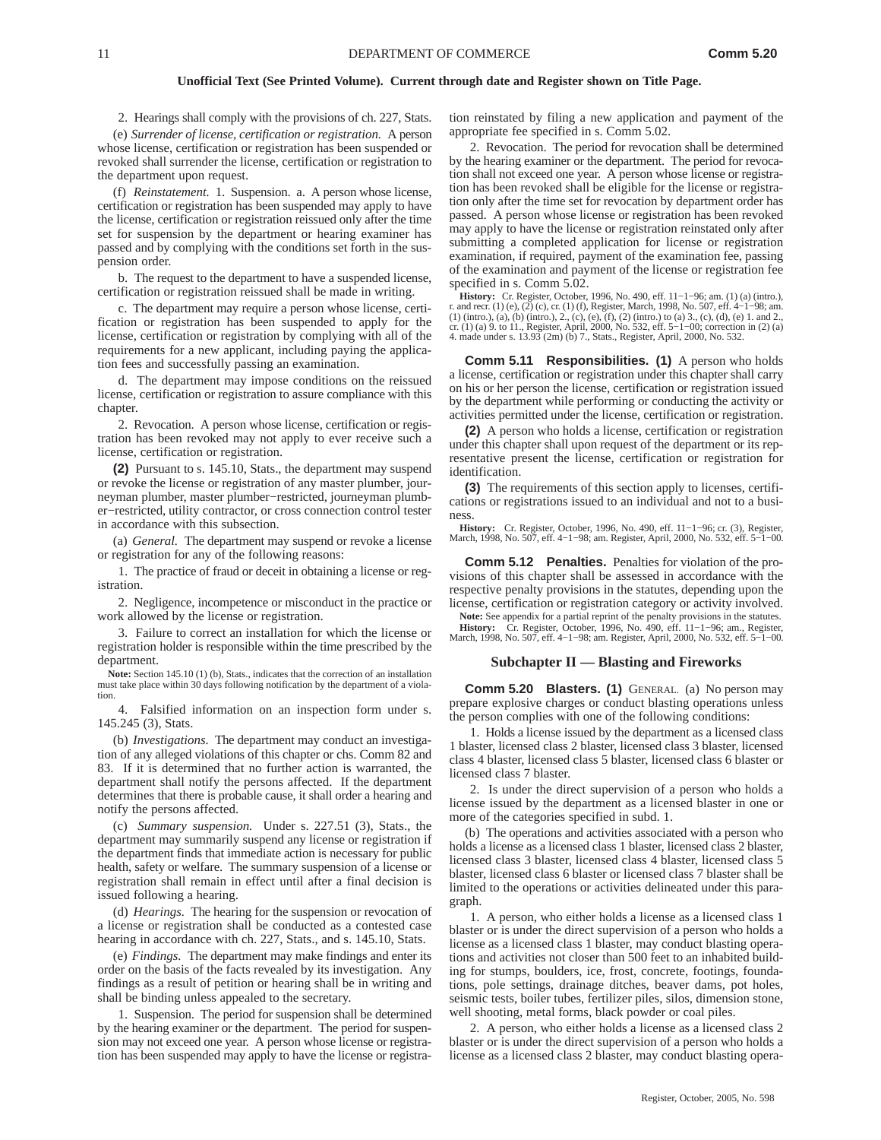2. Hearings shall comply with the provisions of ch. 227, Stats.

(e) *Surrender of license, certification or registration.* A person whose license, certification or registration has been suspended or revoked shall surrender the license, certification or registration to the department upon request.

(f) *Reinstatement.* 1. Suspension. a. A person whose license, certification or registration has been suspended may apply to have the license, certification or registration reissued only after the time set for suspension by the department or hearing examiner has passed and by complying with the conditions set forth in the suspension order.

b. The request to the department to have a suspended license, certification or registration reissued shall be made in writing.

c. The department may require a person whose license, certification or registration has been suspended to apply for the license, certification or registration by complying with all of the requirements for a new applicant, including paying the application fees and successfully passing an examination.

d. The department may impose conditions on the reissued license, certification or registration to assure compliance with this chapter.

2. Revocation. A person whose license, certification or registration has been revoked may not apply to ever receive such a license, certification or registration.

**(2)** Pursuant to s. 145.10, Stats., the department may suspend or revoke the license or registration of any master plumber, journeyman plumber, master plumber−restricted, journeyman plumber−restricted, utility contractor, or cross connection control tester in accordance with this subsection.

(a) *General.* The department may suspend or revoke a license or registration for any of the following reasons:

1. The practice of fraud or deceit in obtaining a license or registration.

2. Negligence, incompetence or misconduct in the practice or work allowed by the license or registration.

3. Failure to correct an installation for which the license or registration holder is responsible within the time prescribed by the department.

**Note:** Section 145.10 (1) (b), Stats., indicates that the correction of an installation must take place within 30 days following notification by the department of a violation.

4. Falsified information on an inspection form under s. 145.245 (3), Stats.

(b) *Investigations.* The department may conduct an investigation of any alleged violations of this chapter or chs. Comm 82 and 83. If it is determined that no further action is warranted, the department shall notify the persons affected. If the department determines that there is probable cause, it shall order a hearing and notify the persons affected.

(c) *Summary suspension.* Under s. 227.51 (3), Stats., the department may summarily suspend any license or registration if the department finds that immediate action is necessary for public health, safety or welfare. The summary suspension of a license or registration shall remain in effect until after a final decision is issued following a hearing.

(d) *Hearings.* The hearing for the suspension or revocation of a license or registration shall be conducted as a contested case hearing in accordance with ch. 227, Stats., and s. 145.10, Stats.

(e) *Findings.* The department may make findings and enter its order on the basis of the facts revealed by its investigation. Any findings as a result of petition or hearing shall be in writing and shall be binding unless appealed to the secretary.

1. Suspension. The period for suspension shall be determined by the hearing examiner or the department. The period for suspension may not exceed one year. A person whose license or registration has been suspended may apply to have the license or registration reinstated by filing a new application and payment of the appropriate fee specified in s. Comm 5.02.

2. Revocation. The period for revocation shall be determined by the hearing examiner or the department. The period for revocation shall not exceed one year. A person whose license or registration has been revoked shall be eligible for the license or registration only after the time set for revocation by department order has passed. A person whose license or registration has been revoked may apply to have the license or registration reinstated only after submitting a completed application for license or registration examination, if required, payment of the examination fee, passing of the examination and payment of the license or registration fee specified in s. Comm 5.02.

**History:** Cr. Register, October, 1996, No. 490, eff. 11−1−96; am. (1) (a) (intro.), r. and recr. (1) (e), (2) (c), cr. (1) (f), Register, March, 1998, No. 507, eff. 4–1–98; am.<br>(1) (intro.), (a), (b) (intro.), 2., (c), (e), (f), (2) (intro.) to (a) 3., (c), (d), (e) 1. and 2.,<br>cr. (1) (a) 9. to 11., Regis 4. made under s. 13.93 (2m) (b) 7., Stats., Register, April, 2000, No. 532.

**Comm 5.11 Responsibilities. (1)** A person who holds a license, certification or registration under this chapter shall carry on his or her person the license, certification or registration issued by the department while performing or conducting the activity or activities permitted under the license, certification or registration.

**(2)** A person who holds a license, certification or registration under this chapter shall upon request of the department or its representative present the license, certification or registration for identification.

**(3)** The requirements of this section apply to licenses, certifications or registrations issued to an individual and not to a business.

**History:** Cr. Register, October, 1996, No. 490, eff. 11−1−96; cr. (3), Register, March, 1998, No. 507, eff. 4−1−98; am. Register, April, 2000, No. 532, eff. 5−1−00.

**Comm 5.12 Penalties.** Penalties for violation of the provisions of this chapter shall be assessed in accordance with the respective penalty provisions in the statutes, depending upon the license, certification or registration category or activity involved.

**Note:** See appendix for a partial reprint of the penalty provisions in the statutes. **History:** Cr. Register, October, 1996, No. 490, eff. 11−1−96; am., Register, March, 1998, No. 507, eff. 4−1−98; am. Register, April, 2000, No. 532, eff. 5−1−00.

## **Subchapter II — Blasting and Fireworks**

**Comm 5.20 Blasters. (1)** GENERAL. (a) No person may prepare explosive charges or conduct blasting operations unless the person complies with one of the following conditions:

1. Holds a license issued by the department as a licensed class 1 blaster, licensed class 2 blaster, licensed class 3 blaster, licensed class 4 blaster, licensed class 5 blaster, licensed class 6 blaster or licensed class 7 blaster.

2. Is under the direct supervision of a person who holds a license issued by the department as a licensed blaster in one or more of the categories specified in subd. 1.

(b) The operations and activities associated with a person who holds a license as a licensed class 1 blaster, licensed class 2 blaster, licensed class 3 blaster, licensed class 4 blaster, licensed class 5 blaster, licensed class 6 blaster or licensed class 7 blaster shall be limited to the operations or activities delineated under this paragraph.

1. A person, who either holds a license as a licensed class 1 blaster or is under the direct supervision of a person who holds a license as a licensed class 1 blaster, may conduct blasting operations and activities not closer than 500 feet to an inhabited building for stumps, boulders, ice, frost, concrete, footings, foundations, pole settings, drainage ditches, beaver dams, pot holes, seismic tests, boiler tubes, fertilizer piles, silos, dimension stone, well shooting, metal forms, black powder or coal piles.

2. A person, who either holds a license as a licensed class 2 blaster or is under the direct supervision of a person who holds a license as a licensed class 2 blaster, may conduct blasting opera-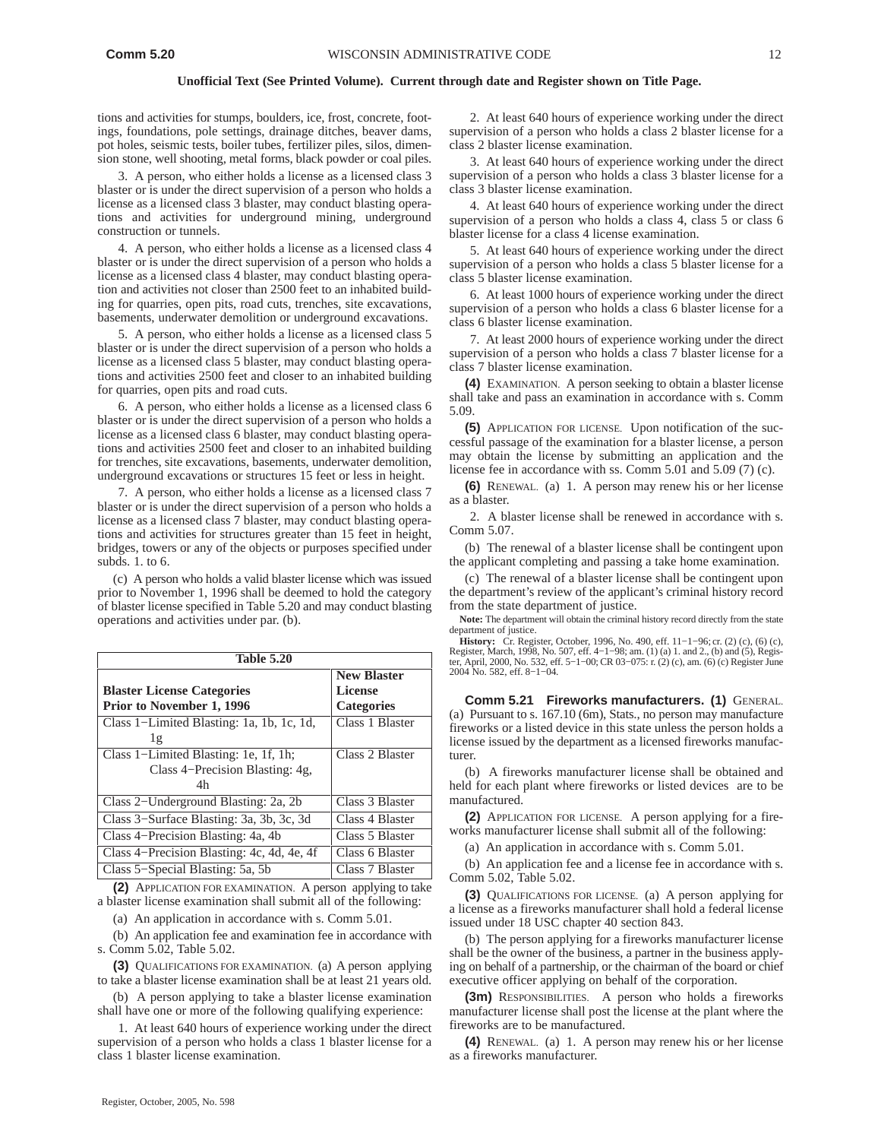tions and activities for stumps, boulders, ice, frost, concrete, footings, foundations, pole settings, drainage ditches, beaver dams, pot holes, seismic tests, boiler tubes, fertilizer piles, silos, dimension stone, well shooting, metal forms, black powder or coal piles.

3. A person, who either holds a license as a licensed class 3 blaster or is under the direct supervision of a person who holds a license as a licensed class 3 blaster, may conduct blasting operations and activities for underground mining, underground construction or tunnels.

4. A person, who either holds a license as a licensed class 4 blaster or is under the direct supervision of a person who holds a license as a licensed class 4 blaster, may conduct blasting operation and activities not closer than 2500 feet to an inhabited building for quarries, open pits, road cuts, trenches, site excavations, basements, underwater demolition or underground excavations.

5. A person, who either holds a license as a licensed class 5 blaster or is under the direct supervision of a person who holds a license as a licensed class 5 blaster, may conduct blasting operations and activities 2500 feet and closer to an inhabited building for quarries, open pits and road cuts.

6. A person, who either holds a license as a licensed class 6 blaster or is under the direct supervision of a person who holds a license as a licensed class 6 blaster, may conduct blasting operations and activities 2500 feet and closer to an inhabited building for trenches, site excavations, basements, underwater demolition, underground excavations or structures 15 feet or less in height.

7. A person, who either holds a license as a licensed class 7 blaster or is under the direct supervision of a person who holds a license as a licensed class 7 blaster, may conduct blasting operations and activities for structures greater than 15 feet in height, bridges, towers or any of the objects or purposes specified under subds. 1. to 6.

(c) A person who holds a valid blaster license which was issued prior to November 1, 1996 shall be deemed to hold the category of blaster license specified in Table 5.20 and may conduct blasting operations and activities under par. (b).

| <b>Table 5.20</b>                                                                        |                                                           | Register, March, 1998, No. 507, eff. 4–1–98; am. (1) (a) 1. and 2., (b) and (5), Regis-<br>ter, April, 2000, No. 532, eff. 5–1–00; CR 03–075: r. (2) (c), am. (6) (c) Register June |  |  |
|------------------------------------------------------------------------------------------|-----------------------------------------------------------|-------------------------------------------------------------------------------------------------------------------------------------------------------------------------------------|--|--|
| <b>Blaster License Categories</b><br>Prior to November 1, 1996                           | <b>New Blaster</b><br><b>License</b><br><b>Categories</b> | 2004 No. 582, eff. 8-1-04.<br><b>Comm 5.21 Fireworks manufacturers. (1) GENERAL.</b><br>(a) Pursuant to s. 167.10 (6m), Stats., no person may manufacture                           |  |  |
| Class 1-Limited Blasting: 1a, 1b, 1c, 1d,<br>1g<br>Class 1-Limited Blasting: 1e, 1f, 1h; | Class 1 Blaster<br>Class 2 Blaster                        | fireworks or a listed device in this state unless the person holds a<br>license issued by the department as a licensed fireworks manufac-<br>turer.                                 |  |  |
| Class 4–Precision Blasting: 4g,<br>4h                                                    |                                                           | (b) A fireworks manufacturer license shall be obtained and<br>held for each plant where fireworks or listed devices are to be                                                       |  |  |
| Class 2-Underground Blasting: 2a, 2b                                                     | Class 3 Blaster                                           | manufactured.                                                                                                                                                                       |  |  |
| Class 3–Surface Blasting: 3a, 3b, 3c, 3d                                                 | Class 4 Blaster                                           | (2) APPLICATION FOR LICENSE. A person applying for a fire-                                                                                                                          |  |  |
| Class 4–Precision Blasting: 4a, 4b                                                       | Class 5 Blaster                                           | works manufacturer license shall submit all of the following:                                                                                                                       |  |  |
| Class 4–Precision Blasting: 4c, 4d, 4e, 4f                                               | Class 6 Blaster                                           | (a) An application in accordance with s. Comm 5.01.                                                                                                                                 |  |  |
| Class 5–Special Blasting: 5a, 5b                                                         | Class 7 Blaster                                           | (b) An application fee and a license fee in accordance with s.<br>$Common 502$ Table $502$                                                                                          |  |  |

**(2)** APPLICATION FOR EXAMINATION. A person applying to take a blaster license examination shall submit all of the following:

(a) An application in accordance with s. Comm 5.01.

(b) An application fee and examination fee in accordance with s. Comm 5.02, Table 5.02.

**(3)** QUALIFICATIONS FOR EXAMINATION. (a) A person applying to take a blaster license examination shall be at least 21 years old.

(b) A person applying to take a blaster license examination shall have one or more of the following qualifying experience:

1. At least 640 hours of experience working under the direct supervision of a person who holds a class 1 blaster license for a class 1 blaster license examination.

2. At least 640 hours of experience working under the direct supervision of a person who holds a class 2 blaster license for a class 2 blaster license examination.

3. At least 640 hours of experience working under the direct supervision of a person who holds a class 3 blaster license for a class 3 blaster license examination.

4. At least 640 hours of experience working under the direct supervision of a person who holds a class 4, class 5 or class 6 blaster license for a class 4 license examination.

5. At least 640 hours of experience working under the direct supervision of a person who holds a class 5 blaster license for a class 5 blaster license examination.

6. At least 1000 hours of experience working under the direct supervision of a person who holds a class 6 blaster license for a class 6 blaster license examination.

7. At least 2000 hours of experience working under the direct supervision of a person who holds a class 7 blaster license for a class 7 blaster license examination.

**(4)** EXAMINATION. A person seeking to obtain a blaster license shall take and pass an examination in accordance with s. Comm 5.09.

**(5)** APPLICATION FOR LICENSE. Upon notification of the successful passage of the examination for a blaster license, a person may obtain the license by submitting an application and the license fee in accordance with ss. Comm 5.01 and 5.09 (7) (c).

**(6)** RENEWAL. (a) 1. A person may renew his or her license as a blaster.

2. A blaster license shall be renewed in accordance with s. Comm 5.07.

(b) The renewal of a blaster license shall be contingent upon the applicant completing and passing a take home examination.

(c) The renewal of a blaster license shall be contingent upon the department's review of the applicant's criminal history record from the state department of justice.

**Note:** The department will obtain the criminal history record directly from the state department of justice.

Table 5.20 Register, March, 1998, No. 507, eff. 4–1–98; am. (1) (a) 1. and 2., (b) and (5), Regis-<br>ter, April, 2000, No. 532, eff. 5–1–00; CR 03–075: r. (2) (c), am. (6) (c) Register June **History:** Cr. Register, October, 1996, No. 490, eff. 11−1−96; cr. (2) (c), (6) (c), 2004 No. 582, eff. 8−1−04.

Class 5–Special Blasting: 5a, 5b Class 7 Blaster (b) An application fee and a license fee in accordance with s. Comm 5.02, Table 5.02.

> **(3)** QUALIFICATIONS FOR LICENSE. (a) A person applying for a license as a fireworks manufacturer shall hold a federal license issued under 18 USC chapter 40 section 843.

> (b) The person applying for a fireworks manufacturer license shall be the owner of the business, a partner in the business applying on behalf of a partnership, or the chairman of the board or chief executive officer applying on behalf of the corporation.

> **(3m)** RESPONSIBILITIES. A person who holds a fireworks manufacturer license shall post the license at the plant where the fireworks are to be manufactured.

> **(4)** RENEWAL. (a) 1. A person may renew his or her license as a fireworks manufacturer.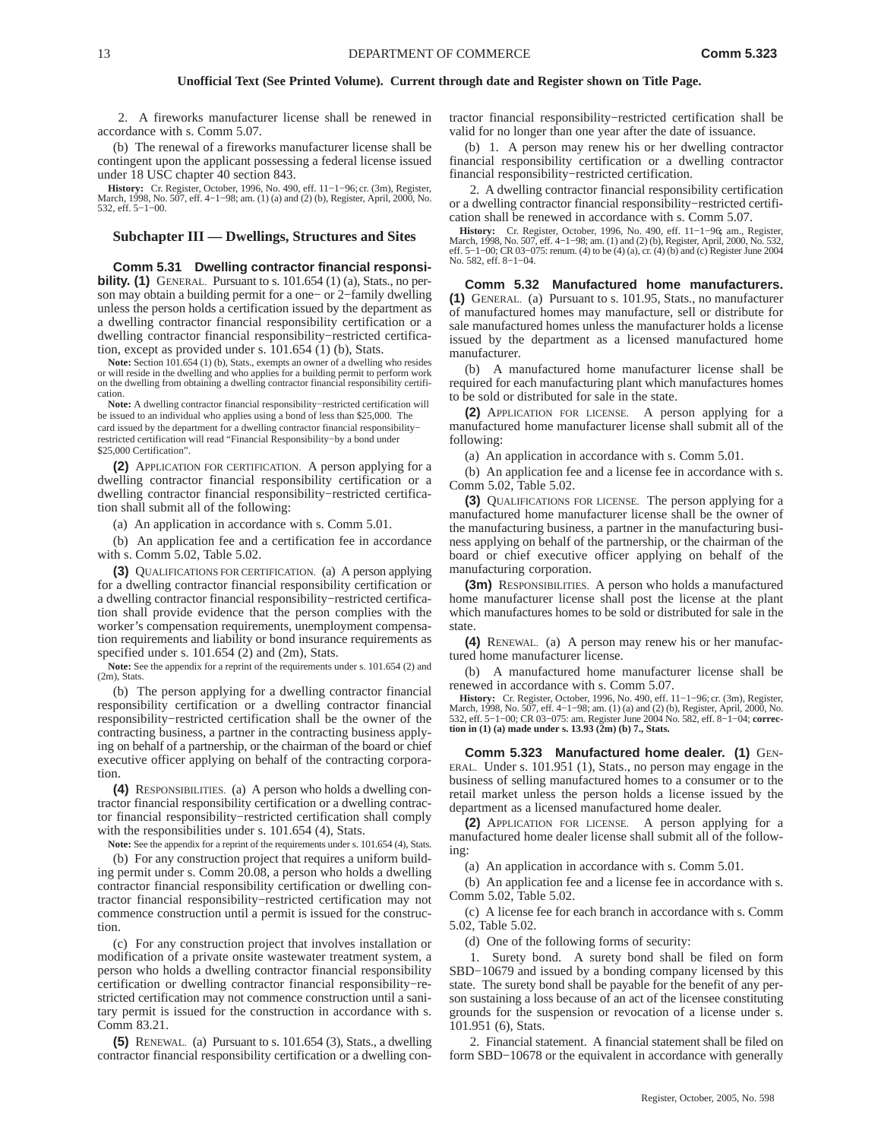2. A fireworks manufacturer license shall be renewed in accordance with s. Comm 5.07.

(b) The renewal of a fireworks manufacturer license shall be contingent upon the applicant possessing a federal license issued under 18 USC chapter 40 section 843.

**History:** Cr. Register, October, 1996, No. 490, eff. 11−1−96; cr. (3m), Register, March, 1998, No. 507, eff. 4−1−98; am. (1) (a) and (2) (b), Register, April, 2000, No. 532, eff. 5−1−00.

## **Subchapter III — Dwellings, Structures and Sites**

**Comm 5.31 Dwelling contractor financial responsibility.** (1) GENERAL. Pursuant to s. 101.654 (1) (a), Stats., no person may obtain a building permit for a one− or 2−family dwelling unless the person holds a certification issued by the department as a dwelling contractor financial responsibility certification or a dwelling contractor financial responsibility−restricted certification, except as provided under s. 101.654 (1) (b), Stats.

**Note:** Section 101.654 (1) (b), Stats., exempts an owner of a dwelling who resides or will reside in the dwelling and who applies for a building permit to perform work on the dwelling from obtaining a dwelling contractor financial responsibility certification.

**Note:** A dwelling contractor financial responsibility−restricted certification will be issued to an individual who applies using a bond of less than \$25,000. The card issued by the department for a dwelling contractor financial responsibility− restricted certification will read "Financial Responsibility−by a bond under \$25,000 Certification".

**(2)** APPLICATION FOR CERTIFICATION. A person applying for a dwelling contractor financial responsibility certification or a dwelling contractor financial responsibility−restricted certification shall submit all of the following:

(a) An application in accordance with s. Comm 5.01.

(b) An application fee and a certification fee in accordance with s. Comm 5.02, Table 5.02.

**(3)** QUALIFICATIONS FOR CERTIFICATION. (a) A person applying for a dwelling contractor financial responsibility certification or a dwelling contractor financial responsibility−restricted certification shall provide evidence that the person complies with the worker's compensation requirements, unemployment compensation requirements and liability or bond insurance requirements as specified under s. 101.654 (2) and (2m), Stats.

**Note:** See the appendix for a reprint of the requirements under s. 101.654 (2) and (2m), Stats.

(b) The person applying for a dwelling contractor financial responsibility certification or a dwelling contractor financial responsibility−restricted certification shall be the owner of the contracting business, a partner in the contracting business applying on behalf of a partnership, or the chairman of the board or chief executive officer applying on behalf of the contracting corporation.

**(4)** RESPONSIBILITIES. (a) A person who holds a dwelling contractor financial responsibility certification or a dwelling contractor financial responsibility−restricted certification shall comply with the responsibilities under s. 101.654 (4), Stats.

**Note:** See the appendix for a reprint of the requirements under s. 101.654 (4), Stats. (b) For any construction project that requires a uniform build-

ing permit under s. Comm 20.08, a person who holds a dwelling contractor financial responsibility certification or dwelling contractor financial responsibility−restricted certification may not commence construction until a permit is issued for the construction.

(c) For any construction project that involves installation or modification of a private onsite wastewater treatment system, a person who holds a dwelling contractor financial responsibility certification or dwelling contractor financial responsibility−restricted certification may not commence construction until a sanitary permit is issued for the construction in accordance with s. Comm 83.21.

**(5)** RENEWAL. (a) Pursuant to s. 101.654 (3), Stats., a dwelling contractor financial responsibility certification or a dwelling contractor financial responsibility−restricted certification shall be valid for no longer than one year after the date of issuance.

(b) 1. A person may renew his or her dwelling contractor financial responsibility certification or a dwelling contractor financial responsibility−restricted certification.

2. A dwelling contractor financial responsibility certification or a dwelling contractor financial responsibility−restricted certification shall be renewed in accordance with s. Comm 5.07.

**History:** Cr. Register, October, 1996, No. 490, eff. 11−1−96**;** am., Register, March, 1998, No. 507, eff. 4−1−98; am. (1) and (2) (b), Register, April, 2000, No. 532, eff. 5−1−00; CR 03−075: renum. (4) to be (4) (a), cr. (4) (b) and (c) Register June 2004 No. 582, eff. 8−1−04.

**Comm 5.32 Manufactured home manufacturers. (1)** GENERAL. (a) Pursuant to s. 101.95, Stats., no manufacturer of manufactured homes may manufacture, sell or distribute for sale manufactured homes unless the manufacturer holds a license issued by the department as a licensed manufactured home manufacturer.

(b) A manufactured home manufacturer license shall be required for each manufacturing plant which manufactures homes to be sold or distributed for sale in the state.

**(2)** APPLICATION FOR LICENSE. A person applying for a manufactured home manufacturer license shall submit all of the following:

(a) An application in accordance with s. Comm 5.01.

(b) An application fee and a license fee in accordance with s. Comm 5.02, Table 5.02.

**(3)** QUALIFICATIONS FOR LICENSE. The person applying for a manufactured home manufacturer license shall be the owner of the manufacturing business, a partner in the manufacturing business applying on behalf of the partnership, or the chairman of the board or chief executive officer applying on behalf of the manufacturing corporation.

**(3m)** RESPONSIBILITIES. A person who holds a manufactured home manufacturer license shall post the license at the plant which manufactures homes to be sold or distributed for sale in the state.

**(4)** RENEWAL. (a) A person may renew his or her manufactured home manufacturer license.

(b) A manufactured home manufacturer license shall be renewed in accordance with s. Comm 5.07.

**History:** Cr. Register, October, 1996, No. 490, eff. 11–1–96; cr. (3m), Register, March, 1998, No. 507, eff. 4–1–98; am. (1) (a) and (2) (b), Register, April, 2000, No. 532, eff. 5–1–00; cR 03–075: am. Register June 2004

**Comm 5.323 Manufactured home dealer. (1)** GEN-ERAL. Under s. 101.951 (1), Stats., no person may engage in the business of selling manufactured homes to a consumer or to the retail market unless the person holds a license issued by the department as a licensed manufactured home dealer.

**(2)** APPLICATION FOR LICENSE. A person applying for a manufactured home dealer license shall submit all of the following:

(a) An application in accordance with s. Comm 5.01.

(b) An application fee and a license fee in accordance with s. Comm 5.02, Table 5.02.

(c) A license fee for each branch in accordance with s. Comm 5.02, Table 5.02.

(d) One of the following forms of security:

1. Surety bond. A surety bond shall be filed on form SBD–10679 and issued by a bonding company licensed by this state. The surety bond shall be payable for the benefit of any person sustaining a loss because of an act of the licensee constituting grounds for the suspension or revocation of a license under s. 101.951 (6), Stats.

2. Financial statement. A financial statement shall be filed on form SBD−10678 or the equivalent in accordance with generally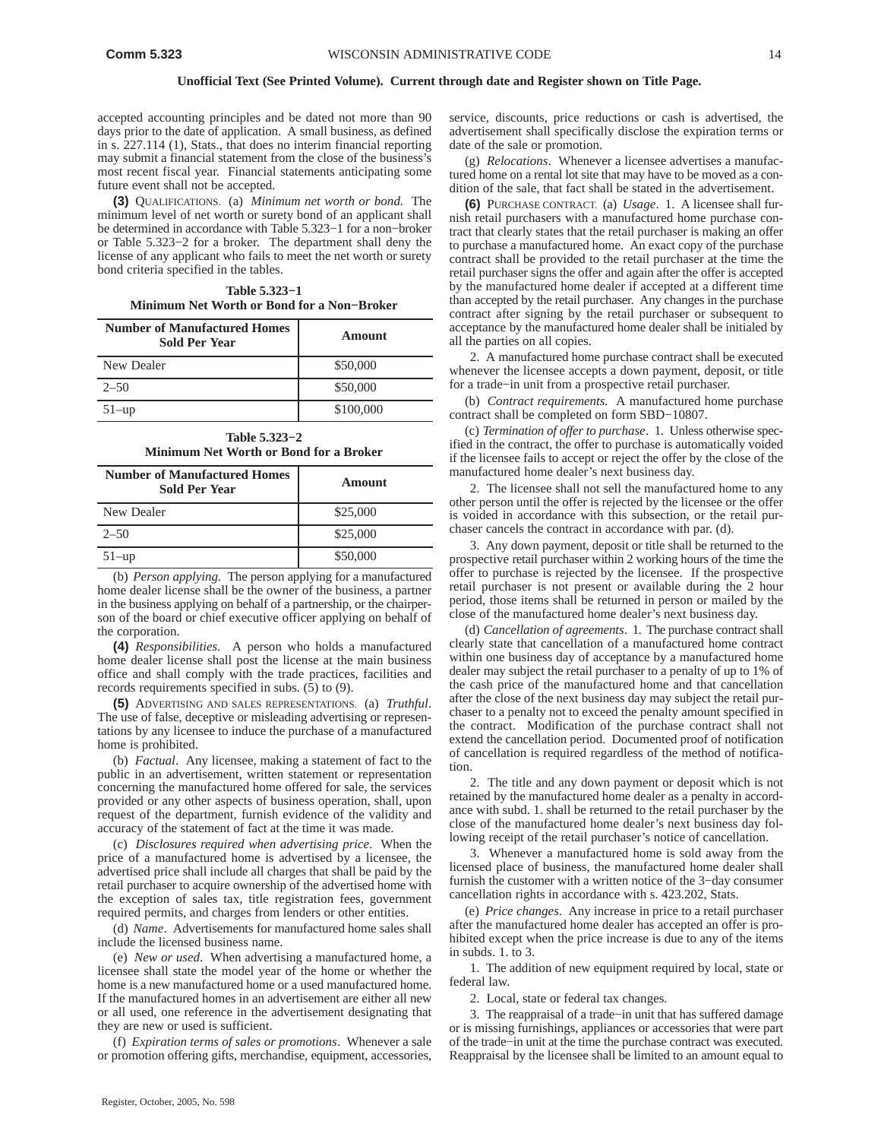accepted accounting principles and be dated not more than 90 days prior to the date of application. A small business, as defined in s. 227.114 (1), Stats., that does no interim financial reporting may submit a financial statement from the close of the business's most recent fiscal year. Financial statements anticipating some future event shall not be accepted.

**(3)** QUALIFICATIONS. (a) *Minimum net worth or bond.* The minimum level of net worth or surety bond of an applicant shall be determined in accordance with Table 5.323−1 for a non−broker or Table 5.323−2 for a broker. The department shall deny the license of any applicant who fails to meet the net worth or surety bond criteria specified in the tables.

**Table 5.323−1 Minimum Net Worth or Bond for a Non−Broker**

| <b>Number of Manufactured Homes</b><br><b>Sold Per Year</b> | Amount    |
|-------------------------------------------------------------|-----------|
| New Dealer                                                  | \$50,000  |
| $2 - 50$                                                    | \$50,000  |
| $51$ -up                                                    | \$100,000 |

| Table 5.323-2                          |  |  |  |  |
|----------------------------------------|--|--|--|--|
| Minimum Net Worth or Bond for a Broker |  |  |  |  |

| <b>Number of Manufactured Homes</b><br><b>Sold Per Year</b> | Amount   |
|-------------------------------------------------------------|----------|
| New Dealer                                                  | \$25,000 |
| $2 - 50$                                                    | \$25,000 |
| $51$ –up                                                    | \$50,000 |

(b) *Person applying.* The person applying for a manufactured home dealer license shall be the owner of the business, a partner in the business applying on behalf of a partnership, or the chairperson of the board or chief executive officer applying on behalf of the corporation.

**(4)** *Responsibilities.* A person who holds a manufactured home dealer license shall post the license at the main business office and shall comply with the trade practices, facilities and records requirements specified in subs. (5) to (9).

**(5)** ADVERTISING AND SALES REPRESENTATIONS. (a) *Truthful*. The use of false, deceptive or misleading advertising or representations by any licensee to induce the purchase of a manufactured home is prohibited.

(b) *Factual*. Any licensee, making a statement of fact to the public in an advertisement, written statement or representation concerning the manufactured home offered for sale, the services provided or any other aspects of business operation, shall, upon request of the department, furnish evidence of the validity and accuracy of the statement of fact at the time it was made.

(c) *Disclosures required when advertising price*. When the price of a manufactured home is advertised by a licensee, the advertised price shall include all charges that shall be paid by the retail purchaser to acquire ownership of the advertised home with the exception of sales tax, title registration fees, government required permits, and charges from lenders or other entities.

(d) *Name*. Advertisements for manufactured home sales shall include the licensed business name.

(e) *New or used*. When advertising a manufactured home, a licensee shall state the model year of the home or whether the home is a new manufactured home or a used manufactured home. If the manufactured homes in an advertisement are either all new or all used, one reference in the advertisement designating that they are new or used is sufficient.

(f) *Expiration terms of sales or promotions*. Whenever a sale or promotion offering gifts, merchandise, equipment, accessories, service, discounts, price reductions or cash is advertised, the advertisement shall specifically disclose the expiration terms or date of the sale or promotion.

(g) *Relocations*. Whenever a licensee advertises a manufactured home on a rental lot site that may have to be moved as a condition of the sale, that fact shall be stated in the advertisement.

**(6)** PURCHASE CONTRACT. (a) *Usage*. 1. A licensee shall furnish retail purchasers with a manufactured home purchase contract that clearly states that the retail purchaser is making an offer to purchase a manufactured home. An exact copy of the purchase contract shall be provided to the retail purchaser at the time the retail purchaser signs the offer and again after the offer is accepted by the manufactured home dealer if accepted at a different time than accepted by the retail purchaser. Any changes in the purchase contract after signing by the retail purchaser or subsequent to acceptance by the manufactured home dealer shall be initialed by all the parties on all copies.

2. A manufactured home purchase contract shall be executed whenever the licensee accepts a down payment, deposit, or title for a trade−in unit from a prospective retail purchaser.

(b) *Contract requirements.* A manufactured home purchase contract shall be completed on form SBD−10807.

(c) *Termination of offer to purchase*. 1. Unless otherwise specified in the contract, the offer to purchase is automatically voided if the licensee fails to accept or reject the offer by the close of the manufactured home dealer's next business day.

2. The licensee shall not sell the manufactured home to any other person until the offer is rejected by the licensee or the offer is voided in accordance with this subsection, or the retail purchaser cancels the contract in accordance with par. (d).

3. Any down payment, deposit or title shall be returned to the prospective retail purchaser within 2 working hours of the time the offer to purchase is rejected by the licensee. If the prospective retail purchaser is not present or available during the 2 hour period, those items shall be returned in person or mailed by the close of the manufactured home dealer's next business day.

(d) *Cancellation of agreements*. 1. The purchase contract shall clearly state that cancellation of a manufactured home contract within one business day of acceptance by a manufactured home dealer may subject the retail purchaser to a penalty of up to 1% of the cash price of the manufactured home and that cancellation after the close of the next business day may subject the retail purchaser to a penalty not to exceed the penalty amount specified in the contract. Modification of the purchase contract shall not extend the cancellation period. Documented proof of notification of cancellation is required regardless of the method of notification

2. The title and any down payment or deposit which is not retained by the manufactured home dealer as a penalty in accordance with subd. 1. shall be returned to the retail purchaser by the close of the manufactured home dealer's next business day following receipt of the retail purchaser's notice of cancellation.

3. Whenever a manufactured home is sold away from the licensed place of business, the manufactured home dealer shall furnish the customer with a written notice of the 3−day consumer cancellation rights in accordance with s. 423.202, Stats.

(e) *Price changes*. Any increase in price to a retail purchaser after the manufactured home dealer has accepted an offer is prohibited except when the price increase is due to any of the items in subds. 1. to 3.

1. The addition of new equipment required by local, state or federal law.

2. Local, state or federal tax changes.

3. The reappraisal of a trade−in unit that has suffered damage or is missing furnishings, appliances or accessories that were part of the trade−in unit at the time the purchase contract was executed. Reappraisal by the licensee shall be limited to an amount equal to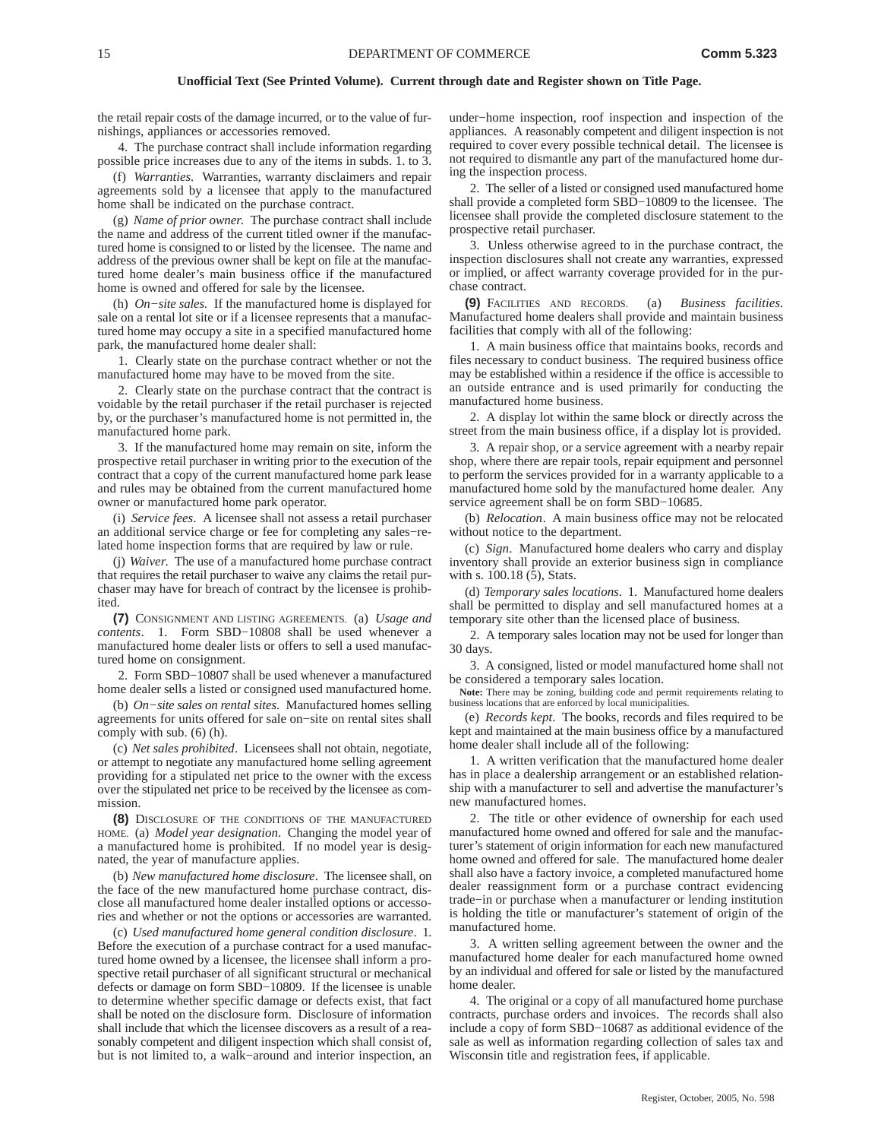the retail repair costs of the damage incurred, or to the value of furnishings, appliances or accessories removed.

4. The purchase contract shall include information regarding possible price increases due to any of the items in subds. 1. to 3.

(f) *Warranties.* Warranties, warranty disclaimers and repair agreements sold by a licensee that apply to the manufactured home shall be indicated on the purchase contract.

(g) *Name of prior owner*. The purchase contract shall include the name and address of the current titled owner if the manufactured home is consigned to or listed by the licensee. The name and address of the previous owner shall be kept on file at the manufactured home dealer's main business office if the manufactured home is owned and offered for sale by the licensee.

(h) *On−site sales*. If the manufactured home is displayed for sale on a rental lot site or if a licensee represents that a manufactured home may occupy a site in a specified manufactured home park, the manufactured home dealer shall:

1. Clearly state on the purchase contract whether or not the manufactured home may have to be moved from the site.

2. Clearly state on the purchase contract that the contract is voidable by the retail purchaser if the retail purchaser is rejected by, or the purchaser's manufactured home is not permitted in, the manufactured home park.

3. If the manufactured home may remain on site, inform the prospective retail purchaser in writing prior to the execution of the contract that a copy of the current manufactured home park lease and rules may be obtained from the current manufactured home owner or manufactured home park operator.

(i) *Service fees*. A licensee shall not assess a retail purchaser an additional service charge or fee for completing any sales−related home inspection forms that are required by law or rule.

(j) *Waiver*. The use of a manufactured home purchase contract that requires the retail purchaser to waive any claims the retail purchaser may have for breach of contract by the licensee is prohibited.

**(7)** CONSIGNMENT AND LISTING AGREEMENTS. (a) *Usage and contents*. 1. Form SBD−10808 shall be used whenever a manufactured home dealer lists or offers to sell a used manufactured home on consignment.

2. Form SBD−10807 shall be used whenever a manufactured home dealer sells a listed or consigned used manufactured home.

(b) *On−site sales on rental sites*. Manufactured homes selling agreements for units offered for sale on−site on rental sites shall comply with sub. (6) (h).

(c) *Net sales prohibited*. Licensees shall not obtain, negotiate, or attempt to negotiate any manufactured home selling agreement providing for a stipulated net price to the owner with the excess over the stipulated net price to be received by the licensee as commission.

**(8)** DISCLOSURE OF THE CONDITIONS OF THE MANUFACTURED HOME. (a) *Model year designation*. Changing the model year of a manufactured home is prohibited. If no model year is designated, the year of manufacture applies.

(b) *New manufactured home disclosure*. The licensee shall, on the face of the new manufactured home purchase contract, disclose all manufactured home dealer installed options or accessories and whether or not the options or accessories are warranted.

(c) *Used manufactured home general condition disclosure*. 1. Before the execution of a purchase contract for a used manufactured home owned by a licensee, the licensee shall inform a prospective retail purchaser of all significant structural or mechanical defects or damage on form SBD−10809. If the licensee is unable to determine whether specific damage or defects exist, that fact shall be noted on the disclosure form. Disclosure of information shall include that which the licensee discovers as a result of a reasonably competent and diligent inspection which shall consist of, but is not limited to, a walk−around and interior inspection, an

under−home inspection, roof inspection and inspection of the appliances. A reasonably competent and diligent inspection is not required to cover every possible technical detail. The licensee is not required to dismantle any part of the manufactured home during the inspection process.

2. The seller of a listed or consigned used manufactured home shall provide a completed form SBD−10809 to the licensee. The licensee shall provide the completed disclosure statement to the prospective retail purchaser.

3. Unless otherwise agreed to in the purchase contract, the inspection disclosures shall not create any warranties, expressed or implied, or affect warranty coverage provided for in the purchase contract.

**(9)** FACILITIES AND RECORDS. (a) *Business facilities*. Manufactured home dealers shall provide and maintain business facilities that comply with all of the following:

1. A main business office that maintains books, records and files necessary to conduct business. The required business office may be established within a residence if the office is accessible to an outside entrance and is used primarily for conducting the manufactured home business.

2. A display lot within the same block or directly across the street from the main business office, if a display lot is provided.

3. A repair shop, or a service agreement with a nearby repair shop, where there are repair tools, repair equipment and personnel to perform the services provided for in a warranty applicable to a manufactured home sold by the manufactured home dealer. Any service agreement shall be on form SBD−10685.

(b) *Relocation*. A main business office may not be relocated without notice to the department.

(c) *Sign*. Manufactured home dealers who carry and display inventory shall provide an exterior business sign in compliance with s. 100.18 (5), Stats.

(d) *Temporary sales locations*. 1. Manufactured home dealers shall be permitted to display and sell manufactured homes at a temporary site other than the licensed place of business.

2. A temporary sales location may not be used for longer than 30 days.

3. A consigned, listed or model manufactured home shall not be considered a temporary sales location.

**Note:** There may be zoning, building code and permit requirements relating to business locations that are enforced by local municipalities.

(e) *Records kept*. The books, records and files required to be kept and maintained at the main business office by a manufactured home dealer shall include all of the following:

1. A written verification that the manufactured home dealer has in place a dealership arrangement or an established relationship with a manufacturer to sell and advertise the manufacturer's new manufactured homes.

2. The title or other evidence of ownership for each used manufactured home owned and offered for sale and the manufacturer's statement of origin information for each new manufactured home owned and offered for sale. The manufactured home dealer shall also have a factory invoice, a completed manufactured home dealer reassignment form or a purchase contract evidencing trade−in or purchase when a manufacturer or lending institution is holding the title or manufacturer's statement of origin of the manufactured home.

3. A written selling agreement between the owner and the manufactured home dealer for each manufactured home owned by an individual and offered for sale or listed by the manufactured home dealer.

4. The original or a copy of all manufactured home purchase contracts, purchase orders and invoices. The records shall also include a copy of form SBD−10687 as additional evidence of the sale as well as information regarding collection of sales tax and Wisconsin title and registration fees, if applicable.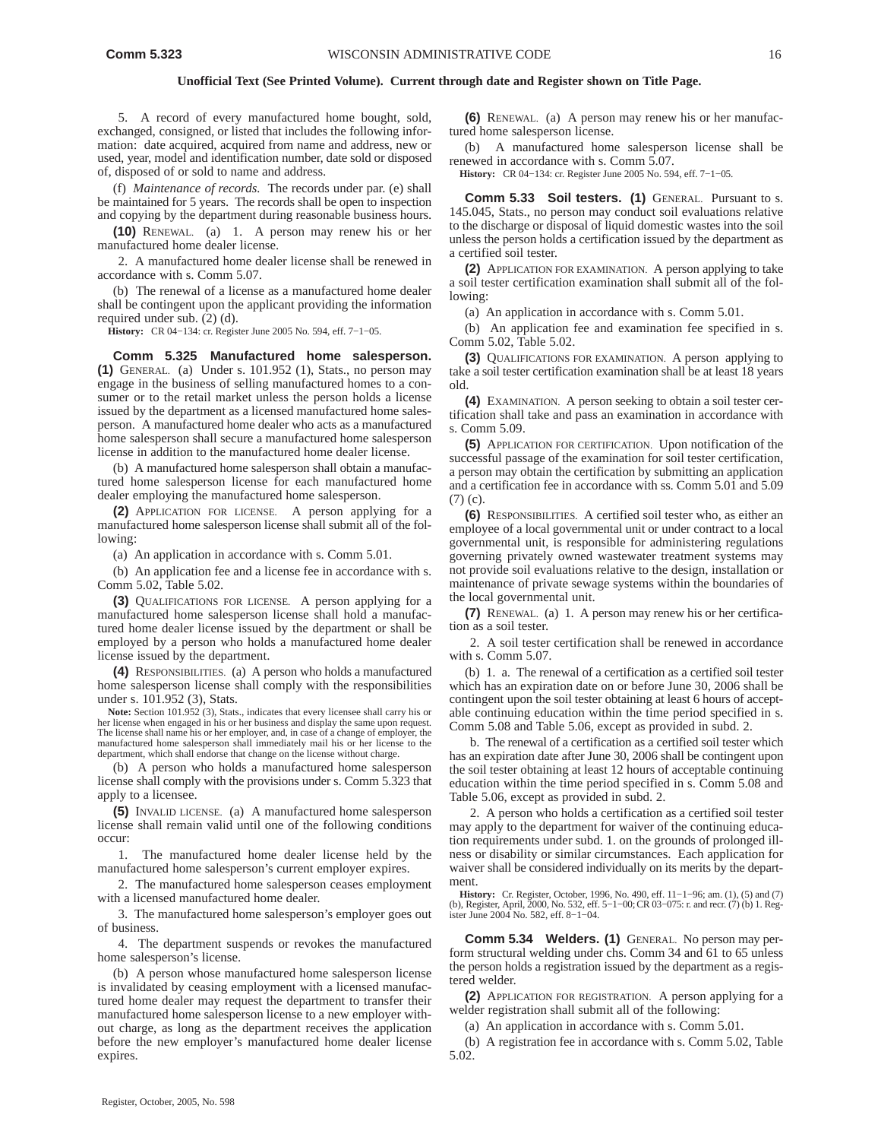5. A record of every manufactured home bought, sold, exchanged, consigned, or listed that includes the following information: date acquired, acquired from name and address, new or used, year, model and identification number, date sold or disposed of, disposed of or sold to name and address.

(f) *Maintenance of records.* The records under par. (e) shall be maintained for 5 years. The records shall be open to inspection and copying by the department during reasonable business hours.

**(10)** RENEWAL. (a) 1. A person may renew his or her manufactured home dealer license.

2. A manufactured home dealer license shall be renewed in accordance with s. Comm 5.07.

(b) The renewal of a license as a manufactured home dealer shall be contingent upon the applicant providing the information required under sub. (2) (d).

**History:** CR 04−134: cr. Register June 2005 No. 594, eff. 7−1−05.

**Comm 5.325 Manufactured home salesperson. (1)** GENERAL. (a) Under s. 101.952 (1), Stats., no person may engage in the business of selling manufactured homes to a consumer or to the retail market unless the person holds a license issued by the department as a licensed manufactured home salesperson. A manufactured home dealer who acts as a manufactured home salesperson shall secure a manufactured home salesperson license in addition to the manufactured home dealer license.

(b) A manufactured home salesperson shall obtain a manufactured home salesperson license for each manufactured home dealer employing the manufactured home salesperson.

**(2)** APPLICATION FOR LICENSE. A person applying for a manufactured home salesperson license shall submit all of the following:

(a) An application in accordance with s. Comm 5.01.

(b) An application fee and a license fee in accordance with s. Comm 5.02, Table 5.02.

**(3)** QUALIFICATIONS FOR LICENSE. A person applying for a manufactured home salesperson license shall hold a manufactured home dealer license issued by the department or shall be employed by a person who holds a manufactured home dealer license issued by the department.

**(4)** RESPONSIBILITIES. (a) A person who holds a manufactured home salesperson license shall comply with the responsibilities under s. 101.952 (3), Stats.

Note: Section 101.952 (3), Stats., indicates that every licensee shall carry his or her license when engaged in his or her business and display the same upon request. The license shall name his or her employer, and, in case of a change of employer, the manufactured home salesperson shall immediately mail his or her license to the department, which shall endorse that change on the license without charge.

(b) A person who holds a manufactured home salesperson license shall comply with the provisions under s. Comm 5.323 that apply to a licensee.

**(5)** INVALID LICENSE. (a) A manufactured home salesperson license shall remain valid until one of the following conditions occur:

1. The manufactured home dealer license held by the manufactured home salesperson's current employer expires.

2. The manufactured home salesperson ceases employment with a licensed manufactured home dealer.

3. The manufactured home salesperson's employer goes out of business.

4. The department suspends or revokes the manufactured home salesperson's license.

(b) A person whose manufactured home salesperson license is invalidated by ceasing employment with a licensed manufactured home dealer may request the department to transfer their manufactured home salesperson license to a new employer without charge, as long as the department receives the application before the new employer's manufactured home dealer license expires.

**(6)** RENEWAL. (a) A person may renew his or her manufactured home salesperson license.

(b) A manufactured home salesperson license shall be renewed in accordance with s. Comm 5.07.

**History:** CR 04−134: cr. Register June 2005 No. 594, eff. 7−1−05.

**Comm 5.33 Soil testers. (1)** GENERAL. Pursuant to s. 145.045, Stats., no person may conduct soil evaluations relative to the discharge or disposal of liquid domestic wastes into the soil unless the person holds a certification issued by the department as a certified soil tester.

**(2)** APPLICATION FOR EXAMINATION. A person applying to take a soil tester certification examination shall submit all of the following:

(a) An application in accordance with s. Comm 5.01.

(b) An application fee and examination fee specified in s. Comm 5.02, Table 5.02.

**(3)** QUALIFICATIONS FOR EXAMINATION. A person applying to take a soil tester certification examination shall be at least 18 years old.

**(4)** EXAMINATION. A person seeking to obtain a soil tester certification shall take and pass an examination in accordance with s. Comm 5.09.

**(5)** APPLICATION FOR CERTIFICATION. Upon notification of the successful passage of the examination for soil tester certification, a person may obtain the certification by submitting an application and a certification fee in accordance with ss. Comm 5.01 and 5.09 (7) (c).

**(6)** RESPONSIBILITIES. A certified soil tester who, as either an employee of a local governmental unit or under contract to a local governmental unit, is responsible for administering regulations governing privately owned wastewater treatment systems may not provide soil evaluations relative to the design, installation or maintenance of private sewage systems within the boundaries of the local governmental unit.

**(7)** RENEWAL. (a) 1. A person may renew his or her certification as a soil tester.

2. A soil tester certification shall be renewed in accordance with s. Comm 5.07.

(b) 1. a. The renewal of a certification as a certified soil tester which has an expiration date on or before June 30, 2006 shall be contingent upon the soil tester obtaining at least 6 hours of acceptable continuing education within the time period specified in s. Comm 5.08 and Table 5.06, except as provided in subd. 2.

b. The renewal of a certification as a certified soil tester which has an expiration date after June 30, 2006 shall be contingent upon the soil tester obtaining at least 12 hours of acceptable continuing education within the time period specified in s. Comm 5.08 and Table 5.06, except as provided in subd. 2.

2. A person who holds a certification as a certified soil tester may apply to the department for waiver of the continuing education requirements under subd. 1. on the grounds of prolonged illness or disability or similar circumstances. Each application for waiver shall be considered individually on its merits by the department.

**History:** Cr. Register, October, 1996, No. 490, eff. 11–1−96; am. (1), (5) and (7) (b), Register, April, 2000, No. 532, eff. 5−1−00; CR 03−075: r. and recr. (7) (b) 1. Reg-ister June 2004 No. 582, eff. 8−1−04.

**Comm 5.34 Welders. (1)** GENERAL. No person may perform structural welding under chs. Comm 34 and 61 to 65 unless the person holds a registration issued by the department as a registered welder.

**(2)** APPLICATION FOR REGISTRATION. A person applying for a welder registration shall submit all of the following:

(a) An application in accordance with s. Comm 5.01.

(b) A registration fee in accordance with s. Comm 5.02, Table 5.02.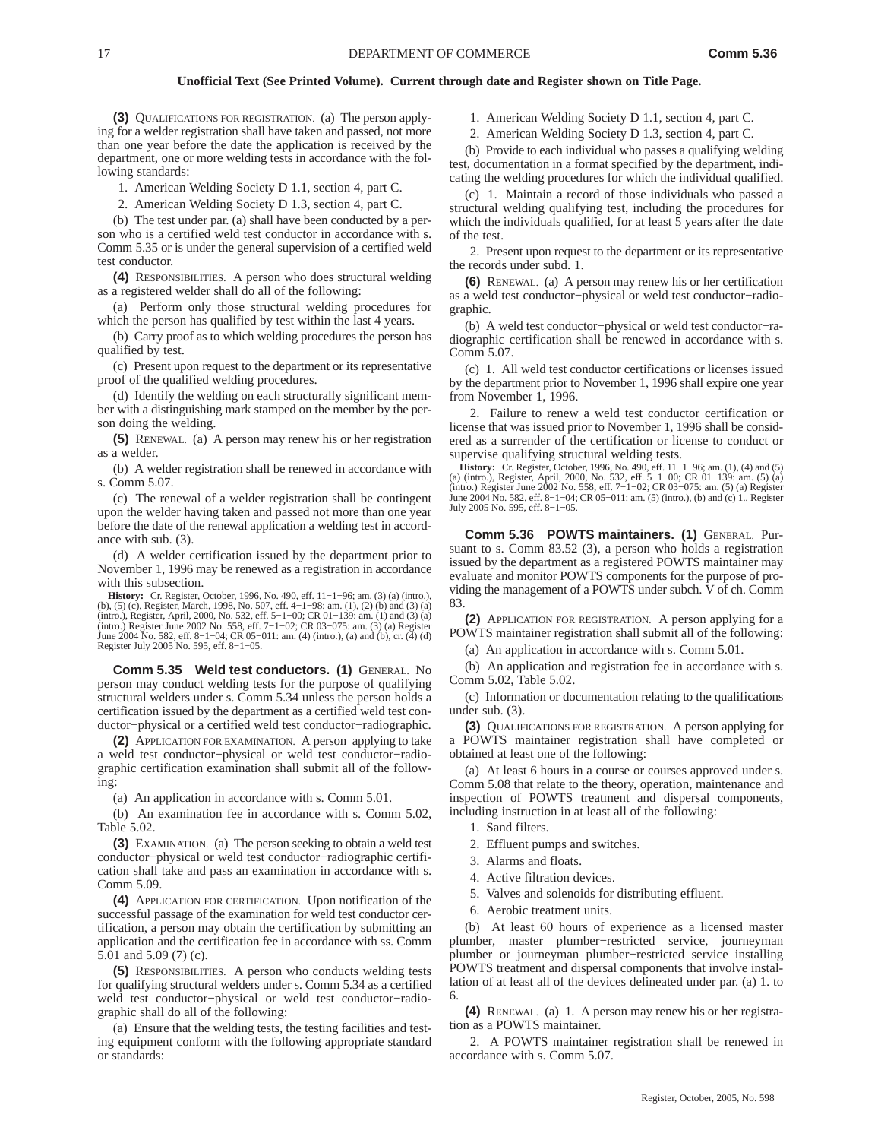**(3)** QUALIFICATIONS FOR REGISTRATION. (a) The person applying for a welder registration shall have taken and passed, not more than one year before the date the application is received by the department, one or more welding tests in accordance with the following standards:

1. American Welding Society D 1.1, section 4, part C.

2. American Welding Society D 1.3, section 4, part C.

(b) The test under par. (a) shall have been conducted by a person who is a certified weld test conductor in accordance with s. Comm 5.35 or is under the general supervision of a certified weld test conductor.

**(4)** RESPONSIBILITIES. A person who does structural welding as a registered welder shall do all of the following:

(a) Perform only those structural welding procedures for which the person has qualified by test within the last 4 years.

(b) Carry proof as to which welding procedures the person has qualified by test.

(c) Present upon request to the department or its representative proof of the qualified welding procedures.

(d) Identify the welding on each structurally significant member with a distinguishing mark stamped on the member by the person doing the welding.

**(5)** RENEWAL. (a) A person may renew his or her registration as a welder.

(b) A welder registration shall be renewed in accordance with s. Comm 5.07.

(c) The renewal of a welder registration shall be contingent upon the welder having taken and passed not more than one year before the date of the renewal application a welding test in accordance with sub. (3).

(d) A welder certification issued by the department prior to November 1, 1996 may be renewed as a registration in accordance with this subsection.

**History:** Cr. Register, October, 1996, No. 490, eff. 11–1–96; am. (3) (a) (intro.), (b), (5) (c), Register, March, 1998, No. 507, eff. 4–1–98; am. (1), (2) (b) and (3) (a) (intro.), Register, April, 2000, No. 532, eff. 5– Register July 2005 No. 595, eff. 8−1−05.

**Comm 5.35 Weld test conductors. (1)** GENERAL. No person may conduct welding tests for the purpose of qualifying structural welders under s. Comm 5.34 unless the person holds a certification issued by the department as a certified weld test conductor−physical or a certified weld test conductor−radiographic.

**(2)** APPLICATION FOR EXAMINATION. A person applying to take a weld test conductor−physical or weld test conductor−radiographic certification examination shall submit all of the following:

(a) An application in accordance with s. Comm 5.01.

(b) An examination fee in accordance with s. Comm 5.02, Table 5.02.

**(3)** EXAMINATION. (a) The person seeking to obtain a weld test conductor−physical or weld test conductor−radiographic certification shall take and pass an examination in accordance with s. Comm 5.09.

**(4)** APPLICATION FOR CERTIFICATION. Upon notification of the successful passage of the examination for weld test conductor certification, a person may obtain the certification by submitting an application and the certification fee in accordance with ss. Comm 5.01 and 5.09 (7) (c).

**(5)** RESPONSIBILITIES. A person who conducts welding tests for qualifying structural welders under s. Comm 5.34 as a certified weld test conductor−physical or weld test conductor−radiographic shall do all of the following:

(a) Ensure that the welding tests, the testing facilities and testing equipment conform with the following appropriate standard or standards:

1. American Welding Society D 1.1, section 4, part C.

2. American Welding Society D 1.3, section 4, part C.

(b) Provide to each individual who passes a qualifying welding test, documentation in a format specified by the department, indicating the welding procedures for which the individual qualified.

(c) 1. Maintain a record of those individuals who passed a structural welding qualifying test, including the procedures for which the individuals qualified, for at least 5 years after the date of the test.

2. Present upon request to the department or its representative the records under subd. 1.

**(6)** RENEWAL. (a) A person may renew his or her certification as a weld test conductor−physical or weld test conductor−radiographic.

(b) A weld test conductor−physical or weld test conductor−radiographic certification shall be renewed in accordance with s. Comm 5.07.

(c) 1. All weld test conductor certifications or licenses issued by the department prior to November 1, 1996 shall expire one year from November 1, 1996.

2. Failure to renew a weld test conductor certification or license that was issued prior to November 1, 1996 shall be considered as a surrender of the certification or license to conduct or supervise qualifying structural welding tests.

**History:** Cr. Register, October, 1996, No. 490, eff. 11-1-96; am. (1), (4) and (5) (a) (intro.), Register, April, 2000, No. 532, eff. 5-1-00; CR 01-139: am. (5) (a) (intro.) Register June 2002 No. 558, eff. 5-1-02; CR 03 July 2005 No. 595, eff. 8−1−05.

**Comm 5.36 POWTS maintainers. (1)** GENERAL. Pursuant to s. Comm 83.52 (3), a person who holds a registration issued by the department as a registered POWTS maintainer may evaluate and monitor POWTS components for the purpose of providing the management of a POWTS under subch. V of ch. Comm 83.

**(2)** APPLICATION FOR REGISTRATION. A person applying for a POWTS maintainer registration shall submit all of the following:

(a) An application in accordance with s. Comm 5.01.

(b) An application and registration fee in accordance with s. Comm 5.02, Table 5.02.

(c) Information or documentation relating to the qualifications under sub. (3).

**(3)** QUALIFICATIONS FOR REGISTRATION. A person applying for a POWTS maintainer registration shall have completed or obtained at least one of the following:

(a) At least 6 hours in a course or courses approved under s. Comm 5.08 that relate to the theory, operation, maintenance and inspection of POWTS treatment and dispersal components, including instruction in at least all of the following:

1. Sand filters.

2. Effluent pumps and switches.

- 3. Alarms and floats.
- 4. Active filtration devices.
- 5. Valves and solenoids for distributing effluent.
- 6. Aerobic treatment units.

(b) At least 60 hours of experience as a licensed master plumber, master plumber−restricted service, journeyman plumber or journeyman plumber−restricted service installing POWTS treatment and dispersal components that involve installation of at least all of the devices delineated under par. (a) 1. to 6.

**(4)** RENEWAL. (a) 1. A person may renew his or her registration as a POWTS maintainer.

2. A POWTS maintainer registration shall be renewed in accordance with s. Comm 5.07.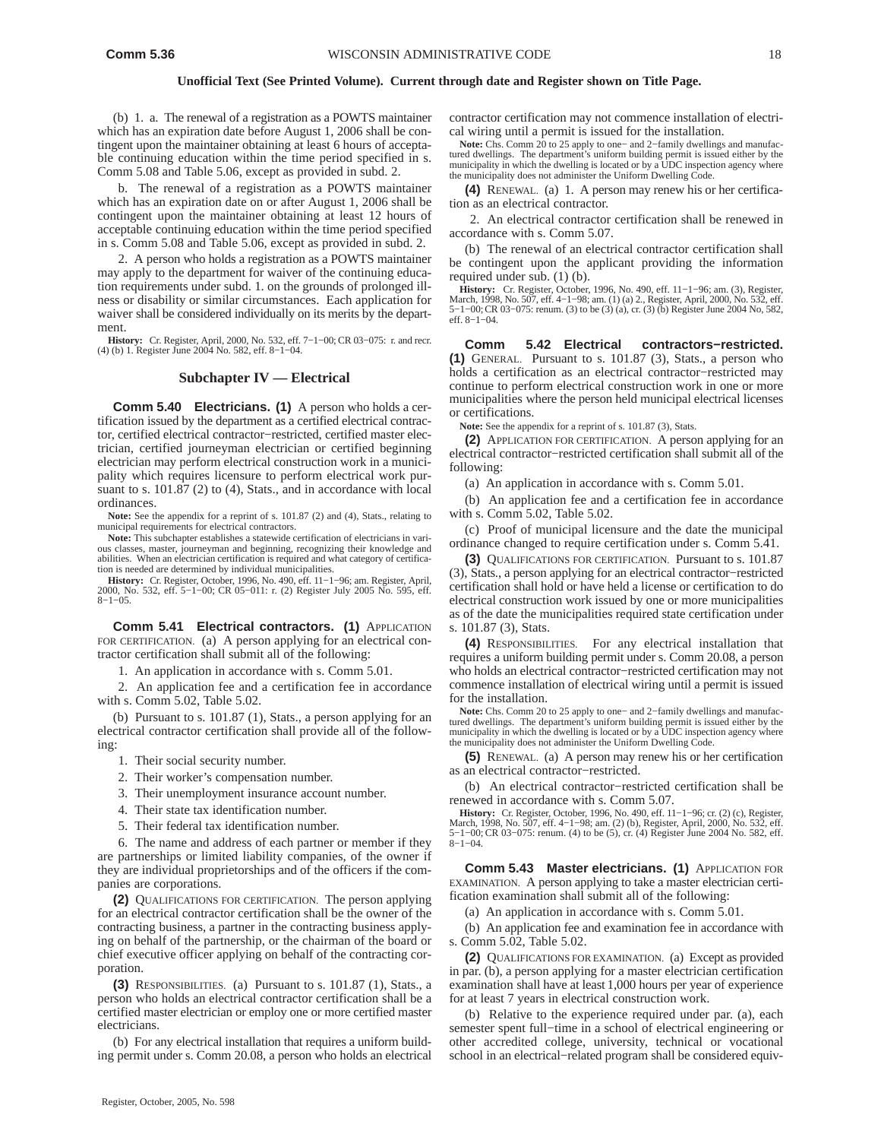(b) 1. a. The renewal of a registration as a POWTS maintainer which has an expiration date before August 1, 2006 shall be contingent upon the maintainer obtaining at least 6 hours of acceptable continuing education within the time period specified in s. Comm 5.08 and Table 5.06, except as provided in subd. 2.

b. The renewal of a registration as a POWTS maintainer which has an expiration date on or after August 1, 2006 shall be contingent upon the maintainer obtaining at least 12 hours of acceptable continuing education within the time period specified in s. Comm 5.08 and Table 5.06, except as provided in subd. 2.

2. A person who holds a registration as a POWTS maintainer may apply to the department for waiver of the continuing education requirements under subd. 1. on the grounds of prolonged illness or disability or similar circumstances. Each application for waiver shall be considered individually on its merits by the department.

**History:** Cr. Register, April, 2000, No. 532, eff. 7−1−00; CR 03−075: r. and recr. (4) (b) 1. Register June 2004 No. 582, eff. 8−1−04.

## **Subchapter IV — Electrical**

**Comm 5.40 Electricians. (1)** A person who holds a certification issued by the department as a certified electrical contractor, certified electrical contractor−restricted, certified master electrician, certified journeyman electrician or certified beginning electrician may perform electrical construction work in a municipality which requires licensure to perform electrical work pursuant to s. 101.87 (2) to (4), Stats., and in accordance with local ordinances.

**Note:** See the appendix for a reprint of s. 101.87 (2) and (4), Stats., relating to municipal requirements for electrical contractors.

**Note:** This subchapter establishes a statewide certification of electricians in various classes, master, journeyman and beginning, recognizing their knowledge and abilities. When an electrician certification is required and what category of certification is needed are determined by individual municipalities.

**History:** Cr. Register, October, 1996, No. 490, eff. 11−1−96; am. Register, April, 2000, No. 532, eff. 5−1−00; CR 05−011: r. (2) Register July 2005 No. 595, eff. 8−1−05.

**Comm 5.41 Electrical contractors. (1)** APPLICATION FOR CERTIFICATION. (a) A person applying for an electrical contractor certification shall submit all of the following:

1. An application in accordance with s. Comm 5.01.

2. An application fee and a certification fee in accordance with s. Comm 5.02, Table 5.02.

(b) Pursuant to s. 101.87 (1), Stats., a person applying for an electrical contractor certification shall provide all of the following:

- 1. Their social security number.
- 2. Their worker's compensation number.
- 3. Their unemployment insurance account number.
- 4. Their state tax identification number.
- 5. Their federal tax identification number.

6. The name and address of each partner or member if they are partnerships or limited liability companies, of the owner if they are individual proprietorships and of the officers if the companies are corporations.

**(2)** QUALIFICATIONS FOR CERTIFICATION. The person applying for an electrical contractor certification shall be the owner of the contracting business, a partner in the contracting business applying on behalf of the partnership, or the chairman of the board or chief executive officer applying on behalf of the contracting corporation.

**(3)** RESPONSIBILITIES. (a) Pursuant to s. 101.87 (1), Stats., a person who holds an electrical contractor certification shall be a certified master electrician or employ one or more certified master electricians.

(b) For any electrical installation that requires a uniform building permit under s. Comm 20.08, a person who holds an electrical contractor certification may not commence installation of electrical wiring until a permit is issued for the installation.

**Note:** Chs. Comm 20 to 25 apply to one− and 2−family dwellings and manufactured dwellings. The department's uniform building permit is issued either by the municipality in which the dwelling is located or by a UDC inspection agency where the municipality does not administer the Uniform Dwelling Code.

**(4)** RENEWAL. (a) 1. A person may renew his or her certification as an electrical contractor.

2. An electrical contractor certification shall be renewed in accordance with s. Comm 5.07.

(b) The renewal of an electrical contractor certification shall be contingent upon the applicant providing the information required under sub. (1) (b).

**History:** Cr. Register, October, 1996, No. 490, eff. 11−1−96; am. (3), Register, March, 1998, No. 507, eff. 4−1−98; am. (1) (a) 2., Register, April, 2000, No. 532, eff. 5−1−00; CR 03−075: renum. (3) to be (3) (a), cr. (3) (b) Register June 2004 No, 582, eff. 8−1−04.

**Comm 5.42 Electrical contractors−restricted. (1)** GENERAL. Pursuant to s. 101.87 (3), Stats., a person who holds a certification as an electrical contractor−restricted may continue to perform electrical construction work in one or more municipalities where the person held municipal electrical licenses or certifications.

**Note:** See the appendix for a reprint of s. 101.87 (3), Stats.

**(2)** APPLICATION FOR CERTIFICATION. A person applying for an electrical contractor−restricted certification shall submit all of the following:

(a) An application in accordance with s. Comm 5.01.

(b) An application fee and a certification fee in accordance with s. Comm 5.02, Table 5.02.

(c) Proof of municipal licensure and the date the municipal ordinance changed to require certification under s. Comm 5.41.

**(3)** QUALIFICATIONS FOR CERTIFICATION. Pursuant to s. 101.87 (3), Stats., a person applying for an electrical contractor−restricted certification shall hold or have held a license or certification to do electrical construction work issued by one or more municipalities as of the date the municipalities required state certification under s. 101.87 (3), Stats.

**(4)** RESPONSIBILITIES. For any electrical installation that requires a uniform building permit under s. Comm 20.08, a person who holds an electrical contractor−restricted certification may not commence installation of electrical wiring until a permit is issued for the installation.

**Note:** Chs. Comm 20 to 25 apply to one− and 2−family dwellings and manufactured dwellings. The department's uniform building permit is issued either by the municipality in which the dwelling is located or by a UDC inspection agency where the municipality does not administer the Uniform Dwelling Code.

**(5)** RENEWAL. (a) A person may renew his or her certification as an electrical contractor−restricted.

(b) An electrical contractor−restricted certification shall be renewed in accordance with s. Comm 5.07.

**History:** Cr. Register, October, 1996, No. 490, eff. 11−1−96; cr. (2) (c), Register, March, 1998, No. 507, eff. 4−1−98; am. (2) (b), Register, April, 2000, No. 532, eff. 5−1−00;CR 03−075: renum. (4) to be (5), cr. (4) Register June 2004 No. 582, eff. 8−1−04.

**Comm 5.43 Master electricians. (1)** APPLICATION FOR EXAMINATION. A person applying to take a master electrician certification examination shall submit all of the following:

(a) An application in accordance with s. Comm 5.01.

(b) An application fee and examination fee in accordance with s. Comm 5.02, Table 5.02.

**(2)** QUALIFICATIONS FOR EXAMINATION. (a) Except as provided in par. (b), a person applying for a master electrician certification examination shall have at least 1,000 hours per year of experience for at least 7 years in electrical construction work.

(b) Relative to the experience required under par. (a), each semester spent full−time in a school of electrical engineering or other accredited college, university, technical or vocational school in an electrical−related program shall be considered equiv-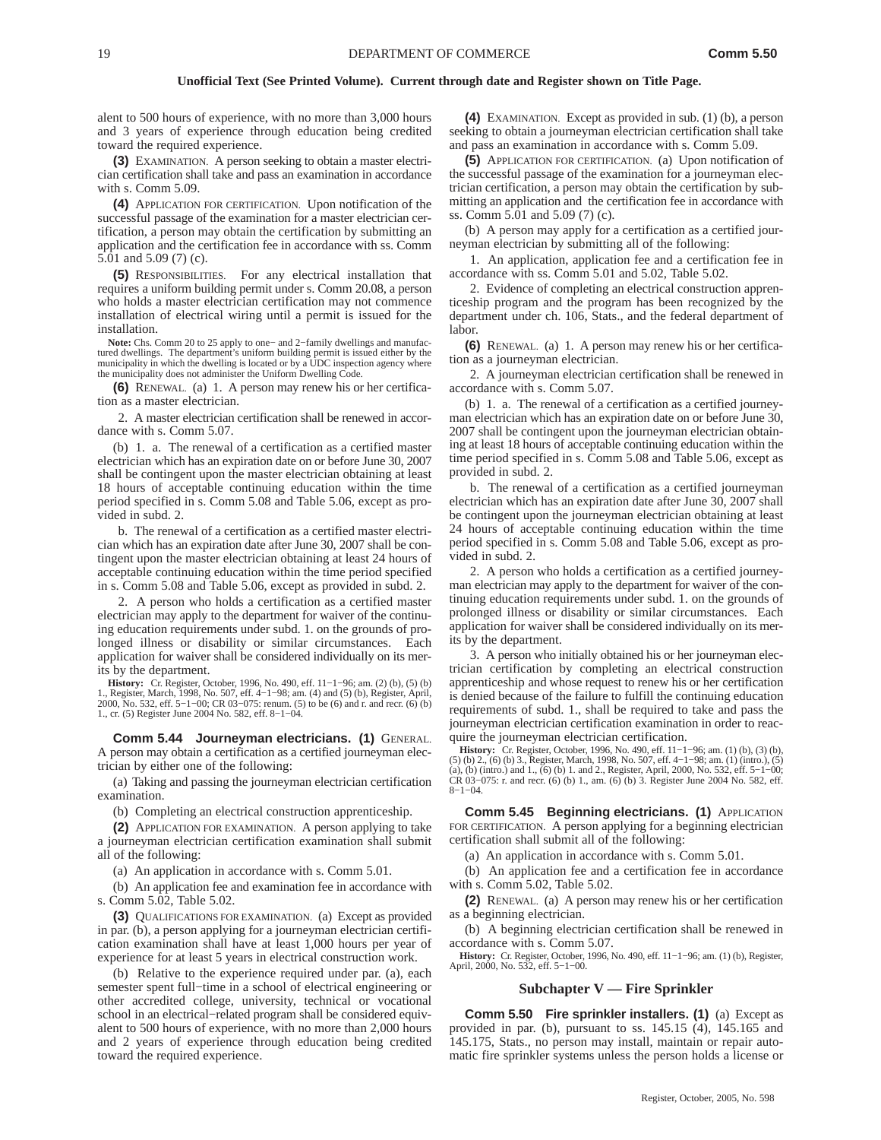alent to 500 hours of experience, with no more than 3,000 hours and 3 years of experience through education being credited toward the required experience.

**(3)** EXAMINATION. A person seeking to obtain a master electrician certification shall take and pass an examination in accordance with s. Comm 5.09.

**(4)** APPLICATION FOR CERTIFICATION. Upon notification of the successful passage of the examination for a master electrician certification, a person may obtain the certification by submitting an application and the certification fee in accordance with ss. Comm 5.01 and 5.09 (7) (c).

**(5)** RESPONSIBILITIES. For any electrical installation that requires a uniform building permit under s. Comm 20.08, a person who holds a master electrician certification may not commence installation of electrical wiring until a permit is issued for the installation.

**Note:** Chs. Comm 20 to 25 apply to one− and 2−family dwellings and manufactured dwellings. The department's uniform building permit is issued either by the municipality in which the dwelling is located or by a UDC inspection agency where the municipality does not administer the Uniform Dwelling Code.

**(6)** RENEWAL. (a) 1. A person may renew his or her certification as a master electrician.

2. A master electrician certification shall be renewed in accordance with s. Comm 5.07.

(b) 1. a. The renewal of a certification as a certified master electrician which has an expiration date on or before June 30, 2007 shall be contingent upon the master electrician obtaining at least 18 hours of acceptable continuing education within the time period specified in s. Comm 5.08 and Table 5.06, except as provided in subd. 2.

b. The renewal of a certification as a certified master electrician which has an expiration date after June 30, 2007 shall be contingent upon the master electrician obtaining at least 24 hours of acceptable continuing education within the time period specified in s. Comm 5.08 and Table 5.06, except as provided in subd. 2.

2. A person who holds a certification as a certified master electrician may apply to the department for waiver of the continuing education requirements under subd. 1. on the grounds of prolonged illness or disability or similar circumstances. Each application for waiver shall be considered individually on its merits by the department.

**History:** Cr. Register, October, 1996, No. 490, eff. 11−1−96; am. (2) (b), (5) (b) 1., Register, March, 1998, No. 507, eff. 4−1−98; am. (4) and (5) (b), Register, April, 2000, No. 532, eff. 5−1−00; CR 03−075: renum. (5) to be (6) and r. and recr. (6) (b) 1., cr. (5) Register June 2004 No. 582, eff. 8−1−04.

**Comm 5.44 Journeyman electricians. (1)** GENERAL. A person may obtain a certification as a certified journeyman electrician by either one of the following:

(a) Taking and passing the journeyman electrician certification examination.

(b) Completing an electrical construction apprenticeship.

**(2)** APPLICATION FOR EXAMINATION. A person applying to take a journeyman electrician certification examination shall submit all of the following:

(a) An application in accordance with s. Comm 5.01.

(b) An application fee and examination fee in accordance with s. Comm 5.02, Table 5.02.

**(3)** QUALIFICATIONS FOR EXAMINATION. (a) Except as provided in par. (b), a person applying for a journeyman electrician certification examination shall have at least 1,000 hours per year of experience for at least 5 years in electrical construction work.

(b) Relative to the experience required under par. (a), each semester spent full−time in a school of electrical engineering or other accredited college, university, technical or vocational school in an electrical−related program shall be considered equivalent to 500 hours of experience, with no more than 2,000 hours and 2 years of experience through education being credited toward the required experience.

**(4)** EXAMINATION. Except as provided in sub. (1) (b), a person seeking to obtain a journeyman electrician certification shall take and pass an examination in accordance with s. Comm 5.09.

**(5)** APPLICATION FOR CERTIFICATION. (a) Upon notification of the successful passage of the examination for a journeyman electrician certification, a person may obtain the certification by submitting an application and the certification fee in accordance with ss. Comm 5.01 and 5.09 (7) (c).

(b) A person may apply for a certification as a certified journeyman electrician by submitting all of the following:

1. An application, application fee and a certification fee in accordance with ss. Comm 5.01 and 5.02, Table 5.02.

2. Evidence of completing an electrical construction apprenticeship program and the program has been recognized by the department under ch. 106, Stats., and the federal department of labor.

**(6)** RENEWAL. (a) 1. A person may renew his or her certification as a journeyman electrician.

2. A journeyman electrician certification shall be renewed in accordance with s. Comm 5.07.

(b) 1. a. The renewal of a certification as a certified journeyman electrician which has an expiration date on or before June 30, 2007 shall be contingent upon the journeyman electrician obtaining at least 18 hours of acceptable continuing education within the time period specified in s. Comm 5.08 and Table 5.06, except as provided in subd. 2.

b. The renewal of a certification as a certified journeyman electrician which has an expiration date after June 30, 2007 shall be contingent upon the journeyman electrician obtaining at least 24 hours of acceptable continuing education within the time period specified in s. Comm 5.08 and Table 5.06, except as provided in subd. 2.

2. A person who holds a certification as a certified journeyman electrician may apply to the department for waiver of the continuing education requirements under subd. 1. on the grounds of prolonged illness or disability or similar circumstances. Each application for waiver shall be considered individually on its merits by the department.

3. A person who initially obtained his or her journeyman electrician certification by completing an electrical construction apprenticeship and whose request to renew his or her certification is denied because of the failure to fulfill the continuing education requirements of subd. 1., shall be required to take and pass the journeyman electrician certification examination in order to reacquire the journeyman electrician certification.

**History:** Cr. Register, October, 1996, No. 490, eff. 11–1−96; am. (1) (b), (3) (b), (5) (b) 2., (6) (b) 3., Register, March, 1998, No. 507, eff. 4–1−98; am. (1) (intro.), (5) (a), (b) (intro.) and 1., (6) (b) 1. and 2., Register, April, 2000, No. 532, eff. 5−1−00; CR 03−075: r. and recr. (6) (b) 1., am. (6) (b) 3. Register June 2004 No. 582, eff. 8−1−04.

**Comm 5.45 Beginning electricians. (1)** APPLICATION FOR CERTIFICATION. A person applying for a beginning electrician certification shall submit all of the following:

(a) An application in accordance with s. Comm 5.01.

(b) An application fee and a certification fee in accordance with s. Comm 5.02, Table 5.02.

**(2)** RENEWAL. (a) A person may renew his or her certification as a beginning electrician.

(b) A beginning electrician certification shall be renewed in accordance with s. Comm 5.07.

**History:** Cr. Register, October, 1996, No. 490, eff. 11−1−96; am. (1) (b), Register, April, 2000, No. 532, eff. 5−1−00.

## **Subchapter V — Fire Sprinkler**

**Comm 5.50 Fire sprinkler installers. (1)** (a) Except as provided in par. (b), pursuant to ss. 145.15 (4), 145.165 and 145.175, Stats., no person may install, maintain or repair automatic fire sprinkler systems unless the person holds a license or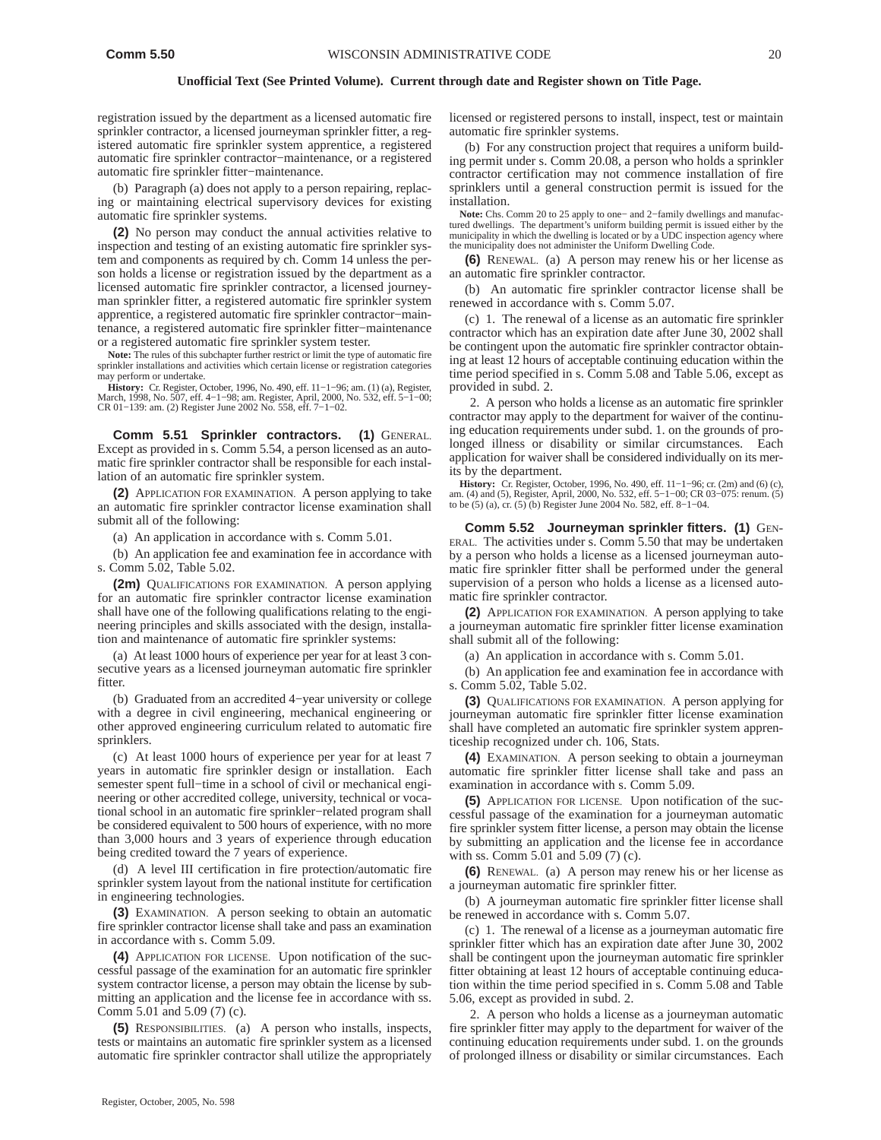registration issued by the department as a licensed automatic fire sprinkler contractor, a licensed journeyman sprinkler fitter, a registered automatic fire sprinkler system apprentice, a registered automatic fire sprinkler contractor−maintenance, or a registered automatic fire sprinkler fitter−maintenance.

(b) Paragraph (a) does not apply to a person repairing, replacing or maintaining electrical supervisory devices for existing automatic fire sprinkler systems.

**(2)** No person may conduct the annual activities relative to inspection and testing of an existing automatic fire sprinkler system and components as required by ch. Comm 14 unless the person holds a license or registration issued by the department as a licensed automatic fire sprinkler contractor, a licensed journeyman sprinkler fitter, a registered automatic fire sprinkler system apprentice, a registered automatic fire sprinkler contractor−maintenance, a registered automatic fire sprinkler fitter−maintenance or a registered automatic fire sprinkler system tester.

**Note:** The rules of this subchapter further restrict or limit the type of automatic fire sprinkler installations and activities which certain license or registration categories may perform or undertake.

**History:** Cr. Register, October, 1996, No. 490, eff. 11−1−96; am. (1) (a), Register, March, 1998, No. 507, eff. 4−1−98; am. Register, April, 2000, No. 532, eff. 5−1−00; CR 01−139: am. (2) Register June 2002 No. 558, eff. 7−1−02.

**Comm 5.51 Sprinkler contractors. (1)** GENERAL. Except as provided in s. Comm 5.54, a person licensed as an automatic fire sprinkler contractor shall be responsible for each installation of an automatic fire sprinkler system.

**(2)** APPLICATION FOR EXAMINATION. A person applying to take an automatic fire sprinkler contractor license examination shall submit all of the following:

(a) An application in accordance with s. Comm 5.01.

(b) An application fee and examination fee in accordance with s. Comm 5.02, Table 5.02.

**(2m)** QUALIFICATIONS FOR EXAMINATION. A person applying for an automatic fire sprinkler contractor license examination shall have one of the following qualifications relating to the engineering principles and skills associated with the design, installation and maintenance of automatic fire sprinkler systems:

(a) At least 1000 hours of experience per year for at least 3 consecutive years as a licensed journeyman automatic fire sprinkler fitter.

(b) Graduated from an accredited 4−year university or college with a degree in civil engineering, mechanical engineering or other approved engineering curriculum related to automatic fire sprinklers.

(c) At least 1000 hours of experience per year for at least 7 years in automatic fire sprinkler design or installation. Each semester spent full−time in a school of civil or mechanical engineering or other accredited college, university, technical or vocational school in an automatic fire sprinkler−related program shall be considered equivalent to 500 hours of experience, with no more than 3,000 hours and 3 years of experience through education being credited toward the 7 years of experience.

(d) A level III certification in fire protection/automatic fire sprinkler system layout from the national institute for certification in engineering technologies.

**(3)** EXAMINATION. A person seeking to obtain an automatic fire sprinkler contractor license shall take and pass an examination in accordance with s. Comm 5.09.

**(4)** APPLICATION FOR LICENSE. Upon notification of the successful passage of the examination for an automatic fire sprinkler system contractor license, a person may obtain the license by submitting an application and the license fee in accordance with ss. Comm 5.01 and 5.09 (7) (c).

**(5)** RESPONSIBILITIES. (a) A person who installs, inspects, tests or maintains an automatic fire sprinkler system as a licensed automatic fire sprinkler contractor shall utilize the appropriately licensed or registered persons to install, inspect, test or maintain automatic fire sprinkler systems.

(b) For any construction project that requires a uniform building permit under s. Comm 20.08, a person who holds a sprinkler contractor certification may not commence installation of fire sprinklers until a general construction permit is issued for the installation.

**Note:** Chs. Comm 20 to 25 apply to one− and 2−family dwellings and manufactured dwellings. The department's uniform building permit is issued either by the municipality in which the dwelling is located or by a UDC inspection agency where the municipality does not administer the Uniform Dwelling Code.

**(6)** RENEWAL. (a) A person may renew his or her license as an automatic fire sprinkler contractor.

(b) An automatic fire sprinkler contractor license shall be renewed in accordance with s. Comm 5.07.

(c) 1. The renewal of a license as an automatic fire sprinkler contractor which has an expiration date after June 30, 2002 shall be contingent upon the automatic fire sprinkler contractor obtaining at least 12 hours of acceptable continuing education within the time period specified in s. Comm 5.08 and Table 5.06, except as provided in subd. 2.

2. A person who holds a license as an automatic fire sprinkler contractor may apply to the department for waiver of the continuing education requirements under subd. 1. on the grounds of prolonged illness or disability or similar circumstances. Each application for waiver shall be considered individually on its merits by the department.

**History:** Cr. Register, October, 1996, No. 490, eff. 11–1−96; cr. (2m) and (6) (c), am. (4) and (5), Register, April, 2000, No. 532, eff. 5–1–00; CR 03–075: renum. (5) to be  $(5)$  (a), cr.  $(5)$  (b) Register June 2004 No. 582, eff. 8−1−04.

**Comm 5.52 Journeyman sprinkler fitters. (1)** GEN-ERAL. The activities under s. Comm 5.50 that may be undertaken by a person who holds a license as a licensed journeyman automatic fire sprinkler fitter shall be performed under the general supervision of a person who holds a license as a licensed automatic fire sprinkler contractor.

**(2)** APPLICATION FOR EXAMINATION. A person applying to take a journeyman automatic fire sprinkler fitter license examination shall submit all of the following:

(a) An application in accordance with s. Comm 5.01.

(b) An application fee and examination fee in accordance with s. Comm 5.02, Table 5.02.

**(3)** QUALIFICATIONS FOR EXAMINATION. A person applying for journeyman automatic fire sprinkler fitter license examination shall have completed an automatic fire sprinkler system apprenticeship recognized under ch. 106, Stats.

**(4)** EXAMINATION. A person seeking to obtain a journeyman automatic fire sprinkler fitter license shall take and pass an examination in accordance with s. Comm 5.09.

**(5)** APPLICATION FOR LICENSE. Upon notification of the successful passage of the examination for a journeyman automatic fire sprinkler system fitter license, a person may obtain the license by submitting an application and the license fee in accordance with ss. Comm 5.01 and 5.09 (7) (c).

**(6)** RENEWAL. (a) A person may renew his or her license as a journeyman automatic fire sprinkler fitter.

(b) A journeyman automatic fire sprinkler fitter license shall be renewed in accordance with s. Comm 5.07.

(c) 1. The renewal of a license as a journeyman automatic fire sprinkler fitter which has an expiration date after June 30, 2002 shall be contingent upon the journeyman automatic fire sprinkler fitter obtaining at least 12 hours of acceptable continuing education within the time period specified in s. Comm 5.08 and Table 5.06, except as provided in subd. 2.

2. A person who holds a license as a journeyman automatic fire sprinkler fitter may apply to the department for waiver of the continuing education requirements under subd. 1. on the grounds of prolonged illness or disability or similar circumstances. Each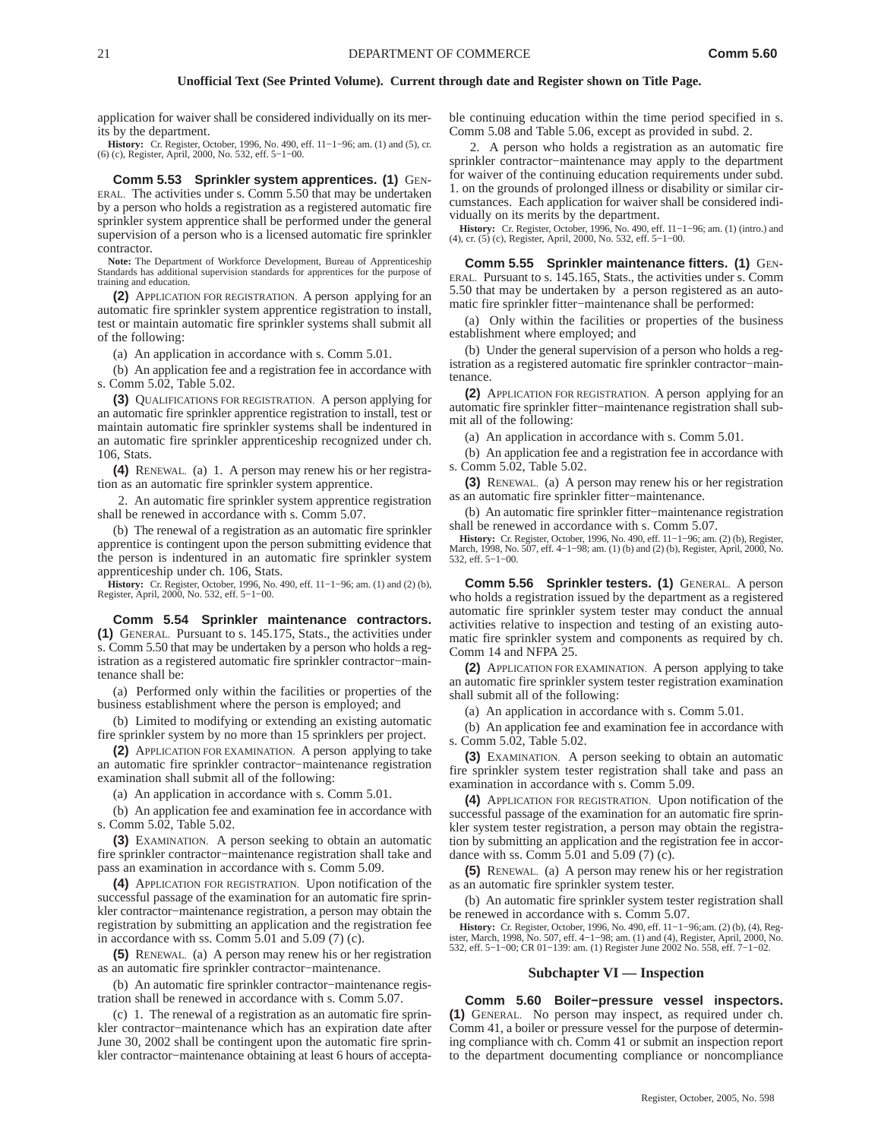application for waiver shall be considered individually on its merits by the department.

**History:** Cr. Register, October, 1996, No. 490, eff. 11–1–96; am. (1) and (5), cr. (6) (c), Register, April, 2000, No. 532, eff. 5–1–00.

**Comm 5.53 Sprinkler system apprentices. (1)** GEN-ERAL. The activities under s. Comm 5.50 that may be undertaken by a person who holds a registration as a registered automatic fire sprinkler system apprentice shall be performed under the general supervision of a person who is a licensed automatic fire sprinkler contractor.

**Note:** The Department of Workforce Development, Bureau of Apprenticeship Standards has additional supervision standards for apprentices for the purpose of training and education.

**(2)** APPLICATION FOR REGISTRATION. A person applying for an automatic fire sprinkler system apprentice registration to install, test or maintain automatic fire sprinkler systems shall submit all of the following:

(a) An application in accordance with s. Comm 5.01.

(b) An application fee and a registration fee in accordance with s. Comm 5.02, Table 5.02.

**(3)** QUALIFICATIONS FOR REGISTRATION. A person applying for an automatic fire sprinkler apprentice registration to install, test or maintain automatic fire sprinkler systems shall be indentured in an automatic fire sprinkler apprenticeship recognized under ch. 106, Stats.

**(4)** RENEWAL. (a) 1. A person may renew his or her registration as an automatic fire sprinkler system apprentice.

2. An automatic fire sprinkler system apprentice registration shall be renewed in accordance with s. Comm 5.07.

(b) The renewal of a registration as an automatic fire sprinkler apprentice is contingent upon the person submitting evidence that the person is indentured in an automatic fire sprinkler system apprenticeship under ch. 106, Stats.

**History:** Cr. Register, October, 1996, No. 490, eff. 11−1−96; am. (1) and (2) (b), Register, April, 2000, No. 532, eff. 5−1−00.

**Comm 5.54 Sprinkler maintenance contractors. (1)** GENERAL. Pursuant to s. 145.175, Stats., the activities under s. Comm 5.50 that may be undertaken by a person who holds a registration as a registered automatic fire sprinkler contractor−maintenance shall be:

(a) Performed only within the facilities or properties of the business establishment where the person is employed; and

(b) Limited to modifying or extending an existing automatic fire sprinkler system by no more than 15 sprinklers per project.

**(2)** APPLICATION FOR EXAMINATION. A person applying to take an automatic fire sprinkler contractor−maintenance registration examination shall submit all of the following:

(a) An application in accordance with s. Comm 5.01.

(b) An application fee and examination fee in accordance with s. Comm 5.02, Table 5.02.

**(3)** EXAMINATION. A person seeking to obtain an automatic fire sprinkler contractor−maintenance registration shall take and pass an examination in accordance with s. Comm 5.09.

**(4)** APPLICATION FOR REGISTRATION. Upon notification of the successful passage of the examination for an automatic fire sprinkler contractor−maintenance registration, a person may obtain the registration by submitting an application and the registration fee in accordance with ss. Comm  $\bar{5.01}$  and  $5.09$  (7) (c).

**(5)** RENEWAL. (a) A person may renew his or her registration as an automatic fire sprinkler contractor−maintenance.

(b) An automatic fire sprinkler contractor−maintenance registration shall be renewed in accordance with s. Comm 5.07.

(c) 1. The renewal of a registration as an automatic fire sprinkler contractor−maintenance which has an expiration date after June 30, 2002 shall be contingent upon the automatic fire sprinkler contractor−maintenance obtaining at least 6 hours of acceptable continuing education within the time period specified in s. Comm 5.08 and Table 5.06, except as provided in subd. 2.

2. A person who holds a registration as an automatic fire sprinkler contractor−maintenance may apply to the department for waiver of the continuing education requirements under subd. 1. on the grounds of prolonged illness or disability or similar circumstances. Each application for waiver shall be considered individually on its merits by the department.

**History:** Cr. Register, October, 1996, No. 490, eff. 11–1–96; am. (1) (intro.) and (4), cr. (5) (c), Register, April, 2000, No. 532, eff. 5–1–00.

**Comm 5.55 Sprinkler maintenance fitters. (1)** GEN-ERAL. Pursuant to s. 145.165, Stats., the activities under s. Comm 5.50 that may be undertaken by a person registered as an automatic fire sprinkler fitter−maintenance shall be performed:

(a) Only within the facilities or properties of the business establishment where employed; and

(b) Under the general supervision of a person who holds a registration as a registered automatic fire sprinkler contractor−maintenance.

**(2)** APPLICATION FOR REGISTRATION. A person applying for an automatic fire sprinkler fitter−maintenance registration shall submit all of the following:

(a) An application in accordance with s. Comm 5.01.

(b) An application fee and a registration fee in accordance with s. Comm 5.02, Table 5.02.

**(3)** RENEWAL. (a) A person may renew his or her registration as an automatic fire sprinkler fitter−maintenance.

(b) An automatic fire sprinkler fitter−maintenance registration shall be renewed in accordance with s. Comm 5.07.

**History:** Cr. Register, October, 1996, No. 490, eff. 11−1−96; am. (2) (b), Register, March, 1998, No. 507, eff. 4−1−98; am. (1) (b) and (2) (b), Register, April, 2000, No. 532, eff. 5−1−00.

**Comm 5.56 Sprinkler testers. (1)** GENERAL. A person who holds a registration issued by the department as a registered automatic fire sprinkler system tester may conduct the annual activities relative to inspection and testing of an existing automatic fire sprinkler system and components as required by ch. Comm 14 and NFPA 25.

**(2)** APPLICATION FOR EXAMINATION. A person applying to take an automatic fire sprinkler system tester registration examination shall submit all of the following:

(a) An application in accordance with s. Comm 5.01.

(b) An application fee and examination fee in accordance with s. Comm 5.02, Table 5.02.

**(3)** EXAMINATION. A person seeking to obtain an automatic fire sprinkler system tester registration shall take and pass an examination in accordance with s. Comm 5.09.

**(4)** APPLICATION FOR REGISTRATION. Upon notification of the successful passage of the examination for an automatic fire sprinkler system tester registration, a person may obtain the registration by submitting an application and the registration fee in accordance with ss. Comm 5.01 and 5.09 (7) (c).

**(5)** RENEWAL. (a) A person may renew his or her registration as an automatic fire sprinkler system tester.

(b) An automatic fire sprinkler system tester registration shall be renewed in accordance with s. Comm 5.07.

**History:** Cr. Register, October, 1996, No. 490, eff. 11−1−96;am. (2) (b), (4), Register, March, 1998, No. 507, eff. 4−1−98; am. (1) and (4), Register, April, 2000, No. 532, eff. 5−1−00; CR 01−139: am. (1) Register June 2002 No. 558, eff. 7−1−02.

# **Subchapter VI — Inspection**

**Comm 5.60 Boiler−pressure vessel inspectors. (1)** GENERAL. No person may inspect, as required under ch. Comm 41, a boiler or pressure vessel for the purpose of determining compliance with ch. Comm 41 or submit an inspection report to the department documenting compliance or noncompliance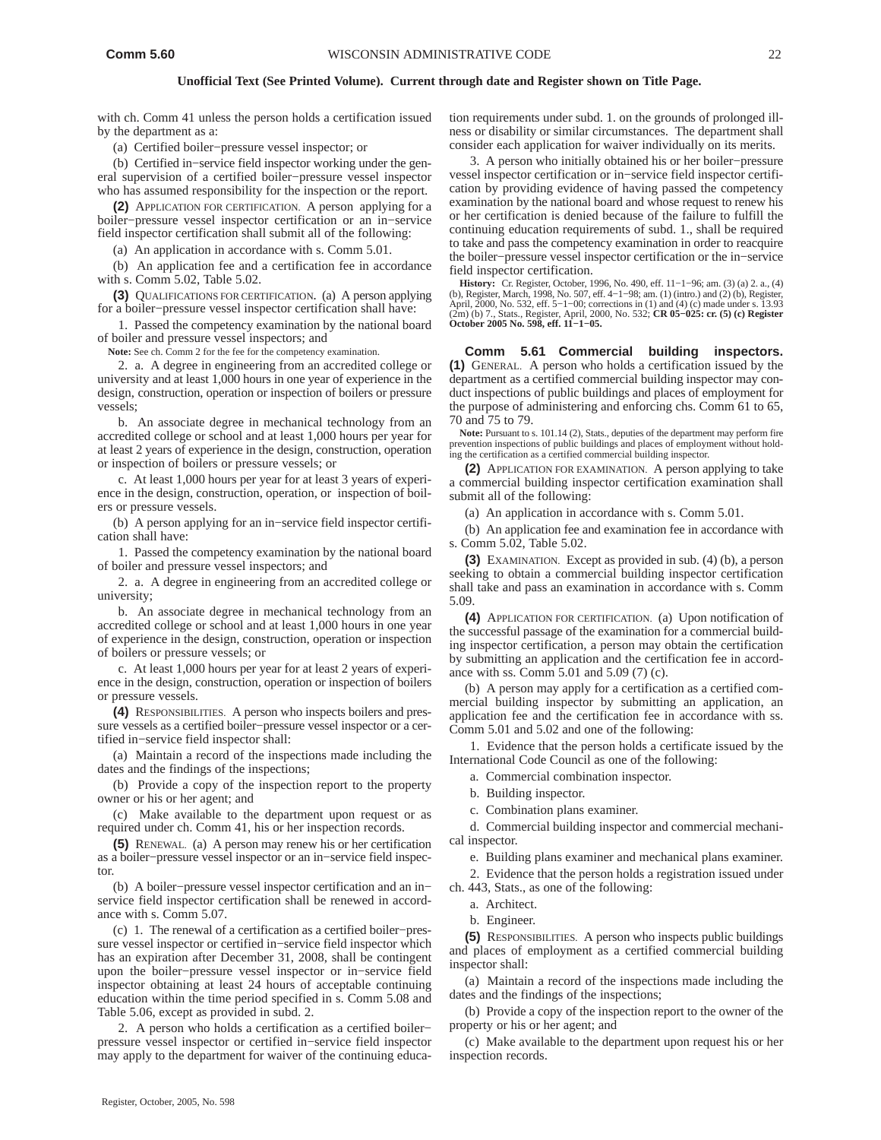with ch. Comm 41 unless the person holds a certification issued by the department as a:

(a) Certified boiler−pressure vessel inspector; or

(b) Certified in−service field inspector working under the general supervision of a certified boiler−pressure vessel inspector who has assumed responsibility for the inspection or the report.

**(2)** APPLICATION FOR CERTIFICATION. A person applying for a boiler−pressure vessel inspector certification or an in−service field inspector certification shall submit all of the following:

(a) An application in accordance with s. Comm 5.01.

(b) An application fee and a certification fee in accordance with s. Comm 5.02, Table 5.02.

**(3)** QUALIFICATIONS FOR CERTIFICATION**.** (a) A person applying for a boiler−pressure vessel inspector certification shall have:

1. Passed the competency examination by the national board of boiler and pressure vessel inspectors; and

Note: See ch. Comm 2 for the fee for the competency examination.

2. a. A degree in engineering from an accredited college or university and at least 1,000 hours in one year of experience in the design, construction, operation or inspection of boilers or pressure vessels;

b. An associate degree in mechanical technology from an accredited college or school and at least 1,000 hours per year for at least 2 years of experience in the design, construction, operation or inspection of boilers or pressure vessels; or

c. At least 1,000 hours per year for at least 3 years of experience in the design, construction, operation, or inspection of boilers or pressure vessels.

(b) A person applying for an in−service field inspector certification shall have:

1. Passed the competency examination by the national board of boiler and pressure vessel inspectors; and

2. a. A degree in engineering from an accredited college or university;

b. An associate degree in mechanical technology from an accredited college or school and at least 1,000 hours in one year of experience in the design, construction, operation or inspection of boilers or pressure vessels; or

c. At least 1,000 hours per year for at least 2 years of experience in the design, construction, operation or inspection of boilers or pressure vessels.

**(4)** RESPONSIBILITIES. A person who inspects boilers and pressure vessels as a certified boiler−pressure vessel inspector or a certified in−service field inspector shall:

(a) Maintain a record of the inspections made including the dates and the findings of the inspections;

(b) Provide a copy of the inspection report to the property owner or his or her agent; and

(c) Make available to the department upon request or as required under ch. Comm 41, his or her inspection records.

**(5)** RENEWAL. (a) A person may renew his or her certification as a boiler−pressure vessel inspector or an in−service field inspector.

(b) A boiler−pressure vessel inspector certification and an in− service field inspector certification shall be renewed in accordance with s. Comm 5.07.

(c) 1. The renewal of a certification as a certified boiler−pressure vessel inspector or certified in−service field inspector which has an expiration after December 31, 2008, shall be contingent upon the boiler−pressure vessel inspector or in−service field inspector obtaining at least 24 hours of acceptable continuing education within the time period specified in s. Comm 5.08 and Table 5.06, except as provided in subd. 2.

2. A person who holds a certification as a certified boiler− pressure vessel inspector or certified in−service field inspector may apply to the department for waiver of the continuing education requirements under subd. 1. on the grounds of prolonged illness or disability or similar circumstances. The department shall consider each application for waiver individually on its merits.

3. A person who initially obtained his or her boiler−pressure vessel inspector certification or in−service field inspector certification by providing evidence of having passed the competency examination by the national board and whose request to renew his or her certification is denied because of the failure to fulfill the continuing education requirements of subd. 1., shall be required to take and pass the competency examination in order to reacquire the boiler−pressure vessel inspector certification or the in−service field inspector certification.

**History:** Cr. Register, October, 1996, No. 490, eff. 11–1–96; am. (3) (a) 2. a., (4) (b), Register, March, 1998, No. 507, eff. 4–1–98; am. (1) (intro.) and (2) (b), Register, March, 1910, April, 2000, No. 532, eff. 5–1–0 (2m) (b) 7., Stats., Register, April, 2000, No. 532; **CR 05−025: cr. (5) (c) Register October 2005 No. 598, eff. 11−1−05.**

**Comm 5.61 Commercial building inspectors. (1)** GENERAL. A person who holds a certification issued by the department as a certified commercial building inspector may conduct inspections of public buildings and places of employment for the purpose of administering and enforcing chs. Comm 61 to 65, 70 and 75 to 79.

**Note:** Pursuant to s. 101.14 (2), Stats., deputies of the department may perform fire prevention inspections of public buildings and places of employment without holding the certification as a certified commercial building inspector.

**(2)** APPLICATION FOR EXAMINATION. A person applying to take a commercial building inspector certification examination shall submit all of the following:

(a) An application in accordance with s. Comm 5.01.

(b) An application fee and examination fee in accordance with s. Comm 5.02, Table 5.02.

**(3)** EXAMINATION. Except as provided in sub. (4) (b), a person seeking to obtain a commercial building inspector certification shall take and pass an examination in accordance with s. Comm 5.09.

**(4)** APPLICATION FOR CERTIFICATION. (a) Upon notification of the successful passage of the examination for a commercial building inspector certification, a person may obtain the certification by submitting an application and the certification fee in accordance with ss. Comm 5.01 and 5.09 (7) (c).

(b) A person may apply for a certification as a certified commercial building inspector by submitting an application, an application fee and the certification fee in accordance with ss. Comm 5.01 and 5.02 and one of the following:

1. Evidence that the person holds a certificate issued by the International Code Council as one of the following:

a. Commercial combination inspector.

b. Building inspector.

c. Combination plans examiner.

d. Commercial building inspector and commercial mechanical inspector.

e. Building plans examiner and mechanical plans examiner.

2. Evidence that the person holds a registration issued under

ch. 443, Stats., as one of the following:

- a. Architect.
- b. Engineer.

**(5)** RESPONSIBILITIES. A person who inspects public buildings and places of employment as a certified commercial building inspector shall:

(a) Maintain a record of the inspections made including the dates and the findings of the inspections;

(b) Provide a copy of the inspection report to the owner of the property or his or her agent; and

(c) Make available to the department upon request his or her inspection records.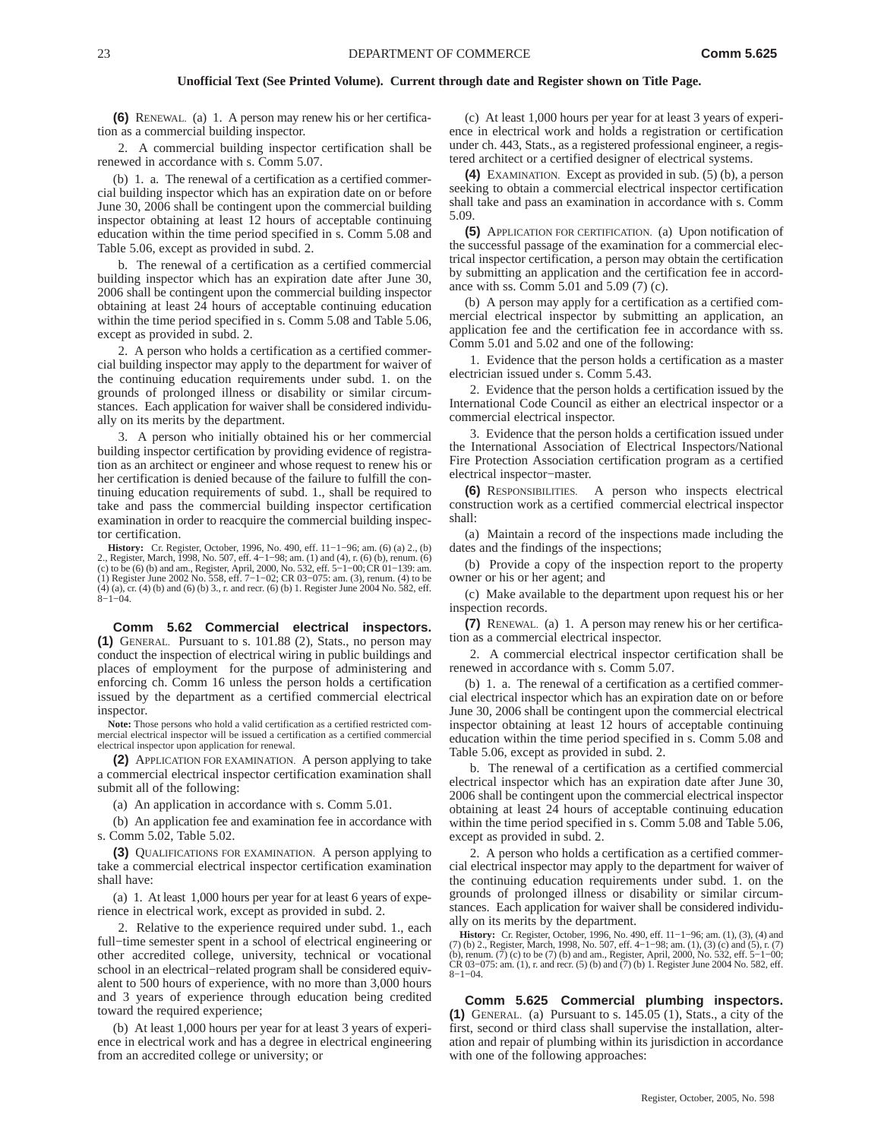**(6)** RENEWAL. (a) 1. A person may renew his or her certification as a commercial building inspector.

2. A commercial building inspector certification shall be renewed in accordance with s. Comm 5.07.

(b) 1. a. The renewal of a certification as a certified commercial building inspector which has an expiration date on or before June 30, 2006 shall be contingent upon the commercial building inspector obtaining at least 12 hours of acceptable continuing education within the time period specified in s. Comm 5.08 and Table 5.06, except as provided in subd. 2.

b. The renewal of a certification as a certified commercial building inspector which has an expiration date after June 30, 2006 shall be contingent upon the commercial building inspector obtaining at least 24 hours of acceptable continuing education within the time period specified in s. Comm 5.08 and Table 5.06, except as provided in subd. 2.

2. A person who holds a certification as a certified commercial building inspector may apply to the department for waiver of the continuing education requirements under subd. 1. on the grounds of prolonged illness or disability or similar circumstances. Each application for waiver shall be considered individually on its merits by the department.

3. A person who initially obtained his or her commercial building inspector certification by providing evidence of registration as an architect or engineer and whose request to renew his or her certification is denied because of the failure to fulfill the continuing education requirements of subd. 1., shall be required to take and pass the commercial building inspector certification examination in order to reacquire the commercial building inspector certification.

**History:** Cr. Register, October, 1996, No. 490, eff. 11−1−96; am. (6) (a) 2., (b) 2., Register, March, 1998, No. 507, eff. 4–1–98; am. (1) and (4), r. (6) (b), renum. (6) (c) to be (6) (b) and am., Register, April, 2000, No. 532, eff. 5–1–00; CR 01–139: am. (1) Register June 2002 No. 558, eff. 7–1–02; C 8−1−04.

**Comm 5.62 Commercial electrical inspectors. (1)** GENERAL. Pursuant to s. 101.88 (2), Stats., no person may conduct the inspection of electrical wiring in public buildings and places of employment for the purpose of administering and enforcing ch. Comm 16 unless the person holds a certification issued by the department as a certified commercial electrical inspector.

**Note:** Those persons who hold a valid certification as a certified restricted commercial electrical inspector will be issued a certification as a certified commercial electrical inspector upon application for renewal.

**(2)** APPLICATION FOR EXAMINATION. A person applying to take a commercial electrical inspector certification examination shall submit all of the following:

(a) An application in accordance with s. Comm 5.01.

(b) An application fee and examination fee in accordance with s. Comm 5.02, Table 5.02.

**(3)** QUALIFICATIONS FOR EXAMINATION. A person applying to take a commercial electrical inspector certification examination shall have:

(a) 1. At least 1,000 hours per year for at least 6 years of experience in electrical work, except as provided in subd. 2.

2. Relative to the experience required under subd. 1., each full−time semester spent in a school of electrical engineering or other accredited college, university, technical or vocational school in an electrical−related program shall be considered equivalent to 500 hours of experience, with no more than 3,000 hours and 3 years of experience through education being credited toward the required experience;

(b) At least 1,000 hours per year for at least 3 years of experience in electrical work and has a degree in electrical engineering from an accredited college or university; or

(c) At least 1,000 hours per year for at least 3 years of experience in electrical work and holds a registration or certification under ch. 443, Stats., as a registered professional engineer, a registered architect or a certified designer of electrical systems.

**(4)** EXAMINATION. Except as provided in sub. (5) (b), a person seeking to obtain a commercial electrical inspector certification shall take and pass an examination in accordance with s. Comm 5.09.

**(5)** APPLICATION FOR CERTIFICATION. (a) Upon notification of the successful passage of the examination for a commercial electrical inspector certification, a person may obtain the certification by submitting an application and the certification fee in accordance with ss. Comm 5.01 and 5.09 (7) (c).

(b) A person may apply for a certification as a certified commercial electrical inspector by submitting an application, an application fee and the certification fee in accordance with ss. Comm 5.01 and 5.02 and one of the following:

1. Evidence that the person holds a certification as a master electrician issued under s. Comm 5.43.

2. Evidence that the person holds a certification issued by the International Code Council as either an electrical inspector or a commercial electrical inspector.

3. Evidence that the person holds a certification issued under the International Association of Electrical Inspectors/National Fire Protection Association certification program as a certified electrical inspector−master.

**(6)** RESPONSIBILITIES. A person who inspects electrical construction work as a certified commercial electrical inspector shall:

(a) Maintain a record of the inspections made including the dates and the findings of the inspections;

(b) Provide a copy of the inspection report to the property owner or his or her agent; and

(c) Make available to the department upon request his or her inspection records.

**(7)** RENEWAL. (a) 1. A person may renew his or her certification as a commercial electrical inspector.

2. A commercial electrical inspector certification shall be renewed in accordance with s. Comm 5.07.

(b) 1. a. The renewal of a certification as a certified commercial electrical inspector which has an expiration date on or before June 30, 2006 shall be contingent upon the commercial electrical inspector obtaining at least 12 hours of acceptable continuing education within the time period specified in s. Comm 5.08 and Table 5.06, except as provided in subd. 2.

b. The renewal of a certification as a certified commercial electrical inspector which has an expiration date after June 30, 2006 shall be contingent upon the commercial electrical inspector obtaining at least 24 hours of acceptable continuing education within the time period specified in s. Comm 5.08 and Table 5.06, except as provided in subd. 2.

2. A person who holds a certification as a certified commercial electrical inspector may apply to the department for waiver of the continuing education requirements under subd. 1. on the grounds of prolonged illness or disability or similar circumstances. Each application for waiver shall be considered individually on its merits by the department.

**History:** Cr. Register, October, 1996, No. 490, eff. 11−1−96; am. (1), (3), (4) and (7) (b) 2., Register, March, 1998, No. 507, eff. 4−1−98; am. (1), (3) (c) and (5), r. (7) (b), renum. (7) (c) to be (7) (b) and am., Register, April, 2000, No. 532, eff. 5−1−00; CR 03−075: am. (1), r. and recr. (5) (b) and (7) (b) 1. Register June 2004 No. 582, eff. 8−1−04.

**Comm 5.625 Commercial plumbing inspectors. (1)** GENERAL. (a) Pursuant to s. 145.05 (1), Stats., a city of the first, second or third class shall supervise the installation, alteration and repair of plumbing within its jurisdiction in accordance with one of the following approaches: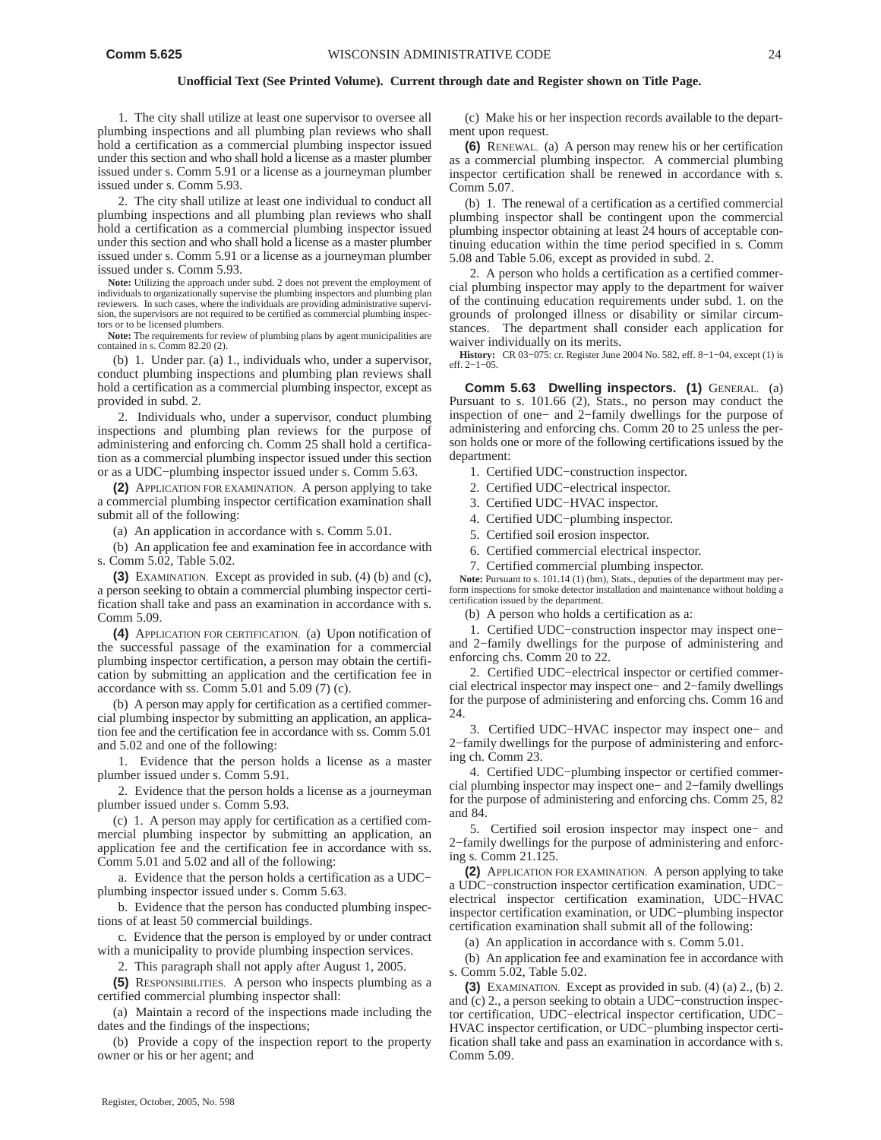1. The city shall utilize at least one supervisor to oversee all plumbing inspections and all plumbing plan reviews who shall hold a certification as a commercial plumbing inspector issued under this section and who shall hold a license as a master plumber issued under s. Comm 5.91 or a license as a journeyman plumber issued under s. Comm 5.93.

2. The city shall utilize at least one individual to conduct all plumbing inspections and all plumbing plan reviews who shall hold a certification as a commercial plumbing inspector issued under this section and who shall hold a license as a master plumber issued under s. Comm 5.91 or a license as a journeyman plumber issued under s. Comm 5.93.

**Note:** Utilizing the approach under subd. 2 does not prevent the employment of individuals to organizationally supervise the plumbing inspectors and plumbing plan reviewers. In such cases, where the individuals are providing administrative supervision, the supervisors are not required to be certified as commercial plumbing inspectors or to be licensed plumbers.

**Note:** The requirements for review of plumbing plans by agent municipalities are contained in s. Comm 82.20 (2).

(b) 1. Under par. (a) 1., individuals who, under a supervisor, conduct plumbing inspections and plumbing plan reviews shall hold a certification as a commercial plumbing inspector, except as provided in subd. 2.

2. Individuals who, under a supervisor, conduct plumbing inspections and plumbing plan reviews for the purpose of administering and enforcing ch. Comm 25 shall hold a certification as a commercial plumbing inspector issued under this section or as a UDC−plumbing inspector issued under s. Comm 5.63.

**(2)** APPLICATION FOR EXAMINATION. A person applying to take a commercial plumbing inspector certification examination shall submit all of the following:

(a) An application in accordance with s. Comm 5.01.

(b) An application fee and examination fee in accordance with s. Comm 5.02, Table 5.02.

**(3)** EXAMINATION. Except as provided in sub. (4) (b) and (c), a person seeking to obtain a commercial plumbing inspector certification shall take and pass an examination in accordance with s. Comm 5.09.

**(4)** APPLICATION FOR CERTIFICATION. (a) Upon notification of the successful passage of the examination for a commercial plumbing inspector certification, a person may obtain the certification by submitting an application and the certification fee in accordance with ss. Comm 5.01 and 5.09 (7) (c).

(b) A person may apply for certification as a certified commercial plumbing inspector by submitting an application, an application fee and the certification fee in accordance with ss. Comm 5.01 and 5.02 and one of the following:

1. Evidence that the person holds a license as a master plumber issued under s. Comm 5.91.

2. Evidence that the person holds a license as a journeyman plumber issued under s. Comm 5.93.

(c) 1. A person may apply for certification as a certified commercial plumbing inspector by submitting an application, an application fee and the certification fee in accordance with ss. Comm 5.01 and 5.02 and all of the following:

a. Evidence that the person holds a certification as a UDC− plumbing inspector issued under s. Comm 5.63.

b. Evidence that the person has conducted plumbing inspections of at least 50 commercial buildings.

c. Evidence that the person is employed by or under contract with a municipality to provide plumbing inspection services.

2. This paragraph shall not apply after August 1, 2005.

**(5)** RESPONSIBILITIES. A person who inspects plumbing as a certified commercial plumbing inspector shall:

(a) Maintain a record of the inspections made including the dates and the findings of the inspections;

(b) Provide a copy of the inspection report to the property owner or his or her agent; and

(c) Make his or her inspection records available to the department upon request.

**(6)** RENEWAL. (a) A person may renew his or her certification as a commercial plumbing inspector. A commercial plumbing inspector certification shall be renewed in accordance with s. Comm 5.07.

(b) 1. The renewal of a certification as a certified commercial plumbing inspector shall be contingent upon the commercial plumbing inspector obtaining at least 24 hours of acceptable continuing education within the time period specified in s. Comm 5.08 and Table 5.06, except as provided in subd. 2.

2. A person who holds a certification as a certified commercial plumbing inspector may apply to the department for waiver of the continuing education requirements under subd. 1. on the grounds of prolonged illness or disability or similar circumstances. The department shall consider each application for waiver individually on its merits.

**History:** CR 03-075: cr. Register June 2004 No. 582, eff. 8-1-04, except (1) is eff. 2-1-05.

**Comm 5.63 Dwelling inspectors. (1)** GENERAL. (a) Pursuant to s. 101.66 (2), Stats., no person may conduct the inspection of one− and 2−family dwellings for the purpose of administering and enforcing chs. Comm 20 to 25 unless the person holds one or more of the following certifications issued by the department:

1. Certified UDC−construction inspector.

2. Certified UDC−electrical inspector.

3. Certified UDC−HVAC inspector.

4. Certified UDC−plumbing inspector.

5. Certified soil erosion inspector.

6. Certified commercial electrical inspector.

7. Certified commercial plumbing inspector.

Note: Pursuant to s. 101.14 (1) (bm), Stats., deputies of the department may per-<br>form inspections for smoke detector installation and maintenance without holding a certification issued by the department.

(b) A person who holds a certification as a:

1. Certified UDC−construction inspector may inspect one− and 2−family dwellings for the purpose of administering and enforcing chs. Comm 20 to 22.

2. Certified UDC−electrical inspector or certified commercial electrical inspector may inspect one− and 2−family dwellings for the purpose of administering and enforcing chs. Comm 16 and 24.

3. Certified UDC−HVAC inspector may inspect one− and 2−family dwellings for the purpose of administering and enforcing ch. Comm 23.

4. Certified UDC−plumbing inspector or certified commercial plumbing inspector may inspect one− and 2−family dwellings for the purpose of administering and enforcing chs. Comm 25, 82 and 84.

5. Certified soil erosion inspector may inspect one− and 2−family dwellings for the purpose of administering and enforcing s. Comm 21.125.

**(2)** APPLICATION FOR EXAMINATION. A person applying to take a UDC−construction inspector certification examination, UDC− electrical inspector certification examination, UDC−HVAC inspector certification examination, or UDC−plumbing inspector certification examination shall submit all of the following:

(a) An application in accordance with s. Comm 5.01.

(b) An application fee and examination fee in accordance with s. Comm 5.02, Table 5.02.

**(3)** EXAMINATION. Except as provided in sub. (4) (a) 2., (b) 2. and (c) 2., a person seeking to obtain a UDC−construction inspector certification, UDC−electrical inspector certification, UDC− HVAC inspector certification, or UDC−plumbing inspector certification shall take and pass an examination in accordance with s. Comm 5.09.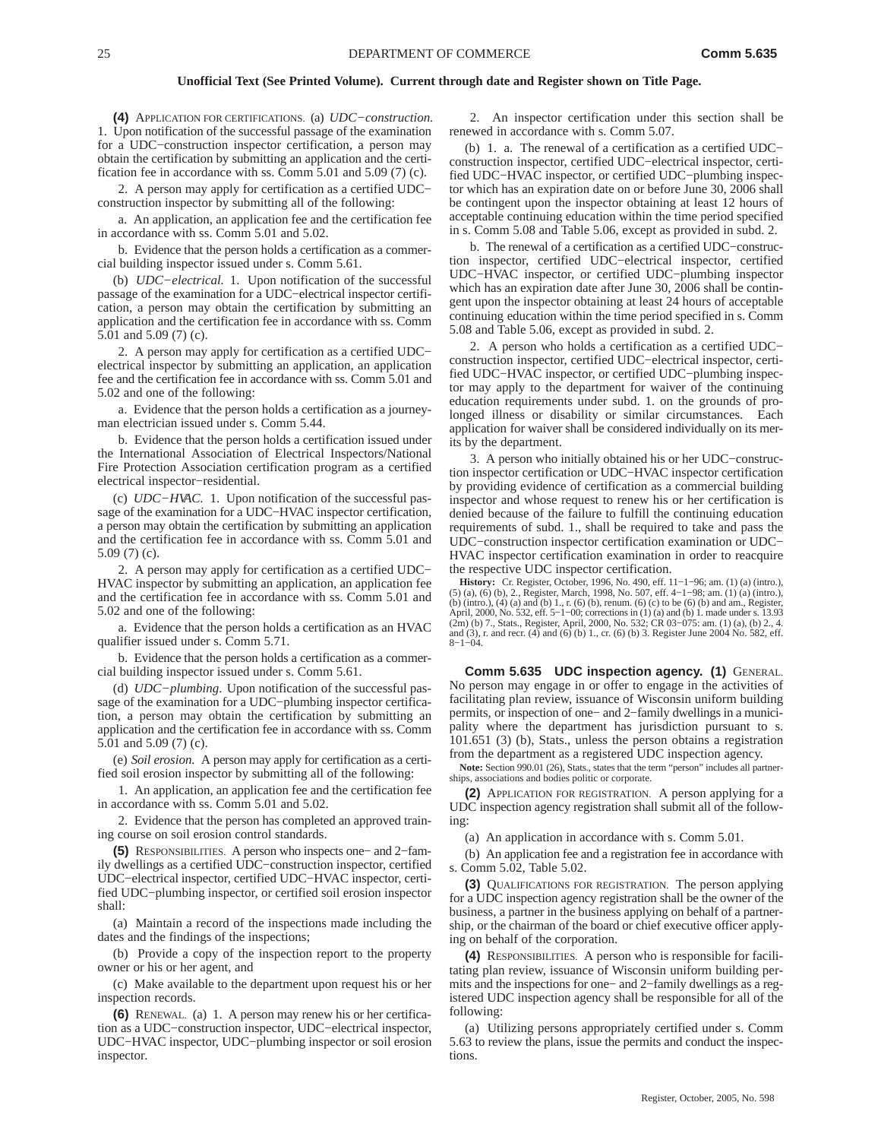**(4)** APPLICATION FOR CERTIFICATIONS. (a) *UDC−construction.* 1. Upon notification of the successful passage of the examination for a UDC−construction inspector certification, a person may obtain the certification by submitting an application and the certification fee in accordance with ss. Comm 5.01 and 5.09 (7) (c).

2. A person may apply for certification as a certified UDC− construction inspector by submitting all of the following:

a. An application, an application fee and the certification fee in accordance with ss. Comm 5.01 and 5.02.

b. Evidence that the person holds a certification as a commercial building inspector issued under s. Comm 5.61.

(b) *UDC−electrical.* 1. Upon notification of the successful passage of the examination for a UDC−electrical inspector certification, a person may obtain the certification by submitting an application and the certification fee in accordance with ss. Comm 5.01 and 5.09 (7) (c).

2. A person may apply for certification as a certified UDC− electrical inspector by submitting an application, an application fee and the certification fee in accordance with ss. Comm 5.01 and 5.02 and one of the following:

a. Evidence that the person holds a certification as a journeyman electrician issued under s. Comm 5.44.

b. Evidence that the person holds a certification issued under the International Association of Electrical Inspectors/National Fire Protection Association certification program as a certified electrical inspector−residential.

(c) *UDC−HVAC.* 1. Upon notification of the successful passage of the examination for a UDC−HVAC inspector certification, a person may obtain the certification by submitting an application and the certification fee in accordance with ss. Comm 5.01 and 5.09 (7) (c).

2. A person may apply for certification as a certified UDC− HVAC inspector by submitting an application, an application fee and the certification fee in accordance with ss. Comm 5.01 and 5.02 and one of the following:

a. Evidence that the person holds a certification as an HVAC qualifier issued under s. Comm 5.71.

b. Evidence that the person holds a certification as a commercial building inspector issued under s. Comm 5.61.

(d) *UDC−plumbing.* Upon notification of the successful passage of the examination for a UDC−plumbing inspector certification, a person may obtain the certification by submitting an application and the certification fee in accordance with ss. Comm 5.01 and 5.09 (7) (c).

(e) *Soil erosion.* A person may apply for certification as a certified soil erosion inspector by submitting all of the following:

1. An application, an application fee and the certification fee in accordance with ss. Comm 5.01 and 5.02.

2. Evidence that the person has completed an approved training course on soil erosion control standards.

**(5)** RESPONSIBILITIES. A person who inspects one− and 2−family dwellings as a certified UDC−construction inspector, certified UDC−electrical inspector, certified UDC−HVAC inspector, certified UDC−plumbing inspector, or certified soil erosion inspector shall:

(a) Maintain a record of the inspections made including the dates and the findings of the inspections;

(b) Provide a copy of the inspection report to the property owner or his or her agent, and

(c) Make available to the department upon request his or her inspection records.

**(6)** RENEWAL. (a) 1. A person may renew his or her certification as a UDC−construction inspector, UDC−electrical inspector, UDC−HVAC inspector, UDC−plumbing inspector or soil erosion inspector.

2. An inspector certification under this section shall be renewed in accordance with s. Comm 5.07.

(b) 1. a. The renewal of a certification as a certified UDC− construction inspector, certified UDC−electrical inspector, certified UDC−HVAC inspector, or certified UDC−plumbing inspector which has an expiration date on or before June 30, 2006 shall be contingent upon the inspector obtaining at least 12 hours of acceptable continuing education within the time period specified in s. Comm 5.08 and Table 5.06, except as provided in subd. 2.

b. The renewal of a certification as a certified UDC−construction inspector, certified UDC−electrical inspector, certified UDC−HVAC inspector, or certified UDC−plumbing inspector which has an expiration date after June 30, 2006 shall be contingent upon the inspector obtaining at least 24 hours of acceptable continuing education within the time period specified in s. Comm 5.08 and Table 5.06, except as provided in subd. 2.

2. A person who holds a certification as a certified UDC− construction inspector, certified UDC−electrical inspector, certified UDC−HVAC inspector, or certified UDC−plumbing inspector may apply to the department for waiver of the continuing education requirements under subd. 1. on the grounds of prolonged illness or disability or similar circumstances. Each application for waiver shall be considered individually on its merits by the department.

3. A person who initially obtained his or her UDC−construction inspector certification or UDC−HVAC inspector certification by providing evidence of certification as a commercial building inspector and whose request to renew his or her certification is denied because of the failure to fulfill the continuing education requirements of subd. 1., shall be required to take and pass the UDC−construction inspector certification examination or UDC− HVAC inspector certification examination in order to reacquire the respective UDC inspector certification.

**History:** Cr. Register, October, 1996, No. 490, eff. 11–1−96; am. (1) (a) (intro.), (5) (a), (6) (b), 2., Register, March, 1998, No. 507, eff. 4–1−98; am. (1) (a) (intro.), (b) (intro.), (4) (a) and (b) 1., r. (6) (b), renum. (6) (c) to be (6) (b) and am., Register,<br>April, 2000, No. 532, eff. 5–1–00; corrections in (1) (a) and (b) 1. made under s. 13.93<br>(2m) (b) 7., Stats., Register, April, 2 and (3), r. and recr. (4) and (6) (b) 1., cr. (6) (b) 3. Register June 2004 No. 582, eff. 8−1−04.

**Comm 5.635 UDC inspection agency. (1)** GENERAL. No person may engage in or offer to engage in the activities of facilitating plan review, issuance of Wisconsin uniform building permits, or inspection of one− and 2−family dwellings in a municipality where the department has jurisdiction pursuant to s. 101.651 (3) (b), Stats., unless the person obtains a registration from the department as a registered UDC inspection agency.

**Note:** Section 990.01 (26), Stats., states that the term "person" includes all partnerships, associations and bodies politic or corporate.

**(2)** APPLICATION FOR REGISTRATION. A person applying for a UDC inspection agency registration shall submit all of the following:

(a) An application in accordance with s. Comm 5.01.

(b) An application fee and a registration fee in accordance with s. Comm 5.02, Table 5.02.

**(3)** QUALIFICATIONS FOR REGISTRATION. The person applying for a UDC inspection agency registration shall be the owner of the business, a partner in the business applying on behalf of a partnership, or the chairman of the board or chief executive officer applying on behalf of the corporation.

**(4)** RESPONSIBILITIES. A person who is responsible for facilitating plan review, issuance of Wisconsin uniform building permits and the inspections for one− and 2−family dwellings as a registered UDC inspection agency shall be responsible for all of the following:

(a) Utilizing persons appropriately certified under s. Comm 5.63 to review the plans, issue the permits and conduct the inspections.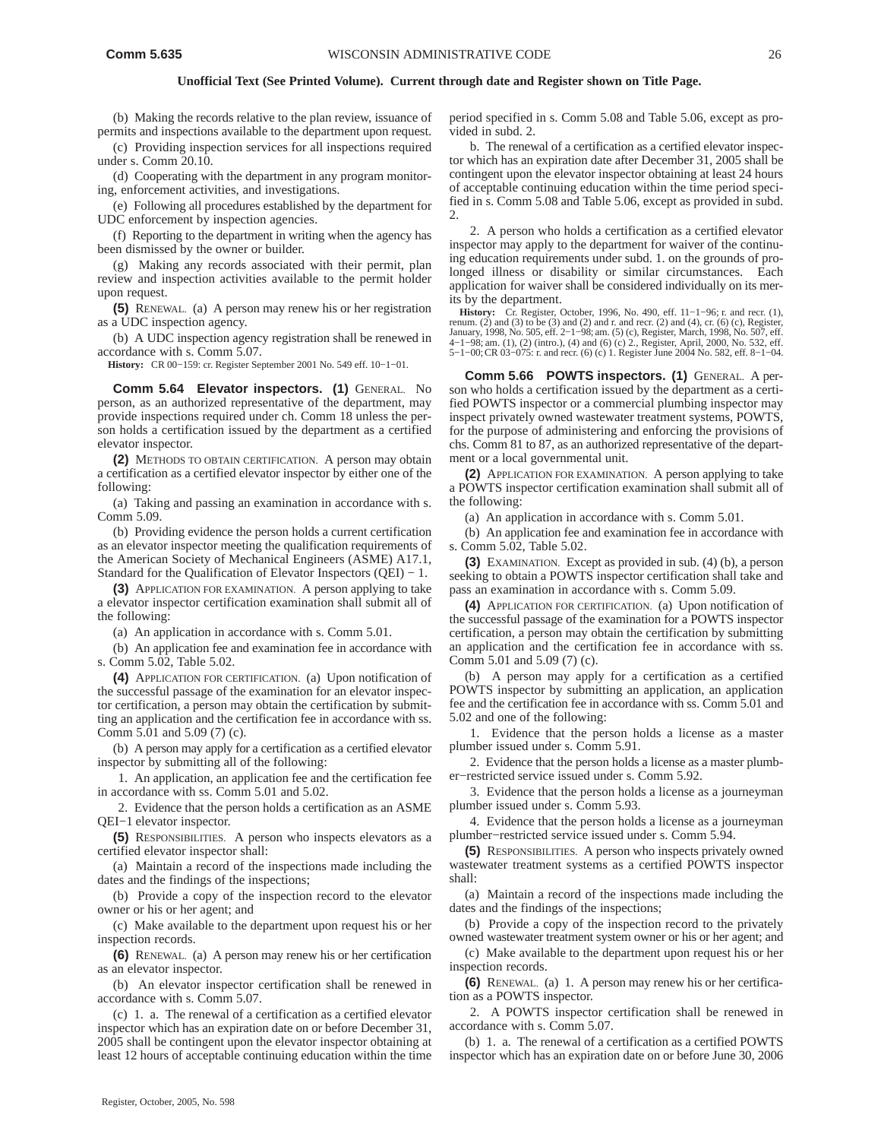(b) Making the records relative to the plan review, issuance of permits and inspections available to the department upon request.

(c) Providing inspection services for all inspections required under s. Comm 20.10.

(d) Cooperating with the department in any program monitoring, enforcement activities, and investigations.

(e) Following all procedures established by the department for UDC enforcement by inspection agencies.

(f) Reporting to the department in writing when the agency has been dismissed by the owner or builder.

(g) Making any records associated with their permit, plan review and inspection activities available to the permit holder upon request.

**(5)** RENEWAL. (a) A person may renew his or her registration as a UDC inspection agency.

(b) A UDC inspection agency registration shall be renewed in accordance with s. Comm 5.07.

**History:** CR 00−159: cr. Register September 2001 No. 549 eff. 10−1−01.

**Comm 5.64 Elevator inspectors. (1)** GENERAL. No person, as an authorized representative of the department, may provide inspections required under ch. Comm 18 unless the person holds a certification issued by the department as a certified elevator inspector.

**(2)** METHODS TO OBTAIN CERTIFICATION. A person may obtain a certification as a certified elevator inspector by either one of the following:

(a) Taking and passing an examination in accordance with s. Comm 5.09.

(b) Providing evidence the person holds a current certification as an elevator inspector meeting the qualification requirements of the American Society of Mechanical Engineers (ASME) A17.1, Standard for the Qualification of Elevator Inspectors (QEI) − 1.

**(3)** APPLICATION FOR EXAMINATION. A person applying to take a elevator inspector certification examination shall submit all of the following:

(a) An application in accordance with s. Comm 5.01.

(b) An application fee and examination fee in accordance with s. Comm 5.02, Table 5.02.

**(4)** APPLICATION FOR CERTIFICATION. (a) Upon notification of the successful passage of the examination for an elevator inspector certification, a person may obtain the certification by submitting an application and the certification fee in accordance with ss. Comm 5.01 and 5.09 (7) (c).

(b) A person may apply for a certification as a certified elevator inspector by submitting all of the following:

1. An application, an application fee and the certification fee in accordance with ss. Comm 5.01 and 5.02.

2. Evidence that the person holds a certification as an ASME QEI−1 elevator inspector.

**(5)** RESPONSIBILITIES. A person who inspects elevators as a certified elevator inspector shall:

(a) Maintain a record of the inspections made including the dates and the findings of the inspections;

(b) Provide a copy of the inspection record to the elevator owner or his or her agent; and

(c) Make available to the department upon request his or her inspection records.

**(6)** RENEWAL. (a) A person may renew his or her certification as an elevator inspector.

(b) An elevator inspector certification shall be renewed in accordance with s. Comm 5.07.

(c) 1. a. The renewal of a certification as a certified elevator inspector which has an expiration date on or before December 31, 2005 shall be contingent upon the elevator inspector obtaining at least 12 hours of acceptable continuing education within the time

period specified in s. Comm 5.08 and Table 5.06, except as provided in subd. 2.

b. The renewal of a certification as a certified elevator inspector which has an expiration date after December 31, 2005 shall be contingent upon the elevator inspector obtaining at least 24 hours of acceptable continuing education within the time period specified in s. Comm 5.08 and Table 5.06, except as provided in subd. 2.

2. A person who holds a certification as a certified elevator inspector may apply to the department for waiver of the continuing education requirements under subd. 1. on the grounds of prolonged illness or disability or similar circumstances. Each application for waiver shall be considered individually on its merits by the department.

**History:** Cr. Register, October, 1996, No. 490, eff. 11−1−96; r. and recr. (1), renum. (2) and (3) to be (3) and (2) and r. and recr. (2) and (4), cr. (6) (c), Register,<br>January, 1998, No. 505, eff. 2–1–98; am. (5) (c), Register, March, 1998, No. 507, eff.<br>4–1–98; am. (1), (2) (intro.), (4) and (6) (c 5−1−00; CR 03−075: r. and recr. (6) (c) 1. Register June 2004 No. 582, eff. 8−1−04.

**Comm 5.66 POWTS inspectors. (1)** GENERAL. A person who holds a certification issued by the department as a certified POWTS inspector or a commercial plumbing inspector may inspect privately owned wastewater treatment systems, POWTS, for the purpose of administering and enforcing the provisions of chs. Comm 81 to 87, as an authorized representative of the department or a local governmental unit.

**(2)** APPLICATION FOR EXAMINATION. A person applying to take a POWTS inspector certification examination shall submit all of the following:

(a) An application in accordance with s. Comm 5.01.

(b) An application fee and examination fee in accordance with s. Comm 5.02, Table 5.02.

**(3)** EXAMINATION. Except as provided in sub. (4) (b), a person seeking to obtain a POWTS inspector certification shall take and pass an examination in accordance with s. Comm 5.09.

**(4)** APPLICATION FOR CERTIFICATION. (a) Upon notification of the successful passage of the examination for a POWTS inspector certification, a person may obtain the certification by submitting an application and the certification fee in accordance with ss. Comm 5.01 and 5.09 (7) (c).

(b) A person may apply for a certification as a certified POWTS inspector by submitting an application, an application fee and the certification fee in accordance with ss. Comm 5.01 and 5.02 and one of the following:

1. Evidence that the person holds a license as a master plumber issued under s. Comm 5.91.

2. Evidence that the person holds a license as a master plumber−restricted service issued under s. Comm 5.92.

3. Evidence that the person holds a license as a journeyman plumber issued under s. Comm 5.93.

4. Evidence that the person holds a license as a journeyman plumber−restricted service issued under s. Comm 5.94.

**(5)** RESPONSIBILITIES. A person who inspects privately owned wastewater treatment systems as a certified POWTS inspector shall:

(a) Maintain a record of the inspections made including the dates and the findings of the inspections;

(b) Provide a copy of the inspection record to the privately owned wastewater treatment system owner or his or her agent; and

(c) Make available to the department upon request his or her inspection records.

**(6)** RENEWAL. (a) 1. A person may renew his or her certification as a POWTS inspector.

2. A POWTS inspector certification shall be renewed in accordance with s. Comm 5.07.

(b) 1. a. The renewal of a certification as a certified POWTS inspector which has an expiration date on or before June 30, 2006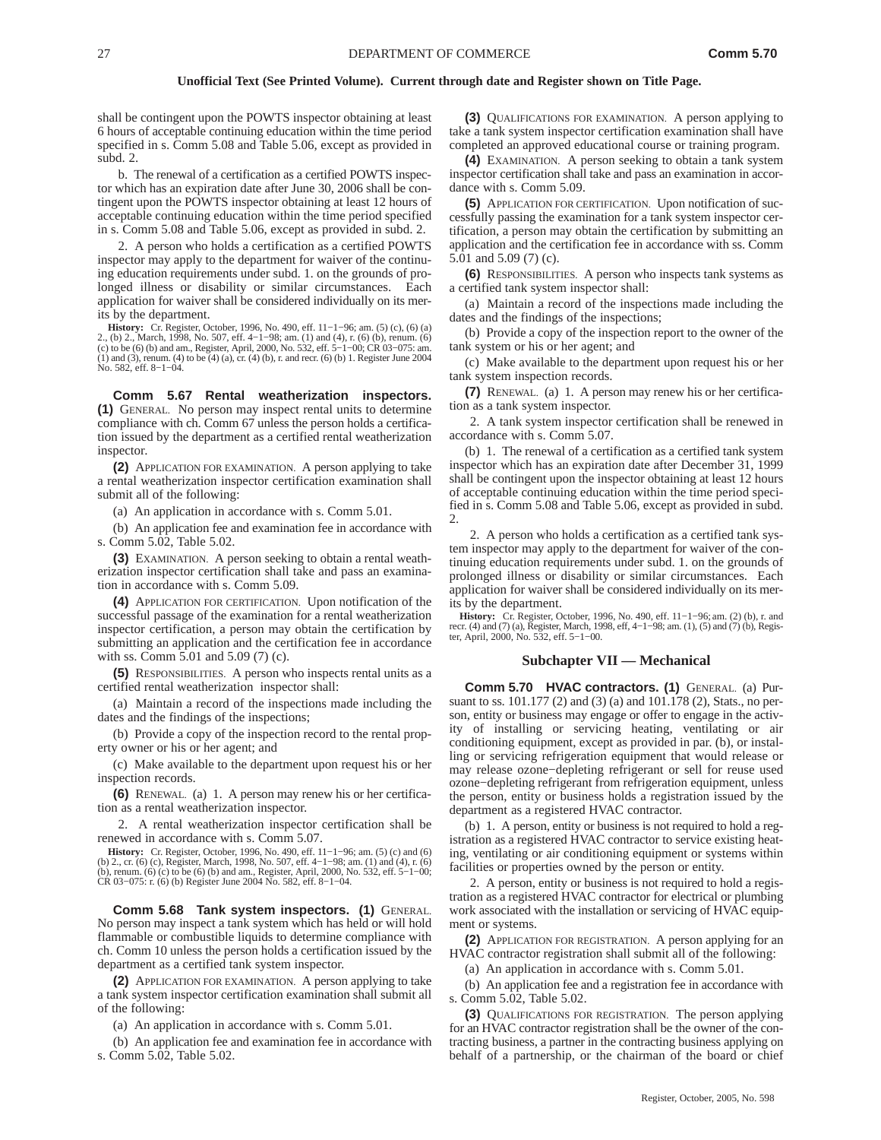shall be contingent upon the POWTS inspector obtaining at least 6 hours of acceptable continuing education within the time period specified in s. Comm 5.08 and Table 5.06, except as provided in subd. 2.

b. The renewal of a certification as a certified POWTS inspector which has an expiration date after June 30, 2006 shall be contingent upon the POWTS inspector obtaining at least 12 hours of acceptable continuing education within the time period specified in s. Comm 5.08 and Table 5.06, except as provided in subd. 2.

2. A person who holds a certification as a certified POWTS inspector may apply to the department for waiver of the continuing education requirements under subd. 1. on the grounds of prolonged illness or disability or similar circumstances. application for waiver shall be considered individually on its merits by the department.

**History:** Cr. Register, October, 1996, No. 490, eff. 11–1–96; am. (5) (c), (6) (a) 2, 0, (b) c), March, 1998, No. 507, eff. 4–1–98; am. (1) and (4), r. (6) (b) comum. (6) (c) to be (6) (b) and am., Register, April, 2000, (1) and (3), renum. (4) to be (4) (a), cr. (4) (b), r. and recr. (6) (b) 1. Register June 2004 No. 582, eff. 8−1−04.

**Comm 5.67 Rental weatherization inspectors. (1)** GENERAL. No person may inspect rental units to determine compliance with ch. Comm 67 unless the person holds a certification issued by the department as a certified rental weatherization inspector.

**(2)** APPLICATION FOR EXAMINATION. A person applying to take a rental weatherization inspector certification examination shall submit all of the following:

(a) An application in accordance with s. Comm 5.01.

(b) An application fee and examination fee in accordance with s. Comm 5.02, Table 5.02.

**(3)** EXAMINATION. A person seeking to obtain a rental weatherization inspector certification shall take and pass an examination in accordance with s. Comm 5.09.

**(4)** APPLICATION FOR CERTIFICATION. Upon notification of the successful passage of the examination for a rental weatherization inspector certification, a person may obtain the certification by submitting an application and the certification fee in accordance with ss. Comm 5.01 and 5.09 (7) (c).

**(5)** RESPONSIBILITIES. A person who inspects rental units as a certified rental weatherization inspector shall:

(a) Maintain a record of the inspections made including the dates and the findings of the inspections;

(b) Provide a copy of the inspection record to the rental property owner or his or her agent; and

(c) Make available to the department upon request his or her inspection records.

**(6)** RENEWAL. (a) 1. A person may renew his or her certification as a rental weatherization inspector.

2. A rental weatherization inspector certification shall be renewed in accordance with s. Comm 5.07.

**History:** Cr. Register, October, 1996, No. 490, eff. 11−1−96; am. (5) (c) and (6) (b) 2., cr. (6) (c), Register, March, 1998, No. 507, eff. 4–1–98; am. (1) and (4), r. (6)<br>(b), renum. (6) (c) to be (6) (b) and am., Register, April, 2000, No. 532, eff. 5–1–00;<br>CR 03–075: r. (6) (b) Register June 2004 No.

**Comm 5.68 Tank system inspectors. (1)** GENERAL. No person may inspect a tank system which has held or will hold flammable or combustible liquids to determine compliance with ch. Comm 10 unless the person holds a certification issued by the department as a certified tank system inspector.

**(2)** APPLICATION FOR EXAMINATION. A person applying to take a tank system inspector certification examination shall submit all of the following:

(a) An application in accordance with s. Comm 5.01.

(b) An application fee and examination fee in accordance with s. Comm 5.02, Table 5.02.

**(3)** QUALIFICATIONS FOR EXAMINATION. A person applying to take a tank system inspector certification examination shall have completed an approved educational course or training program.

**(4)** EXAMINATION. A person seeking to obtain a tank system inspector certification shall take and pass an examination in accordance with s. Comm 5.09.

**(5)** APPLICATION FOR CERTIFICATION. Upon notification of successfully passing the examination for a tank system inspector certification, a person may obtain the certification by submitting an application and the certification fee in accordance with ss. Comm 5.01 and 5.09 (7) (c).

**(6)** RESPONSIBILITIES. A person who inspects tank systems as a certified tank system inspector shall:

(a) Maintain a record of the inspections made including the dates and the findings of the inspections;

(b) Provide a copy of the inspection report to the owner of the tank system or his or her agent; and

(c) Make available to the department upon request his or her tank system inspection records.

**(7)** RENEWAL. (a) 1. A person may renew his or her certification as a tank system inspector.

2. A tank system inspector certification shall be renewed in accordance with s. Comm 5.07.

(b) 1. The renewal of a certification as a certified tank system inspector which has an expiration date after December 31, 1999 shall be contingent upon the inspector obtaining at least 12 hours of acceptable continuing education within the time period specified in s. Comm 5.08 and Table 5.06, except as provided in subd. 2.

2. A person who holds a certification as a certified tank system inspector may apply to the department for waiver of the continuing education requirements under subd. 1. on the grounds of prolonged illness or disability or similar circumstances. Each application for waiver shall be considered individually on its merits by the department.<br> **History:** Cr. Register, October, 1996, No. 490, eff. 11–1–96; am. (2) (b), r. and

recr. (4) and (7) (a), Register, March, 1998, eff, 4-1-98; am. (1), (5) and (7) (b), Register, April, 2000, No. 532, eff. 5−1−00.

## **Subchapter VII — Mechanical**

**Comm 5.70 HVAC contractors. (1)** GENERAL. (a) Pursuant to ss. 101.177 (2) and (3) (a) and 101.178 (2), Stats., no person, entity or business may engage or offer to engage in the activity of installing or servicing heating, ventilating or air conditioning equipment, except as provided in par. (b), or installing or servicing refrigeration equipment that would release or may release ozone−depleting refrigerant or sell for reuse used ozone−depleting refrigerant from refrigeration equipment, unless the person, entity or business holds a registration issued by the department as a registered HVAC contractor.

(b) 1. A person, entity or business is not required to hold a registration as a registered HVAC contractor to service existing heating, ventilating or air conditioning equipment or systems within facilities or properties owned by the person or entity.

2. A person, entity or business is not required to hold a registration as a registered HVAC contractor for electrical or plumbing work associated with the installation or servicing of HVAC equipment or systems.

**(2)** APPLICATION FOR REGISTRATION. A person applying for an HVAC contractor registration shall submit all of the following:

(a) An application in accordance with s. Comm 5.01.

(b) An application fee and a registration fee in accordance with s. Comm 5.02, Table 5.02.

**(3)** QUALIFICATIONS FOR REGISTRATION. The person applying for an HVAC contractor registration shall be the owner of the contracting business, a partner in the contracting business applying on behalf of a partnership, or the chairman of the board or chief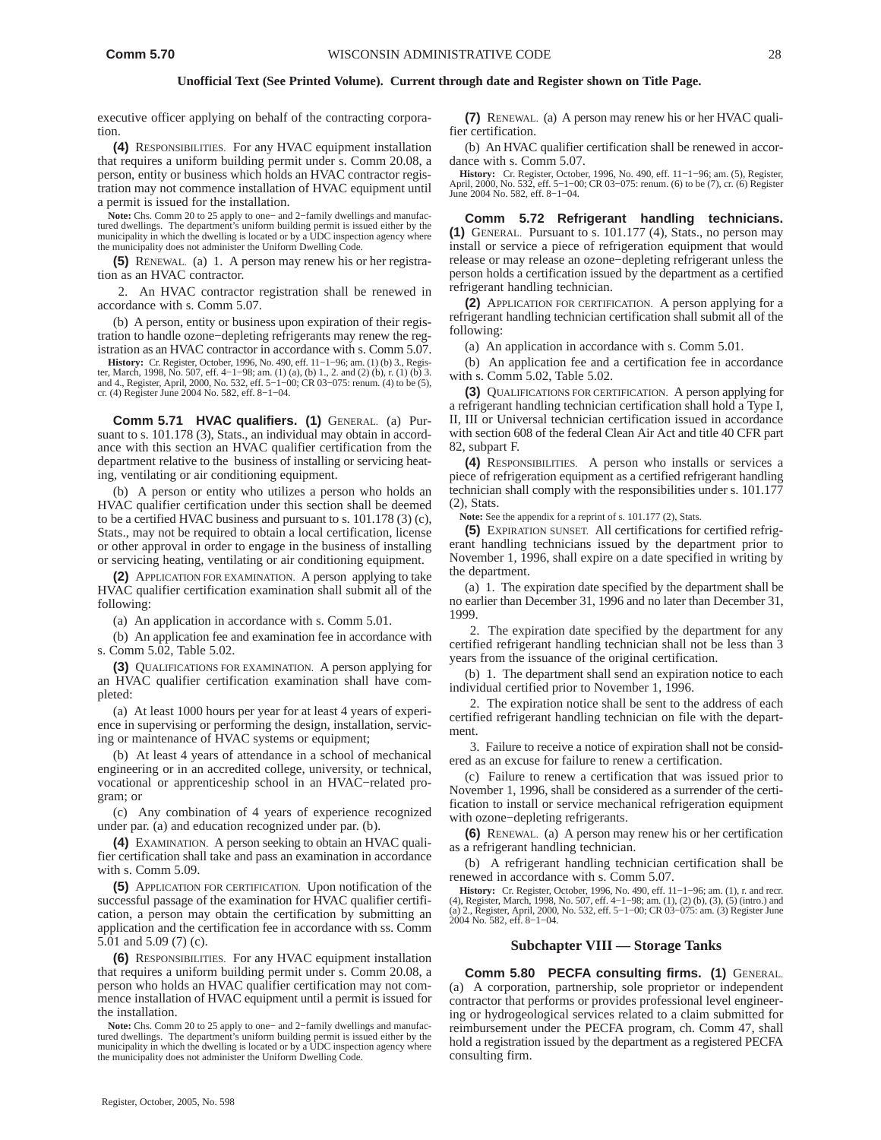executive officer applying on behalf of the contracting corporation.

**(4)** RESPONSIBILITIES. For any HVAC equipment installation that requires a uniform building permit under s. Comm 20.08, a person, entity or business which holds an HVAC contractor registration may not commence installation of HVAC equipment until a permit is issued for the installation.

**Note:** Chs. Comm 20 to 25 apply to one− and 2−family dwellings and manufactured dwellings. The department's uniform building permit is issued either by the municipality in which the dwelling is located or by a UDC inspection agency where the municipality does not administer the Uniform Dwelling Code.

**(5)** RENEWAL. (a) 1. A person may renew his or her registration as an HVAC contractor.

2. An HVAC contractor registration shall be renewed in accordance with s. Comm 5.07.

(b) A person, entity or business upon expiration of their registration to handle ozone−depleting refrigerants may renew the registration as an HVAC contractor in accordance with s. Comm 5.07.

**History:** Cr. Register, October, 1996, No. 490, eff. 11–1−96; am. (1) (b) 3., Register, March, 1998, No. 507, eff. 4–1−98; am. (1) (a), (b) 1., 2. and (2) (b), r. (1) (b) 3. and 4., Register, April, 2000, No. 532, eff. 5−1−00; CR 03−075: renum. (4) to be (5), cr. (4) Register June 2004 No. 582, eff. 8−1−04.

**Comm 5.71 HVAC qualifiers. (1)** GENERAL. (a) Pursuant to s. 101.178 (3), Stats., an individual may obtain in accordance with this section an HVAC qualifier certification from the department relative to the business of installing or servicing heating, ventilating or air conditioning equipment.

(b) A person or entity who utilizes a person who holds an HVAC qualifier certification under this section shall be deemed to be a certified HVAC business and pursuant to s. 101.178 (3) (c), Stats., may not be required to obtain a local certification, license or other approval in order to engage in the business of installing or servicing heating, ventilating or air conditioning equipment.

**(2)** APPLICATION FOR EXAMINATION. A person applying to take HVAC qualifier certification examination shall submit all of the following:

(a) An application in accordance with s. Comm 5.01.

(b) An application fee and examination fee in accordance with s. Comm 5.02, Table 5.02.

**(3)** QUALIFICATIONS FOR EXAMINATION. A person applying for an HVAC qualifier certification examination shall have completed:

(a) At least 1000 hours per year for at least 4 years of experience in supervising or performing the design, installation, servicing or maintenance of HVAC systems or equipment;

(b) At least 4 years of attendance in a school of mechanical engineering or in an accredited college, university, or technical, vocational or apprenticeship school in an HVAC−related program; or

(c) Any combination of 4 years of experience recognized under par. (a) and education recognized under par. (b).

**(4)** EXAMINATION. A person seeking to obtain an HVAC qualifier certification shall take and pass an examination in accordance with s. Comm 5.09.

**(5)** APPLICATION FOR CERTIFICATION. Upon notification of the successful passage of the examination for HVAC qualifier certification, a person may obtain the certification by submitting an application and the certification fee in accordance with ss. Comm 5.01 and 5.09 (7) (c).

**(6)** RESPONSIBILITIES. For any HVAC equipment installation that requires a uniform building permit under s. Comm 20.08, a person who holds an HVAC qualifier certification may not commence installation of HVAC equipment until a permit is issued for the installation.

**Note:** Chs. Comm 20 to 25 apply to one− and 2−family dwellings and manufactured dwellings. The department's uniform building permit is issued either by the municipality in which the dwelling is located or by a UDC inspection agency where the municipality does not administer the Uniform Dwelling Code.

**(7)** RENEWAL. (a) A person may renew his or her HVAC qualifier certification.

(b) An HVAC qualifier certification shall be renewed in accordance with s. Comm 5.07.

**History:** Cr. Register, October, 1996, No. 490, eff. 11−1−96; am. (5), Register, April, 2000, No. 532, eff. 5−1−00; CR 03−075: renum. (6) to be (7), cr. (6) Register June 2004 No. 582, eff. 8−1−04.

**Comm 5.72 Refrigerant handling technicians. (1)** GENERAL. Pursuant to s. 101.177 (4), Stats., no person may install or service a piece of refrigeration equipment that would release or may release an ozone−depleting refrigerant unless the person holds a certification issued by the department as a certified refrigerant handling technician.

**(2)** APPLICATION FOR CERTIFICATION. A person applying for a refrigerant handling technician certification shall submit all of the following:

(a) An application in accordance with s. Comm 5.01.

(b) An application fee and a certification fee in accordance with s. Comm 5.02, Table 5.02.

**(3)** QUALIFICATIONS FOR CERTIFICATION. A person applying for a refrigerant handling technician certification shall hold a Type I, II, III or Universal technician certification issued in accordance with section 608 of the federal Clean Air Act and title 40 CFR part 82, subpart F.

**(4)** RESPONSIBILITIES. A person who installs or services a piece of refrigeration equipment as a certified refrigerant handling technician shall comply with the responsibilities under s. 101.177 (2), Stats.

**Note:** See the appendix for a reprint of s. 101.177 (2), Stats.

**(5)** EXPIRATION SUNSET. All certifications for certified refrigerant handling technicians issued by the department prior to November 1, 1996, shall expire on a date specified in writing by the department.

(a) 1. The expiration date specified by the department shall be no earlier than December 31, 1996 and no later than December 31, 1999.

2. The expiration date specified by the department for any certified refrigerant handling technician shall not be less than 3 years from the issuance of the original certification.

(b) 1. The department shall send an expiration notice to each individual certified prior to November 1, 1996.

2. The expiration notice shall be sent to the address of each certified refrigerant handling technician on file with the department.

3. Failure to receive a notice of expiration shall not be considered as an excuse for failure to renew a certification.

(c) Failure to renew a certification that was issued prior to November 1, 1996, shall be considered as a surrender of the certification to install or service mechanical refrigeration equipment with ozone−depleting refrigerants.

**(6)** RENEWAL. (a) A person may renew his or her certification as a refrigerant handling technician.

(b) A refrigerant handling technician certification shall be renewed in accordance with s. Comm 5.07.

**History:** Cr. Register, October, 1996, No. 490, eff. 11−1−96; am. (1), r. and recr. (4), Register, March, 1998, No. 507, eff. 4−1−98; am. (1), (2) (b), (3), (5) (intro.) and (a) 2., Register, April, 2000, No. 532, eff. 5−1−00; CR 03−075: am. (3) Register June 2004 No. 582, eff. 8−1−04.

## **Subchapter VIII — Storage Tanks**

**Comm 5.80 PECFA consulting firms. (1)** GENERAL. (a) A corporation, partnership, sole proprietor or independent contractor that performs or provides professional level engineering or hydrogeological services related to a claim submitted for reimbursement under the PECFA program, ch. Comm 47, shall hold a registration issued by the department as a registered PECFA consulting firm.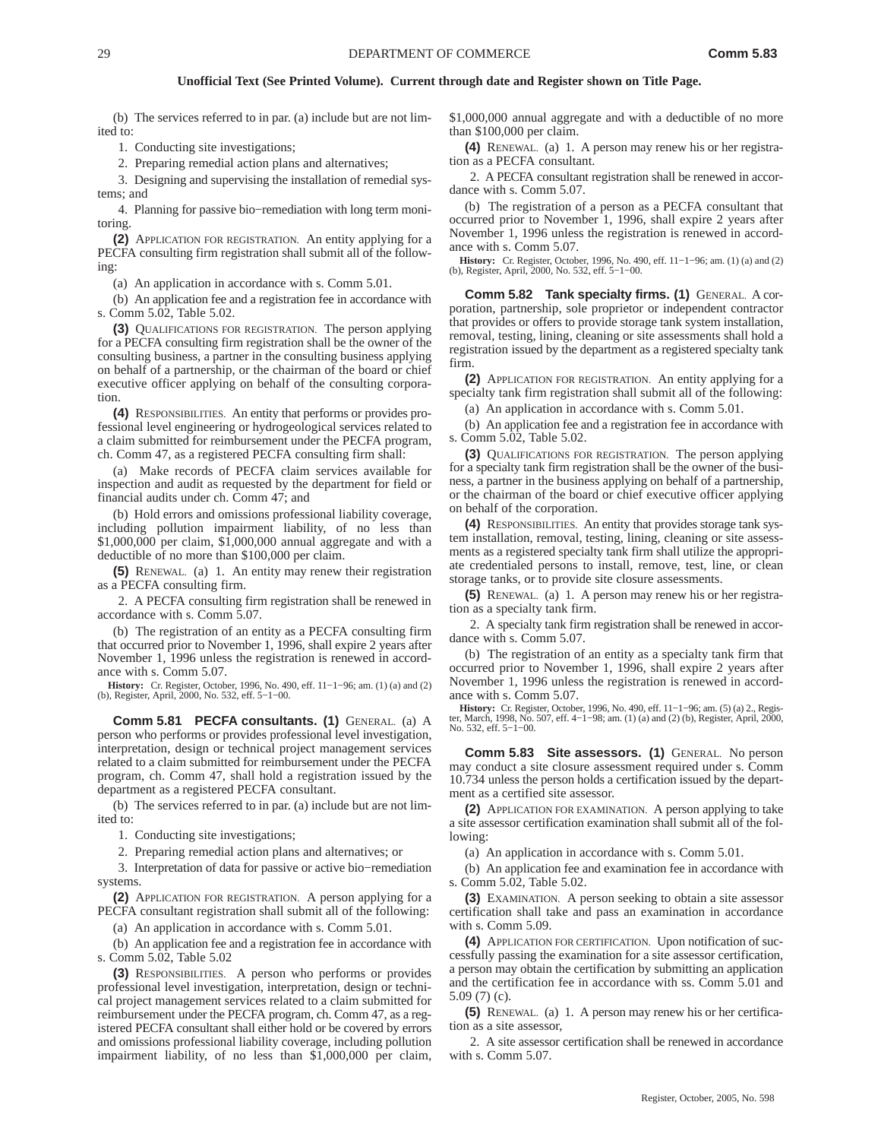(b) The services referred to in par. (a) include but are not limited to:

1. Conducting site investigations;

2. Preparing remedial action plans and alternatives;

3. Designing and supervising the installation of remedial systems; and

4. Planning for passive bio−remediation with long term monitoring.

**(2)** APPLICATION FOR REGISTRATION. An entity applying for a PECFA consulting firm registration shall submit all of the following:

(a) An application in accordance with s. Comm 5.01.

(b) An application fee and a registration fee in accordance with s. Comm 5.02, Table 5.02.

**(3)** QUALIFICATIONS FOR REGISTRATION. The person applying for a PECFA consulting firm registration shall be the owner of the consulting business, a partner in the consulting business applying on behalf of a partnership, or the chairman of the board or chief executive officer applying on behalf of the consulting corporation.

**(4)** RESPONSIBILITIES. An entity that performs or provides professional level engineering or hydrogeological services related to a claim submitted for reimbursement under the PECFA program, ch. Comm 47, as a registered PECFA consulting firm shall:

(a) Make records of PECFA claim services available for inspection and audit as requested by the department for field or financial audits under ch. Comm 47; and

(b) Hold errors and omissions professional liability coverage, including pollution impairment liability, of no less than \$1,000,000 per claim, \$1,000,000 annual aggregate and with a deductible of no more than \$100,000 per claim.

**(5)** RENEWAL. (a) 1. An entity may renew their registration as a PECFA consulting firm.

2. A PECFA consulting firm registration shall be renewed in accordance with s. Comm 5.07.

(b) The registration of an entity as a PECFA consulting firm that occurred prior to November 1, 1996, shall expire 2 years after November 1, 1996 unless the registration is renewed in accordance with s. Comm 5.07.

**History:** Cr. Register, October, 1996, No. 490, eff. 11–1–96; am. (1) (a) and (2) (b), Register, April, 2000, No. 532, eff. 5–1–00.

**Comm 5.81 PECFA consultants. (1)** GENERAL. (a) A person who performs or provides professional level investigation, interpretation, design or technical project management services related to a claim submitted for reimbursement under the PECFA program, ch. Comm 47, shall hold a registration issued by the department as a registered PECFA consultant.

(b) The services referred to in par. (a) include but are not limited to:

1. Conducting site investigations;

2. Preparing remedial action plans and alternatives; or

3. Interpretation of data for passive or active bio−remediation systems.

**(2)** APPLICATION FOR REGISTRATION. A person applying for a PECFA consultant registration shall submit all of the following:

(a) An application in accordance with s. Comm 5.01.

(b) An application fee and a registration fee in accordance with s. Comm 5.02, Table 5.02

**(3)** RESPONSIBILITIES. A person who performs or provides professional level investigation, interpretation, design or technical project management services related to a claim submitted for reimbursement under the PECFA program, ch. Comm 47, as a registered PECFA consultant shall either hold or be covered by errors and omissions professional liability coverage, including pollution impairment liability, of no less than \$1,000,000 per claim,

\$1,000,000 annual aggregate and with a deductible of no more than \$100,000 per claim.

**(4)** RENEWAL. (a) 1. A person may renew his or her registration as a PECFA consultant.

2. A PECFA consultant registration shall be renewed in accordance with s. Comm 5.07.

(b) The registration of a person as a PECFA consultant that occurred prior to November 1, 1996, shall expire 2 years after November 1, 1996 unless the registration is renewed in accordance with s. Comm 5.07.

**History:** Cr. Register, October, 1996, No. 490, eff. 11−1−96; am. (1) (a) and (2) (b), Register, April, 2000, No. 532, eff. 5−1−00.

**Comm 5.82 Tank specialty firms. (1)** GENERAL. A corporation, partnership, sole proprietor or independent contractor that provides or offers to provide storage tank system installation, removal, testing, lining, cleaning or site assessments shall hold a registration issued by the department as a registered specialty tank firm.

**(2)** APPLICATION FOR REGISTRATION. An entity applying for a specialty tank firm registration shall submit all of the following:

(a) An application in accordance with s. Comm 5.01.

(b) An application fee and a registration fee in accordance with s. Comm 5.02, Table 5.02.

**(3)** QUALIFICATIONS FOR REGISTRATION. The person applying for a specialty tank firm registration shall be the owner of the business, a partner in the business applying on behalf of a partnership, or the chairman of the board or chief executive officer applying on behalf of the corporation.

**(4)** RESPONSIBILITIES. An entity that provides storage tank system installation, removal, testing, lining, cleaning or site assessments as a registered specialty tank firm shall utilize the appropriate credentialed persons to install, remove, test, line, or clean storage tanks, or to provide site closure assessments.

**(5)** RENEWAL. (a) 1. A person may renew his or her registration as a specialty tank firm.

2. A specialty tank firm registration shall be renewed in accordance with s. Comm 5.07.

(b) The registration of an entity as a specialty tank firm that occurred prior to November 1, 1996, shall expire 2 years after November 1, 1996 unless the registration is renewed in accordance with s. Comm 5.07.

**History:** Cr. Register, October, 1996, No. 490, eff. 11−1−96; am. (5) (a) 2., Register, March, 1998, No. 507, eff. 4−1−98; am. (1) (a) and (2) (b), Register, April, 2000, No. 532, eff. 5−1−00.

**Comm 5.83 Site assessors. (1)** GENERAL. No person may conduct a site closure assessment required under s. Comm 10.734 unless the person holds a certification issued by the department as a certified site assessor.

**(2)** APPLICATION FOR EXAMINATION. A person applying to take a site assessor certification examination shall submit all of the following:

(a) An application in accordance with s. Comm 5.01.

(b) An application fee and examination fee in accordance with s. Comm 5.02, Table 5.02.

**(3)** EXAMINATION. A person seeking to obtain a site assessor certification shall take and pass an examination in accordance with s. Comm 5.09.

**(4)** APPLICATION FOR CERTIFICATION. Upon notification of successfully passing the examination for a site assessor certification, a person may obtain the certification by submitting an application and the certification fee in accordance with ss. Comm 5.01 and 5.09 (7) (c).

**(5)** RENEWAL. (a) 1. A person may renew his or her certification as a site assessor,

2. A site assessor certification shall be renewed in accordance with s. Comm 5.07.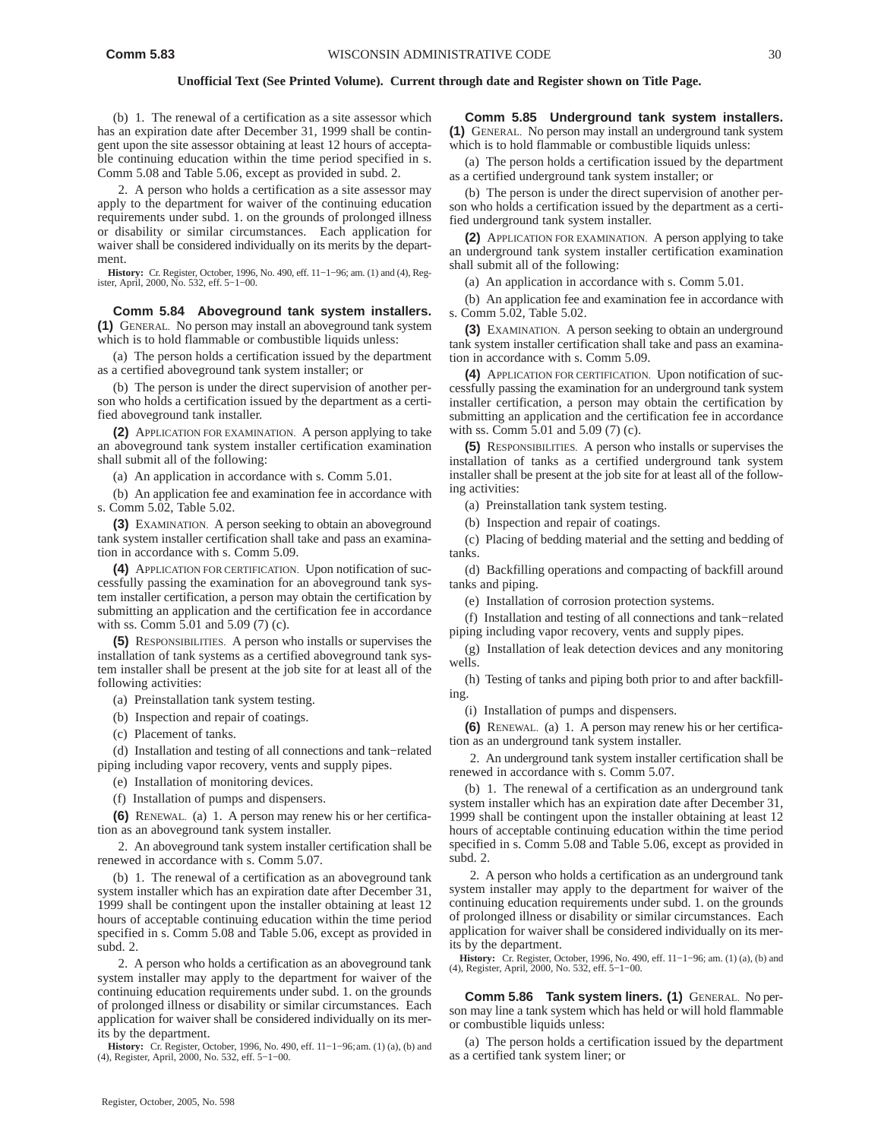(b) 1. The renewal of a certification as a site assessor which has an expiration date after December 31, 1999 shall be contingent upon the site assessor obtaining at least 12 hours of acceptable continuing education within the time period specified in s. Comm 5.08 and Table 5.06, except as provided in subd. 2.

2. A person who holds a certification as a site assessor may apply to the department for waiver of the continuing education requirements under subd. 1. on the grounds of prolonged illness or disability or similar circumstances. Each application for waiver shall be considered individually on its merits by the department.

**History:** Cr. Register, October, 1996, No. 490, eff. 11−1−96; am. (1) and (4), Register, April, 2000, No. 532, eff. 5−1−00.

**Comm 5.84 Aboveground tank system installers. (1)** GENERAL. No person may install an aboveground tank system which is to hold flammable or combustible liquids unless:

(a) The person holds a certification issued by the department as a certified aboveground tank system installer; or

(b) The person is under the direct supervision of another person who holds a certification issued by the department as a certified aboveground tank installer.

**(2)** APPLICATION FOR EXAMINATION. A person applying to take an aboveground tank system installer certification examination shall submit all of the following:

(a) An application in accordance with s. Comm 5.01.

(b) An application fee and examination fee in accordance with s. Comm 5.02, Table 5.02.

**(3)** EXAMINATION. A person seeking to obtain an aboveground tank system installer certification shall take and pass an examination in accordance with s. Comm 5.09.

**(4)** APPLICATION FOR CERTIFICATION. Upon notification of successfully passing the examination for an aboveground tank system installer certification, a person may obtain the certification by submitting an application and the certification fee in accordance with ss. Comm 5.01 and 5.09 (7) (c).

**(5)** RESPONSIBILITIES. A person who installs or supervises the installation of tank systems as a certified aboveground tank system installer shall be present at the job site for at least all of the following activities:

(a) Preinstallation tank system testing.

- (b) Inspection and repair of coatings.
- (c) Placement of tanks.

(d) Installation and testing of all connections and tank−related piping including vapor recovery, vents and supply pipes.

(e) Installation of monitoring devices.

(f) Installation of pumps and dispensers.

**(6)** RENEWAL. (a) 1. A person may renew his or her certification as an aboveground tank system installer.

2. An aboveground tank system installer certification shall be renewed in accordance with s. Comm 5.07.

(b) 1. The renewal of a certification as an aboveground tank system installer which has an expiration date after December 31, 1999 shall be contingent upon the installer obtaining at least 12 hours of acceptable continuing education within the time period specified in s. Comm 5.08 and Table 5.06, except as provided in subd. 2.

2. A person who holds a certification as an aboveground tank system installer may apply to the department for waiver of the continuing education requirements under subd. 1. on the grounds of prolonged illness or disability or similar circumstances. Each application for waiver shall be considered individually on its merits by the department.

**History:** Cr. Register, October, 1996, No. 490, eff. 11–1–96;am. (1) (a), (b) and (4), Register, April, 2000, No. 532, eff. 5–1–00.

**Comm 5.85 Underground tank system installers. (1)** GENERAL. No person may install an underground tank system which is to hold flammable or combustible liquids unless:

(a) The person holds a certification issued by the department as a certified underground tank system installer; or

(b) The person is under the direct supervision of another person who holds a certification issued by the department as a certified underground tank system installer.

**(2)** APPLICATION FOR EXAMINATION. A person applying to take an underground tank system installer certification examination shall submit all of the following:

(a) An application in accordance with s. Comm 5.01.

(b) An application fee and examination fee in accordance with s. Comm 5.02, Table 5.02.

**(3)** EXAMINATION. A person seeking to obtain an underground tank system installer certification shall take and pass an examination in accordance with s. Comm 5.09.

**(4)** APPLICATION FOR CERTIFICATION. Upon notification of successfully passing the examination for an underground tank system installer certification, a person may obtain the certification by submitting an application and the certification fee in accordance with ss. Comm 5.01 and 5.09 (7) (c).

**(5)** RESPONSIBILITIES. A person who installs or supervises the installation of tanks as a certified underground tank system installer shall be present at the job site for at least all of the following activities:

(a) Preinstallation tank system testing.

(b) Inspection and repair of coatings.

(c) Placing of bedding material and the setting and bedding of tanks.

(d) Backfilling operations and compacting of backfill around tanks and piping.

(e) Installation of corrosion protection systems.

(f) Installation and testing of all connections and tank−related piping including vapor recovery, vents and supply pipes.

(g) Installation of leak detection devices and any monitoring wells.

(h) Testing of tanks and piping both prior to and after backfilling.

(i) Installation of pumps and dispensers.

**(6)** RENEWAL. (a) 1. A person may renew his or her certification as an underground tank system installer.

2. An underground tank system installer certification shall be renewed in accordance with s. Comm 5.07.

(b) 1. The renewal of a certification as an underground tank system installer which has an expiration date after December 31, 1999 shall be contingent upon the installer obtaining at least 12 hours of acceptable continuing education within the time period specified in s. Comm 5.08 and Table 5.06, except as provided in subd. 2.

2. A person who holds a certification as an underground tank system installer may apply to the department for waiver of the continuing education requirements under subd. 1. on the grounds of prolonged illness or disability or similar circumstances. Each application for waiver shall be considered individually on its merits by the department.

**History:** Cr. Register, October, 1996, No. 490, eff. 11–1–96; am. (1) (a), (b) and (4), Register, April, 2000, No. 532, eff. 5–1–00.

**Comm 5.86 Tank system liners. (1)** GENERAL. No person may line a tank system which has held or will hold flammable or combustible liquids unless:

(a) The person holds a certification issued by the department as a certified tank system liner; or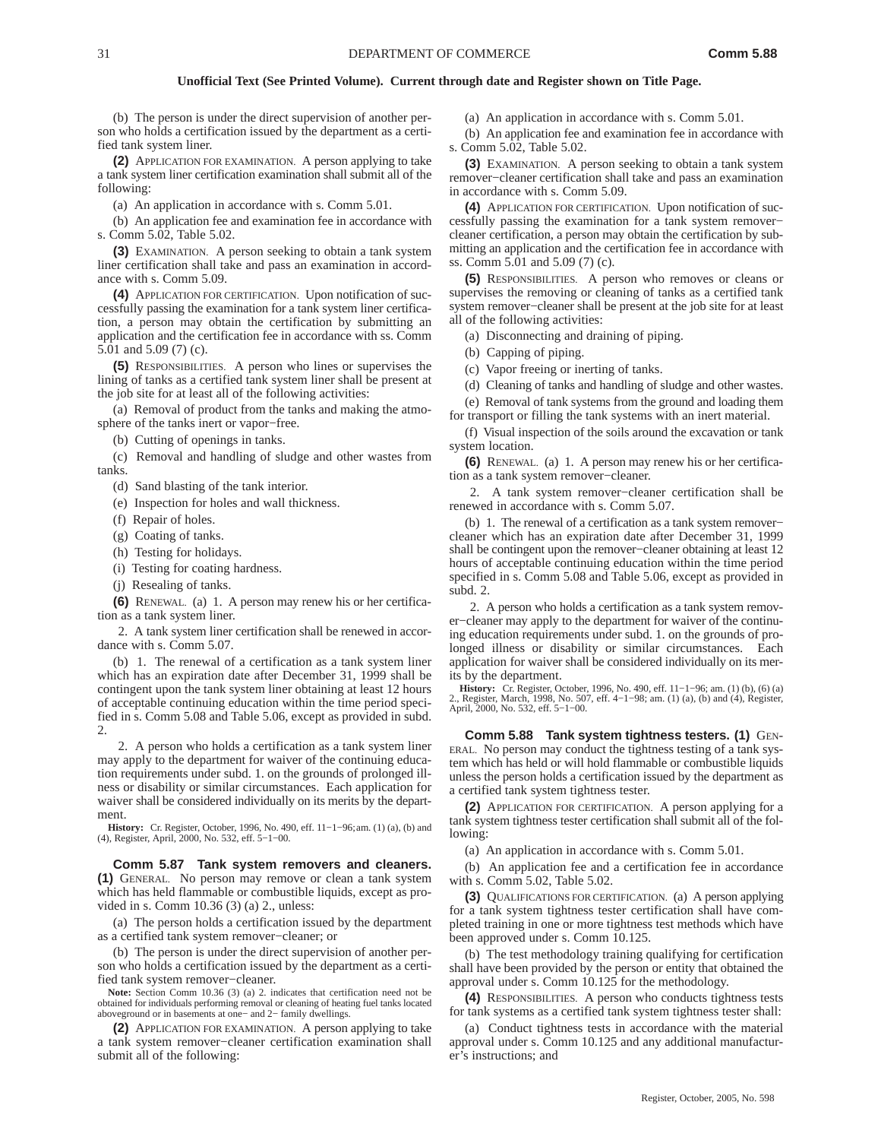(b) The person is under the direct supervision of another person who holds a certification issued by the department as a certified tank system liner.

**(2)** APPLICATION FOR EXAMINATION. A person applying to take a tank system liner certification examination shall submit all of the following:

(a) An application in accordance with s. Comm 5.01.

(b) An application fee and examination fee in accordance with s. Comm 5.02, Table 5.02.

**(3)** EXAMINATION. A person seeking to obtain a tank system liner certification shall take and pass an examination in accordance with s. Comm 5.09.

**(4)** APPLICATION FOR CERTIFICATION. Upon notification of successfully passing the examination for a tank system liner certification, a person may obtain the certification by submitting an application and the certification fee in accordance with ss. Comm 5.01 and 5.09 (7) (c).

**(5)** RESPONSIBILITIES. A person who lines or supervises the lining of tanks as a certified tank system liner shall be present at the job site for at least all of the following activities:

(a) Removal of product from the tanks and making the atmosphere of the tanks inert or vapor−free.

(b) Cutting of openings in tanks.

(c) Removal and handling of sludge and other wastes from tanks.

(d) Sand blasting of the tank interior.

(e) Inspection for holes and wall thickness.

(f) Repair of holes.

(g) Coating of tanks.

(h) Testing for holidays.

(i) Testing for coating hardness.

(j) Resealing of tanks.

**(6)** RENEWAL. (a) 1. A person may renew his or her certification as a tank system liner.

2. A tank system liner certification shall be renewed in accordance with s. Comm 5.07.

(b) 1. The renewal of a certification as a tank system liner which has an expiration date after December 31, 1999 shall be contingent upon the tank system liner obtaining at least 12 hours of acceptable continuing education within the time period specified in s. Comm 5.08 and Table 5.06, except as provided in subd. 2.

2. A person who holds a certification as a tank system liner may apply to the department for waiver of the continuing education requirements under subd. 1. on the grounds of prolonged illness or disability or similar circumstances. Each application for waiver shall be considered individually on its merits by the department.

**History:** Cr. Register, October, 1996, No. 490, eff. 11–1–96;am. (1) (a), (b) and (4), Register, April, 2000, No. 532, eff. 5–1–00.

**Comm 5.87 Tank system removers and cleaners. (1)** GENERAL. No person may remove or clean a tank system which has held flammable or combustible liquids, except as provided in s. Comm 10.36 (3) (a) 2., unless:

(a) The person holds a certification issued by the department as a certified tank system remover−cleaner; or

(b) The person is under the direct supervision of another person who holds a certification issued by the department as a certified tank system remover−cleaner.

**Note:** Section Comm 10.36 (3) (a) 2. indicates that certification need not be obtained for individuals performing removal or cleaning of heating fuel tanks located aboveground or in basements at one− and 2− family dwellings.

**(2)** APPLICATION FOR EXAMINATION. A person applying to take a tank system remover−cleaner certification examination shall submit all of the following:

(a) An application in accordance with s. Comm 5.01.

(b) An application fee and examination fee in accordance with s. Comm 5.02, Table 5.02.

**(3)** EXAMINATION. A person seeking to obtain a tank system remover−cleaner certification shall take and pass an examination in accordance with s. Comm 5.09.

**(4)** APPLICATION FOR CERTIFICATION. Upon notification of successfully passing the examination for a tank system remover− cleaner certification, a person may obtain the certification by submitting an application and the certification fee in accordance with ss. Comm 5.01 and 5.09 (7) (c).

**(5)** RESPONSIBILITIES. A person who removes or cleans or supervises the removing or cleaning of tanks as a certified tank system remover−cleaner shall be present at the job site for at least all of the following activities:

(a) Disconnecting and draining of piping.

(b) Capping of piping.

(c) Vapor freeing or inerting of tanks.

(d) Cleaning of tanks and handling of sludge and other wastes.

(e) Removal of tank systems from the ground and loading them for transport or filling the tank systems with an inert material.

(f) Visual inspection of the soils around the excavation or tank system location.

**(6)** RENEWAL. (a) 1. A person may renew his or her certification as a tank system remover−cleaner.

2. A tank system remover−cleaner certification shall be renewed in accordance with s. Comm 5.07.

(b) 1. The renewal of a certification as a tank system remover− cleaner which has an expiration date after December 31, 1999 shall be contingent upon the remover−cleaner obtaining at least 12 hours of acceptable continuing education within the time period specified in s. Comm 5.08 and Table 5.06, except as provided in subd. 2.

2. A person who holds a certification as a tank system remover−cleaner may apply to the department for waiver of the continuing education requirements under subd. 1. on the grounds of prolonged illness or disability or similar circumstances. Each application for waiver shall be considered individually on its merits by the department.

**History:** Cr. Register, October, 1996, No. 490, eff. 11−1−96; am. (1) (b), (6) (a) 2., Register, March, 1998, No. 507, eff. 4−1−98; am. (1) (a), (b) and (4), Register, April, 2000, No. 532, eff. 5−1−00.

**Comm 5.88 Tank system tightness testers. (1)** GEN-ERAL. No person may conduct the tightness testing of a tank system which has held or will hold flammable or combustible liquids unless the person holds a certification issued by the department as a certified tank system tightness tester.

**(2)** APPLICATION FOR CERTIFICATION. A person applying for a tank system tightness tester certification shall submit all of the following:

(a) An application in accordance with s. Comm 5.01.

(b) An application fee and a certification fee in accordance with s. Comm 5.02, Table 5.02.

**(3)** QUALIFICATIONS FOR CERTIFICATION. (a) A person applying for a tank system tightness tester certification shall have completed training in one or more tightness test methods which have been approved under s. Comm 10.125.

(b) The test methodology training qualifying for certification shall have been provided by the person or entity that obtained the approval under s. Comm 10.125 for the methodology.

**(4)** RESPONSIBILITIES. A person who conducts tightness tests for tank systems as a certified tank system tightness tester shall:

(a) Conduct tightness tests in accordance with the material approval under s. Comm 10.125 and any additional manufacturer's instructions; and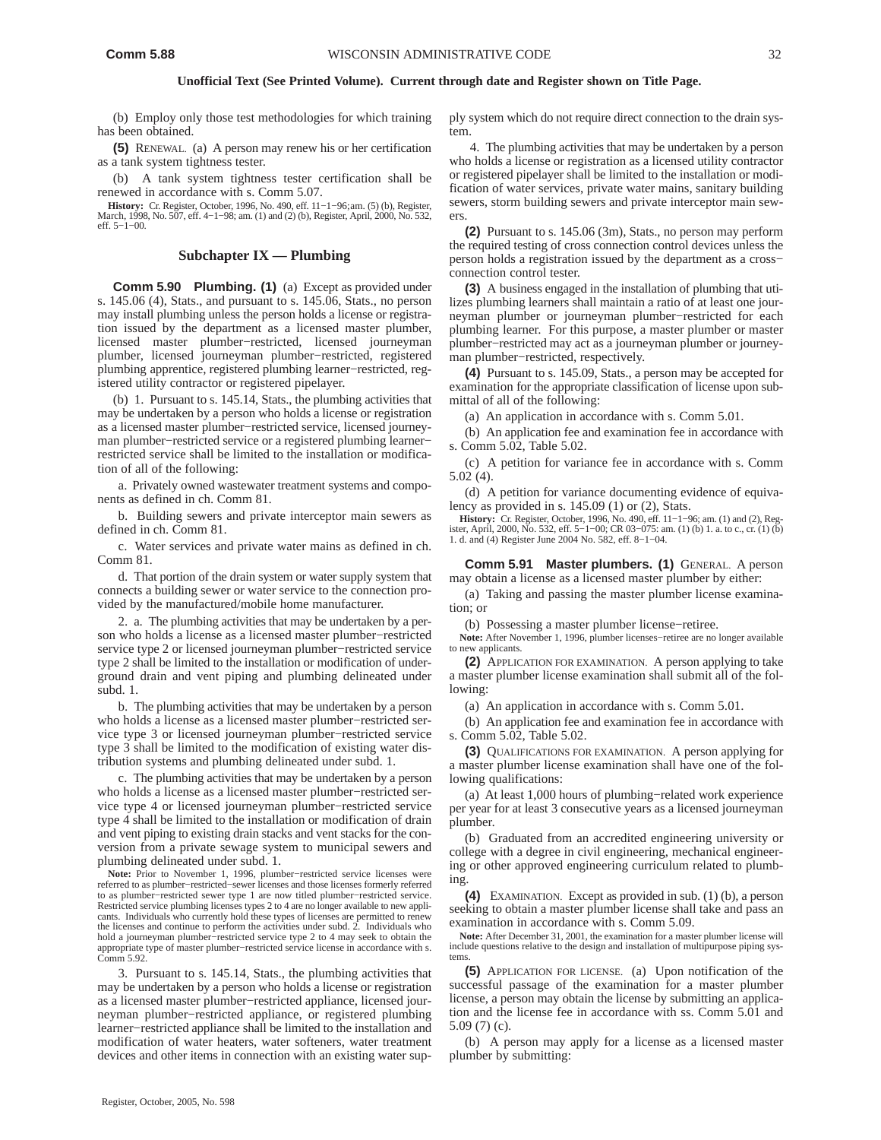(b) Employ only those test methodologies for which training has been obtained.

**(5)** RENEWAL. (a) A person may renew his or her certification as a tank system tightness tester.

(b) A tank system tightness tester certification shall be renewed in accordance with s. Comm 5.07.

**History:** Cr. Register, October, 1996, No. 490, eff. 11−1−96;am. (5) (b), Register, March, 1998, No. 507, eff. 4−1−98; am. (1) and (2) (b), Register, April, 2000, No. 532, eff. 5−1−00.

## **Subchapter IX — Plumbing**

**Comm 5.90 Plumbing. (1)** (a) Except as provided under s. 145.06 (4), Stats., and pursuant to s. 145.06, Stats., no person may install plumbing unless the person holds a license or registration issued by the department as a licensed master plumber, licensed master plumber−restricted, licensed journeyman plumber, licensed journeyman plumber−restricted, registered plumbing apprentice, registered plumbing learner−restricted, registered utility contractor or registered pipelayer.

(b) 1. Pursuant to s. 145.14, Stats., the plumbing activities that may be undertaken by a person who holds a license or registration as a licensed master plumber−restricted service, licensed journeyman plumber−restricted service or a registered plumbing learner− restricted service shall be limited to the installation or modification of all of the following:

a. Privately owned wastewater treatment systems and components as defined in ch. Comm 81.

b. Building sewers and private interceptor main sewers as defined in ch. Comm 81.

c. Water services and private water mains as defined in ch. Comm 81.

d. That portion of the drain system or water supply system that connects a building sewer or water service to the connection provided by the manufactured/mobile home manufacturer.

2. a. The plumbing activities that may be undertaken by a person who holds a license as a licensed master plumber−restricted service type 2 or licensed journeyman plumber−restricted service type 2 shall be limited to the installation or modification of underground drain and vent piping and plumbing delineated under subd. 1.

b. The plumbing activities that may be undertaken by a person who holds a license as a licensed master plumber−restricted service type 3 or licensed journeyman plumber−restricted service type 3 shall be limited to the modification of existing water distribution systems and plumbing delineated under subd. 1.

c. The plumbing activities that may be undertaken by a person who holds a license as a licensed master plumber−restricted service type 4 or licensed journeyman plumber−restricted service type 4 shall be limited to the installation or modification of drain and vent piping to existing drain stacks and vent stacks for the conversion from a private sewage system to municipal sewers and plumbing delineated under subd. 1.

**Note:** Prior to November 1, 1996, plumber−restricted service licenses were referred to as plumber−restricted−sewer licenses and those licenses formerly referred to as plumber−restricted sewer type 1 are now titled plumber−restricted service. Restricted service plumbing licenses types 2 to 4 are no longer available to new appli-cants. Individuals who currently hold these types of licenses are permitted to renew the licenses and continue to perform the activities under subd. 2. Individuals who hold a journeyman plumber−restricted service type 2 to 4 may seek to obtain the appropriate type of master plumber−restricted service license in accordance with s. Comm 5.92.

3. Pursuant to s. 145.14, Stats., the plumbing activities that may be undertaken by a person who holds a license or registration as a licensed master plumber−restricted appliance, licensed journeyman plumber−restricted appliance, or registered plumbing learner−restricted appliance shall be limited to the installation and modification of water heaters, water softeners, water treatment devices and other items in connection with an existing water supply system which do not require direct connection to the drain system.

4. The plumbing activities that may be undertaken by a person who holds a license or registration as a licensed utility contractor or registered pipelayer shall be limited to the installation or modification of water services, private water mains, sanitary building sewers, storm building sewers and private interceptor main sewers.

**(2)** Pursuant to s. 145.06 (3m), Stats., no person may perform the required testing of cross connection control devices unless the person holds a registration issued by the department as a cross− connection control tester.

**(3)** A business engaged in the installation of plumbing that utilizes plumbing learners shall maintain a ratio of at least one journeyman plumber or journeyman plumber−restricted for each plumbing learner. For this purpose, a master plumber or master plumber−restricted may act as a journeyman plumber or journeyman plumber−restricted, respectively.

**(4)** Pursuant to s. 145.09, Stats., a person may be accepted for examination for the appropriate classification of license upon submittal of all of the following:

(a) An application in accordance with s. Comm 5.01.

(b) An application fee and examination fee in accordance with s. Comm 5.02, Table 5.02.

(c) A petition for variance fee in accordance with s. Comm 5.02 (4).

(d) A petition for variance documenting evidence of equivalency as provided in s. 145.09 (1) or (2), Stats.

**History:** Cr. Register, October, 1996, No. 490, eff. 11–1–96; am. (1) and (2), Reg-<br>ister, April, 2000, No. 532, eff. 5–1–00; CR 03–075: am. (1) (b) 1. a. to c., cr. (1) (b) 1. d. and (4) Register June 2004 No. 582, eff. 8−1−04.

**Comm 5.91 Master plumbers. (1)** GENERAL. A person may obtain a license as a licensed master plumber by either:

(a) Taking and passing the master plumber license examination; or

(b) Possessing a master plumber license−retiree.

**Note:** After November 1, 1996, plumber licenses−retiree are no longer available to new applicants.

**(2)** APPLICATION FOR EXAMINATION. A person applying to take a master plumber license examination shall submit all of the following:

(a) An application in accordance with s. Comm 5.01.

(b) An application fee and examination fee in accordance with s. Comm 5.02, Table 5.02.

**(3)** QUALIFICATIONS FOR EXAMINATION. A person applying for a master plumber license examination shall have one of the following qualifications:

(a) At least 1,000 hours of plumbing−related work experience per year for at least 3 consecutive years as a licensed journeyman plumber.

(b) Graduated from an accredited engineering university or college with a degree in civil engineering, mechanical engineering or other approved engineering curriculum related to plumbing.

**(4)** EXAMINATION. Except as provided in sub. (1) (b), a person seeking to obtain a master plumber license shall take and pass an examination in accordance with s. Comm 5.09.

**Note:** After December 31, 2001, the examination for a master plumber license will include questions relative to the design and installation of multipurpose piping systems.

**(5)** APPLICATION FOR LICENSE. (a) Upon notification of the successful passage of the examination for a master plumber license, a person may obtain the license by submitting an application and the license fee in accordance with ss. Comm 5.01 and 5.09 (7) (c).

(b) A person may apply for a license as a licensed master plumber by submitting: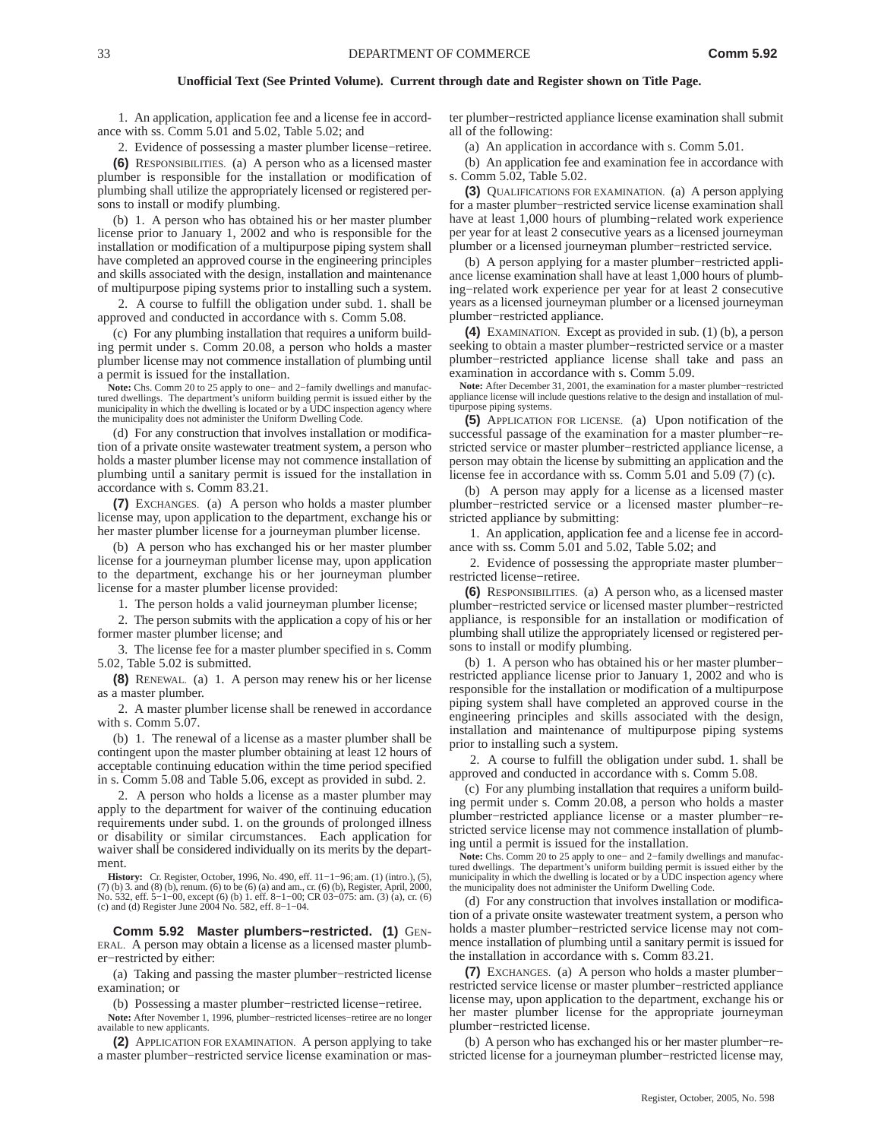1. An application, application fee and a license fee in accordance with ss. Comm 5.01 and 5.02, Table 5.02; and

2. Evidence of possessing a master plumber license−retiree.

**(6)** RESPONSIBILITIES. (a) A person who as a licensed master plumber is responsible for the installation or modification of plumbing shall utilize the appropriately licensed or registered persons to install or modify plumbing.

(b) 1. A person who has obtained his or her master plumber license prior to January 1, 2002 and who is responsible for the installation or modification of a multipurpose piping system shall have completed an approved course in the engineering principles and skills associated with the design, installation and maintenance of multipurpose piping systems prior to installing such a system.

2. A course to fulfill the obligation under subd. 1. shall be approved and conducted in accordance with s. Comm 5.08.

(c) For any plumbing installation that requires a uniform building permit under s. Comm 20.08, a person who holds a master plumber license may not commence installation of plumbing until a permit is issued for the installation.

**Note:** Chs. Comm 20 to 25 apply to one− and 2−family dwellings and manufactured dwellings. The department's uniform building permit is issued either by the municipality in which the dwelling is located or by a UDC inspection agency where the municipality does not administer the Uniform Dwelling Code.

(d) For any construction that involves installation or modification of a private onsite wastewater treatment system, a person who holds a master plumber license may not commence installation of plumbing until a sanitary permit is issued for the installation in accordance with s. Comm 83.21.

**(7)** EXCHANGES. (a) A person who holds a master plumber license may, upon application to the department, exchange his or her master plumber license for a journeyman plumber license.

(b) A person who has exchanged his or her master plumber license for a journeyman plumber license may, upon application to the department, exchange his or her journeyman plumber license for a master plumber license provided:

1. The person holds a valid journeyman plumber license;

2. The person submits with the application a copy of his or her former master plumber license; and

3. The license fee for a master plumber specified in s. Comm 5.02, Table 5.02 is submitted.

**(8)** RENEWAL. (a) 1. A person may renew his or her license as a master plumber.

2. A master plumber license shall be renewed in accordance with s. Comm 5.07.

(b) 1. The renewal of a license as a master plumber shall be contingent upon the master plumber obtaining at least 12 hours of acceptable continuing education within the time period specified in s. Comm 5.08 and Table 5.06, except as provided in subd. 2.

2. A person who holds a license as a master plumber may apply to the department for waiver of the continuing education requirements under subd. 1. on the grounds of prolonged illness or disability or similar circumstances. Each application for waiver shall be considered individually on its merits by the department.

**History:** Cr. Register, October, 1996, No. 490, eff. 11−1−96; am. (1) (intro.), (5), (7) (b) 3. and (8) (b), renum. (6) to be (6) (a) and am., cr. (6) (b), Register, April, 2000,<br>No. 532, eff. 5–1–00, except (6) (b) 1. eff. 8–1–00; CR 03–075: am. (3) (a), cr. (6)<br>(c) and (d) Register June 2004 No. 582, eff

**Comm 5.92 Master plumbers−restricted. (1)** GEN-ERAL. A person may obtain a license as a licensed master plumber−restricted by either:

(a) Taking and passing the master plumber−restricted license examination; or

(b) Possessing a master plumber−restricted license−retiree.

**Note:** After November 1, 1996, plumber−restricted licenses−retiree are no longer available to new applicants.

**(2)** APPLICATION FOR EXAMINATION. A person applying to take a master plumber−restricted service license examination or master plumber−restricted appliance license examination shall submit all of the following:

(a) An application in accordance with s. Comm 5.01.

(b) An application fee and examination fee in accordance with s. Comm 5.02, Table 5.02.

**(3)** QUALIFICATIONS FOR EXAMINATION. (a) A person applying for a master plumber−restricted service license examination shall have at least 1,000 hours of plumbing−related work experience per year for at least 2 consecutive years as a licensed journeyman plumber or a licensed journeyman plumber−restricted service.

(b) A person applying for a master plumber−restricted appliance license examination shall have at least 1,000 hours of plumbing−related work experience per year for at least 2 consecutive years as a licensed journeyman plumber or a licensed journeyman plumber−restricted appliance.

**(4)** EXAMINATION. Except as provided in sub. (1) (b), a person seeking to obtain a master plumber−restricted service or a master plumber−restricted appliance license shall take and pass an examination in accordance with s. Comm 5.09.

**Note:** After December 31, 2001, the examination for a master plumber−restricted appliance license will include questions relative to the design and installation of multipurpose piping systems.

**(5)** APPLICATION FOR LICENSE. (a) Upon notification of the successful passage of the examination for a master plumber−restricted service or master plumber−restricted appliance license, a person may obtain the license by submitting an application and the license fee in accordance with ss. Comm 5.01 and 5.09 (7) (c).

(b) A person may apply for a license as a licensed master plumber−restricted service or a licensed master plumber−restricted appliance by submitting:

1. An application, application fee and a license fee in accordance with ss. Comm 5.01 and 5.02, Table 5.02; and

2. Evidence of possessing the appropriate master plumber− restricted license−retiree.

**(6)** RESPONSIBILITIES. (a) A person who, as a licensed master plumber−restricted service or licensed master plumber−restricted appliance, is responsible for an installation or modification of plumbing shall utilize the appropriately licensed or registered persons to install or modify plumbing.

(b) 1. A person who has obtained his or her master plumber− restricted appliance license prior to January 1, 2002 and who is responsible for the installation or modification of a multipurpose piping system shall have completed an approved course in the engineering principles and skills associated with the design, installation and maintenance of multipurpose piping systems prior to installing such a system.

2. A course to fulfill the obligation under subd. 1. shall be approved and conducted in accordance with s. Comm 5.08.

(c) For any plumbing installation that requires a uniform building permit under s. Comm 20.08, a person who holds a master plumber−restricted appliance license or a master plumber−restricted service license may not commence installation of plumbing until a permit is issued for the installation.

**Note:** Chs. Comm 20 to 25 apply to one− and 2−family dwellings and manufactured dwellings. The department's uniform building permit is issued either by the municipality in which the dwelling is located or by a UDC inspection agency where the municipality does not administer the Uniform Dwelling Code.

(d) For any construction that involves installation or modification of a private onsite wastewater treatment system, a person who holds a master plumber−restricted service license may not commence installation of plumbing until a sanitary permit is issued for the installation in accordance with s. Comm 83.21.

**(7)** EXCHANGES. (a) A person who holds a master plumber− restricted service license or master plumber−restricted appliance license may, upon application to the department, exchange his or her master plumber license for the appropriate journeyman plumber−restricted license.

(b) A person who has exchanged his or her master plumber−restricted license for a journeyman plumber−restricted license may,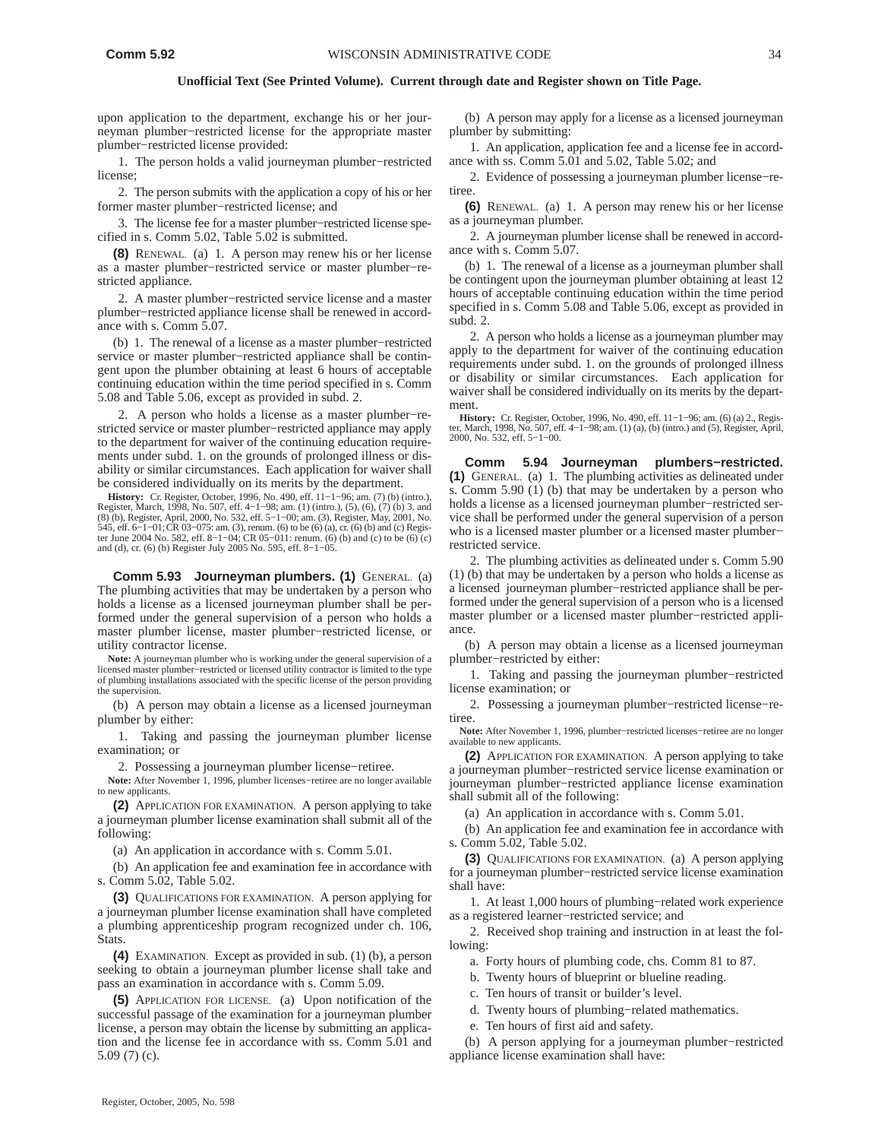upon application to the department, exchange his or her journeyman plumber−restricted license for the appropriate master plumber−restricted license provided:

1. The person holds a valid journeyman plumber−restricted license;

2. The person submits with the application a copy of his or her former master plumber−restricted license; and

3. The license fee for a master plumber−restricted license specified in s. Comm 5.02, Table 5.02 is submitted.

**(8)** RENEWAL. (a) 1. A person may renew his or her license as a master plumber−restricted service or master plumber−restricted appliance.

2. A master plumber−restricted service license and a master plumber−restricted appliance license shall be renewed in accordance with s. Comm 5.07.

(b) 1. The renewal of a license as a master plumber−restricted service or master plumber−restricted appliance shall be contingent upon the plumber obtaining at least 6 hours of acceptable continuing education within the time period specified in s. Comm 5.08 and Table 5.06, except as provided in subd. 2.

2. A person who holds a license as a master plumber−restricted service or master plumber−restricted appliance may apply to the department for waiver of the continuing education requirements under subd. 1. on the grounds of prolonged illness or disability or similar circumstances. Each application for waiver shall be considered individually on its merits by the department.

**History:** Cr. Register, October, 1996, No. 490, eff. 11–1–96; am. (7) (b) (intro.), Register, March, 1998, No. 507, eff. 4–1–98; am. (1) (intro.), (5), (6) 3. and<br>Register, March, 1998, No. 507, eff. 5–1–09; am. (1) (intr 545, eff. 6−1−01;CR 03−075: am. (3), renum. (6) to be (6) (a), cr. (6) (b) and (c) Regis-ter June 2004 No. 582, eff. 8−1−04; CR 05−011: renum. (6) (b) and (c) to be (6) (c) and (d), cr. (6) (b) Register July 2005 No. 595, eff. 8−1−05.

**Comm 5.93 Journeyman plumbers. (1)** GENERAL. (a) The plumbing activities that may be undertaken by a person who holds a license as a licensed journeyman plumber shall be performed under the general supervision of a person who holds a master plumber license, master plumber−restricted license, or utility contractor license.

**Note:** A journeyman plumber who is working under the general supervision of a licensed master plumber−restricted or licensed utility contractor is limited to the type of plumbing installations associated with the specific license of the person providing the supervision.

(b) A person may obtain a license as a licensed journeyman plumber by either:

1. Taking and passing the journeyman plumber license examination; or

2. Possessing a journeyman plumber license−retiree.

**Note:** After November 1, 1996, plumber licenses−retiree are no longer available to new applicants.

**(2)** APPLICATION FOR EXAMINATION. A person applying to take a journeyman plumber license examination shall submit all of the following:

(a) An application in accordance with s. Comm 5.01.

(b) An application fee and examination fee in accordance with s. Comm 5.02, Table 5.02.

**(3)** QUALIFICATIONS FOR EXAMINATION. A person applying for a journeyman plumber license examination shall have completed a plumbing apprenticeship program recognized under ch. 106, Stats.

**(4)** EXAMINATION. Except as provided in sub. (1) (b), a person seeking to obtain a journeyman plumber license shall take and pass an examination in accordance with s. Comm 5.09.

**(5)** APPLICATION FOR LICENSE. (a) Upon notification of the successful passage of the examination for a journeyman plumber license, a person may obtain the license by submitting an application and the license fee in accordance with ss. Comm 5.01 and 5.09 (7) (c).

(b) A person may apply for a license as a licensed journeyman plumber by submitting:

1. An application, application fee and a license fee in accordance with ss. Comm 5.01 and 5.02, Table 5.02; and

2. Evidence of possessing a journeyman plumber license−retiree.

**(6)** RENEWAL. (a) 1. A person may renew his or her license as a journeyman plumber.

2. A journeyman plumber license shall be renewed in accordance with s. Comm 5.07.

(b) 1. The renewal of a license as a journeyman plumber shall be contingent upon the journeyman plumber obtaining at least 12 hours of acceptable continuing education within the time period specified in s. Comm 5.08 and Table 5.06, except as provided in subd. 2.

2. A person who holds a license as a journeyman plumber may apply to the department for waiver of the continuing education requirements under subd. 1. on the grounds of prolonged illness or disability or similar circumstances. Each application for waiver shall be considered individually on its merits by the department.

**History:** Cr. Register, October, 1996, No. 490, eff. 11−1−96; am. (6) (a) 2., Register, March, 1998, No. 507, eff. 4−1−98; am. (1) (a), (b) (intro.) and (5), Register, April, 2000, No. 532, eff. 5−1−00.

**Comm 5.94 Journeyman plumbers−restricted. (1)** GENERAL. (a) 1. The plumbing activities as delineated under s. Comm 5.90 (1) (b) that may be undertaken by a person who holds a license as a licensed journeyman plumber−restricted service shall be performed under the general supervision of a person who is a licensed master plumber or a licensed master plumber− restricted service.

2. The plumbing activities as delineated under s. Comm 5.90 (1) (b) that may be undertaken by a person who holds a license as a licensed journeyman plumber−restricted appliance shall be performed under the general supervision of a person who is a licensed master plumber or a licensed master plumber−restricted appliance

(b) A person may obtain a license as a licensed journeyman plumber−restricted by either:

1. Taking and passing the journeyman plumber−restricted license examination; or

2. Possessing a journeyman plumber−restricted license−retiree.

**Note:** After November 1, 1996, plumber−restricted licenses−retiree are no longer available to new applicants.

**(2)** APPLICATION FOR EXAMINATION. A person applying to take a journeyman plumber−restricted service license examination or journeyman plumber−restricted appliance license examination shall submit all of the following:

(a) An application in accordance with s. Comm 5.01.

(b) An application fee and examination fee in accordance with s. Comm 5.02, Table 5.02.

**(3)** QUALIFICATIONS FOR EXAMINATION. (a) A person applying for a journeyman plumber−restricted service license examination shall have:

1. At least 1,000 hours of plumbing−related work experience as a registered learner−restricted service; and

2. Received shop training and instruction in at least the following:

a. Forty hours of plumbing code, chs. Comm 81 to 87.

b. Twenty hours of blueprint or blueline reading.

c. Ten hours of transit or builder's level.

d. Twenty hours of plumbing−related mathematics.

e. Ten hours of first aid and safety.

(b) A person applying for a journeyman plumber−restricted appliance license examination shall have: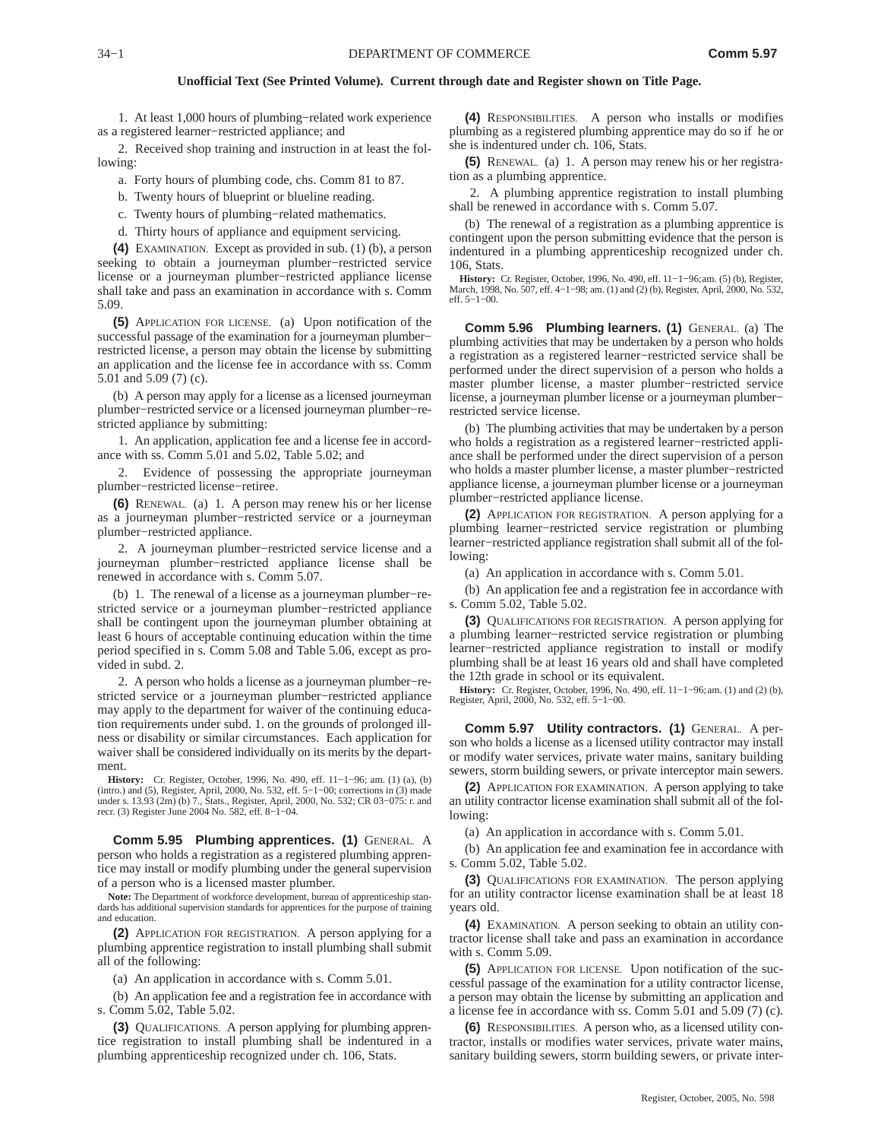1. At least 1,000 hours of plumbing−related work experience as a registered learner−restricted appliance; and

2. Received shop training and instruction in at least the following:

a. Forty hours of plumbing code, chs. Comm 81 to 87.

b. Twenty hours of blueprint or blueline reading.

c. Twenty hours of plumbing−related mathematics.

d. Thirty hours of appliance and equipment servicing.

**(4)** EXAMINATION. Except as provided in sub. (1) (b), a person seeking to obtain a journeyman plumber−restricted service license or a journeyman plumber−restricted appliance license shall take and pass an examination in accordance with s. Comm 5.09.

**(5)** APPLICATION FOR LICENSE. (a) Upon notification of the successful passage of the examination for a journeyman plumber− restricted license, a person may obtain the license by submitting an application and the license fee in accordance with ss. Comm 5.01 and 5.09 (7) (c).

(b) A person may apply for a license as a licensed journeyman plumber−restricted service or a licensed journeyman plumber−restricted appliance by submitting:

1. An application, application fee and a license fee in accordance with ss. Comm 5.01 and 5.02, Table 5.02; and

2. Evidence of possessing the appropriate journeyman plumber−restricted license−retiree.

**(6)** RENEWAL. (a) 1. A person may renew his or her license as a journeyman plumber−restricted service or a journeyman plumber−restricted appliance.

2. A journeyman plumber−restricted service license and a journeyman plumber−restricted appliance license shall be renewed in accordance with s. Comm 5.07.

(b) 1. The renewal of a license as a journeyman plumber−restricted service or a journeyman plumber−restricted appliance shall be contingent upon the journeyman plumber obtaining at least 6 hours of acceptable continuing education within the time period specified in s. Comm 5.08 and Table 5.06, except as provided in subd. 2.

2. A person who holds a license as a journeyman plumber−restricted service or a journeyman plumber−restricted appliance may apply to the department for waiver of the continuing education requirements under subd. 1. on the grounds of prolonged illness or disability or similar circumstances. Each application for waiver shall be considered individually on its merits by the department.

**History:** Cr. Register, October, 1996, No. 490, eff. 11–1–96; am. (1) (a), (b) (intro.) and (5), Register, April, 2000, No. 532, eff. 5–1–00; corrections in (3) made under s. 13.93 (2m) (b) 7., Stats., Register, April, 20 recr. (3) Register June 2004 No. 582, eff. 8−1−04.

**Comm 5.95 Plumbing apprentices. (1)** GENERAL. A person who holds a registration as a registered plumbing apprentice may install or modify plumbing under the general supervision of a person who is a licensed master plumber.

**Note:** The Department of workforce development, bureau of apprenticeship standards has additional supervision standards for apprentices for the purpose of training and education.

**(2)** APPLICATION FOR REGISTRATION. A person applying for a plumbing apprentice registration to install plumbing shall submit all of the following:

(a) An application in accordance with s. Comm 5.01.

(b) An application fee and a registration fee in accordance with s. Comm 5.02, Table 5.02.

**(3)** QUALIFICATIONS. A person applying for plumbing apprentice registration to install plumbing shall be indentured in a plumbing apprenticeship recognized under ch. 106, Stats.

**(4)** RESPONSIBILITIES. A person who installs or modifies plumbing as a registered plumbing apprentice may do so if he or she is indentured under ch. 106, Stats.

**(5)** RENEWAL. (a) 1. A person may renew his or her registration as a plumbing apprentice.

2. A plumbing apprentice registration to install plumbing shall be renewed in accordance with s. Comm 5.07.

(b) The renewal of a registration as a plumbing apprentice is contingent upon the person submitting evidence that the person is indentured in a plumbing apprenticeship recognized under ch. 106, Stats.

**History:** Cr. Register, October, 1996, No. 490, eff. 11−1−96;am. (5) (b), Register, March, 1998, No. 507, eff. 4−1−98; am. (1) and (2) (b), Register, April, 2000, No. 532, eff. 5−1−00.

**Comm 5.96 Plumbing learners. (1)** GENERAL. (a) The plumbing activities that may be undertaken by a person who holds a registration as a registered learner−restricted service shall be performed under the direct supervision of a person who holds a master plumber license, a master plumber−restricted service license, a journeyman plumber license or a journeyman plumber− restricted service license.

(b) The plumbing activities that may be undertaken by a person who holds a registration as a registered learner−restricted appliance shall be performed under the direct supervision of a person who holds a master plumber license, a master plumber−restricted appliance license, a journeyman plumber license or a journeyman plumber−restricted appliance license.

**(2)** APPLICATION FOR REGISTRATION. A person applying for a plumbing learner−restricted service registration or plumbing learner−restricted appliance registration shall submit all of the following:

(a) An application in accordance with s. Comm 5.01.

(b) An application fee and a registration fee in accordance with s. Comm 5.02, Table 5.02.

**(3)** QUALIFICATIONS FOR REGISTRATION. A person applying for a plumbing learner−restricted service registration or plumbing learner−restricted appliance registration to install or modify plumbing shall be at least 16 years old and shall have completed the 12th grade in school or its equivalent.

**History:** Cr. Register, October, 1996, No. 490, eff. 11−1−96;am. (1) and (2) (b), Register, April, 2000, No. 532, eff. 5−1−00.

**Comm 5.97 Utility contractors. (1)** GENERAL. A person who holds a license as a licensed utility contractor may install or modify water services, private water mains, sanitary building sewers, storm building sewers, or private interceptor main sewers.

**(2)** APPLICATION FOR EXAMINATION. A person applying to take an utility contractor license examination shall submit all of the following:

(a) An application in accordance with s. Comm 5.01.

(b) An application fee and examination fee in accordance with s. Comm 5.02, Table 5.02.

**(3)** QUALIFICATIONS FOR EXAMINATION. The person applying for an utility contractor license examination shall be at least 18 years old.

**(4)** EXAMINATION. A person seeking to obtain an utility contractor license shall take and pass an examination in accordance with s. Comm 5.09.

**(5)** APPLICATION FOR LICENSE. Upon notification of the successful passage of the examination for a utility contractor license, a person may obtain the license by submitting an application and a license fee in accordance with ss. Comm 5.01 and 5.09 (7) (c).

**(6)** RESPONSIBILITIES. A person who, as a licensed utility contractor, installs or modifies water services, private water mains, sanitary building sewers, storm building sewers, or private inter